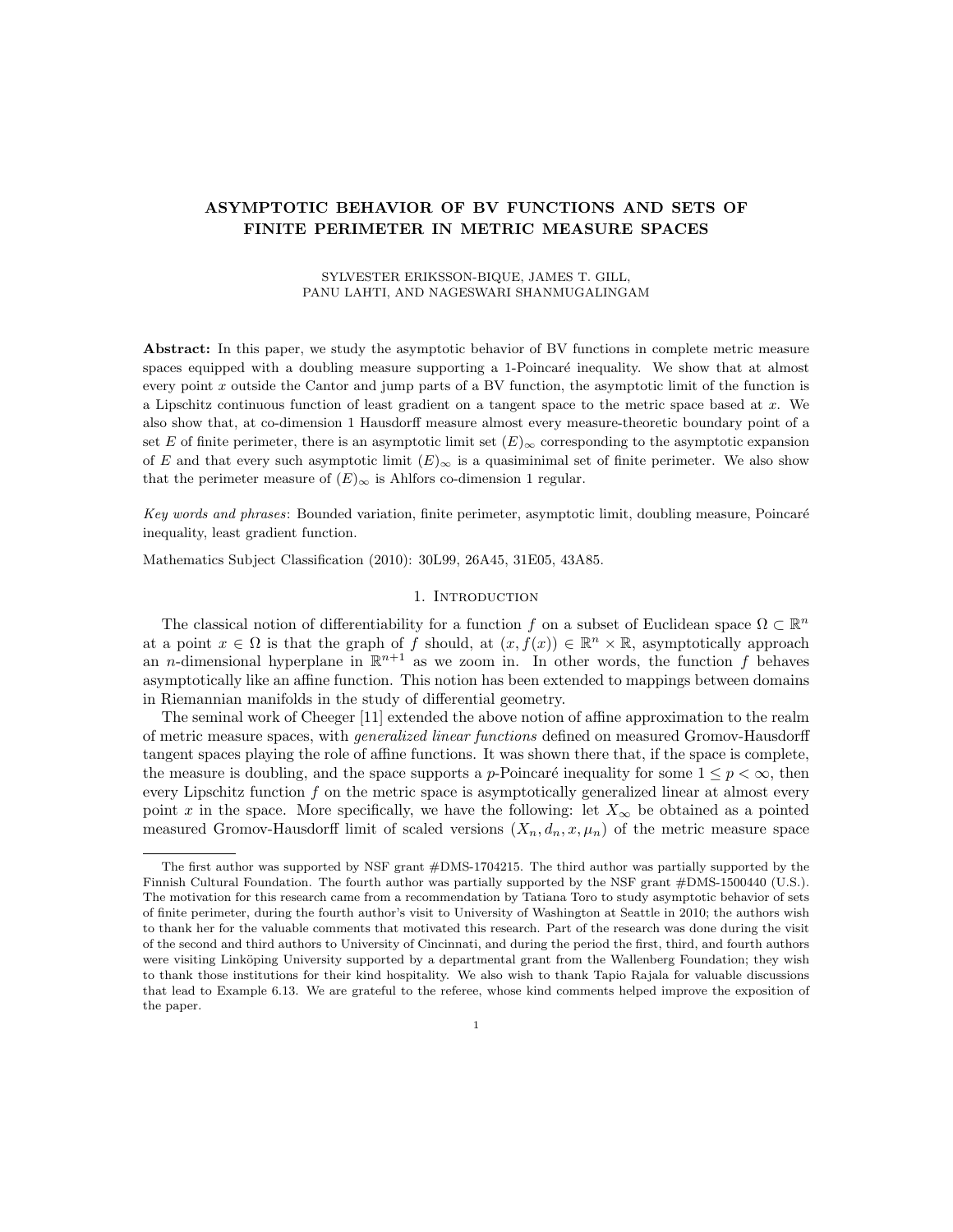# ASYMPTOTIC BEHAVIOR OF BV FUNCTIONS AND SETS OF FINITE PERIMETER IN METRIC MEASURE SPACES

### SYLVESTER ERIKSSON-BIQUE, JAMES T. GILL, PANU LAHTI, AND NAGESWARI SHANMUGALINGAM

Abstract: In this paper, we study the asymptotic behavior of BV functions in complete metric measure spaces equipped with a doubling measure supporting a 1-Poincaré inequality. We show that at almost every point  $x$  outside the Cantor and jump parts of a BV function, the asymptotic limit of the function is a Lipschitz continuous function of least gradient on a tangent space to the metric space based at  $x$ . We also show that, at co-dimension 1 Hausdorff measure almost every measure-theoretic boundary point of a set E of finite perimeter, there is an asymptotic limit set  $(E)_{\infty}$  corresponding to the asymptotic expansion of E and that every such asymptotic limit  $(E)_{\infty}$  is a quasiminimal set of finite perimeter. We also show that the perimeter measure of  $(E)_{\infty}$  is Ahlfors co-dimension 1 regular.

Key words and phrases: Bounded variation, finite perimeter, asymptotic limit, doubling measure, Poincaré inequality, least gradient function.

Mathematics Subject Classification (2010): 30L99, 26A45, 31E05, 43A85.

### 1. INTRODUCTION

The classical notion of differentiability for a function f on a subset of Euclidean space  $\Omega \subset \mathbb{R}^n$ at a point  $x \in \Omega$  is that the graph of f should, at  $(x, f(x)) \in \mathbb{R}^n \times \mathbb{R}$ , asymptotically approach an *n*-dimensional hyperplane in  $\mathbb{R}^{n+1}$  as we zoom in. In other words, the function f behaves asymptotically like an affine function. This notion has been extended to mappings between domains in Riemannian manifolds in the study of differential geometry.

The seminal work of Cheeger [11] extended the above notion of affine approximation to the realm of metric measure spaces, with generalized linear functions defined on measured Gromov-Hausdorff tangent spaces playing the role of affine functions. It was shown there that, if the space is complete, the measure is doubling, and the space supports a p-Poincaré inequality for some  $1 \leq p < \infty$ , then every Lipschitz function f on the metric space is asymptotically generalized linear at almost every point x in the space. More specifically, we have the following: let  $X_{\infty}$  be obtained as a pointed measured Gromov-Hausdorff limit of scaled versions  $(X_n, d_n, x, \mu_n)$  of the metric measure space

The first author was supported by NSF grant #DMS-1704215. The third author was partially supported by the Finnish Cultural Foundation. The fourth author was partially supported by the NSF grant #DMS-1500440 (U.S.). The motivation for this research came from a recommendation by Tatiana Toro to study asymptotic behavior of sets of finite perimeter, during the fourth author's visit to University of Washington at Seattle in 2010; the authors wish to thank her for the valuable comments that motivated this research. Part of the research was done during the visit of the second and third authors to University of Cincinnati, and during the period the first, third, and fourth authors were visiting Linköping University supported by a departmental grant from the Wallenberg Foundation; they wish to thank those institutions for their kind hospitality. We also wish to thank Tapio Rajala for valuable discussions that lead to Example 6.13. We are grateful to the referee, whose kind comments helped improve the exposition of the paper.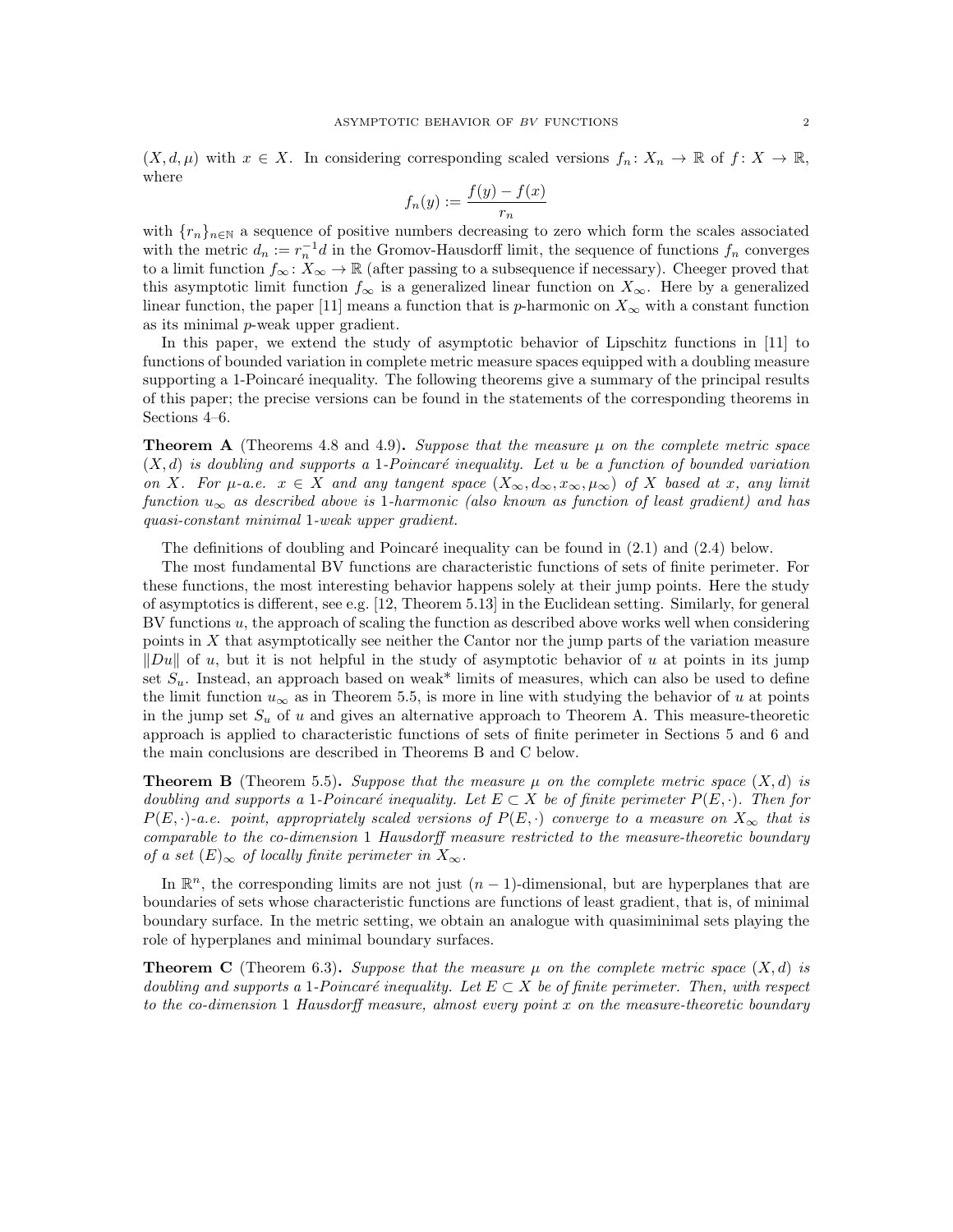$(X, d, \mu)$  with  $x \in X$ . In considering corresponding scaled versions  $f_n \colon X_n \to \mathbb{R}$  of  $f \colon X \to \mathbb{R}$ , where

$$
f_n(y) := \frac{f(y) - f(x)}{r_n}
$$

with  ${r_n}_{n\in\mathbb{N}}$  a sequence of positive numbers decreasing to zero which form the scales associated with the metric  $d_n := r_n^{-1}d$  in the Gromov-Hausdorff limit, the sequence of functions  $f_n$  converges to a limit function  $f_{\infty} : X_{\infty} \to \mathbb{R}$  (after passing to a subsequence if necessary). Cheeger proved that this asymptotic limit function  $f_{\infty}$  is a generalized linear function on  $X_{\infty}$ . Here by a generalized linear function, the paper [11] means a function that is p-harmonic on  $X_{\infty}$  with a constant function as its minimal p-weak upper gradient.

In this paper, we extend the study of asymptotic behavior of Lipschitz functions in [11] to functions of bounded variation in complete metric measure spaces equipped with a doubling measure supporting a 1-Poincaré inequality. The following theorems give a summary of the principal results of this paper; the precise versions can be found in the statements of the corresponding theorems in Sections 4–6.

**Theorem A** (Theorems 4.8 and 4.9). Suppose that the measure  $\mu$  on the complete metric space  $(X, d)$  is doubling and supports a 1-Poincaré inequality. Let u be a function of bounded variation on X. For  $\mu$ -a.e.  $x \in X$  and any tangent space  $(X_\infty, d_\infty, x_\infty, \mu_\infty)$  of X based at x, any limit function  $u_{\infty}$  as described above is 1-harmonic (also known as function of least gradient) and has quasi-constant minimal 1-weak upper gradient.

The definitions of doubling and Poincaré inequality can be found in  $(2.1)$  and  $(2.4)$  below.

The most fundamental BV functions are characteristic functions of sets of finite perimeter. For these functions, the most interesting behavior happens solely at their jump points. Here the study of asymptotics is different, see e.g. [12, Theorem 5.13] in the Euclidean setting. Similarly, for general BV functions u, the approach of scaling the function as described above works well when considering points in  $X$  that asymptotically see neither the Cantor nor the jump parts of the variation measure  $\|Du\|$  of u, but it is not helpful in the study of asymptotic behavior of u at points in its jump set  $S_u$ . Instead, an approach based on weak\* limits of measures, which can also be used to define the limit function  $u_{\infty}$  as in Theorem 5.5, is more in line with studying the behavior of u at points in the jump set  $S_u$  of u and gives an alternative approach to Theorem A. This measure-theoretic approach is applied to characteristic functions of sets of finite perimeter in Sections 5 and 6 and the main conclusions are described in Theorems B and C below.

**Theorem B** (Theorem 5.5). Suppose that the measure  $\mu$  on the complete metric space  $(X, d)$  is doubling and supports a 1-Poincaré inequality. Let  $E \subset X$  be of finite perimeter  $P(E, \cdot)$ . Then for  $P(E, \cdot)$ -a.e. point, appropriately scaled versions of  $P(E, \cdot)$  converge to a measure on  $X_{\infty}$  that is comparable to the co-dimension 1 Hausdorff measure restricted to the measure-theoretic boundary of a set  $(E)_{\infty}$  of locally finite perimeter in  $X_{\infty}$ .

In  $\mathbb{R}^n$ , the corresponding limits are not just  $(n-1)$ -dimensional, but are hyperplanes that are boundaries of sets whose characteristic functions are functions of least gradient, that is, of minimal boundary surface. In the metric setting, we obtain an analogue with quasiminimal sets playing the role of hyperplanes and minimal boundary surfaces.

**Theorem C** (Theorem 6.3). Suppose that the measure  $\mu$  on the complete metric space  $(X, d)$  is doubling and supports a 1-Poincaré inequality. Let  $E \subset X$  be of finite perimeter. Then, with respect to the co-dimension 1 Hausdorff measure, almost every point x on the measure-theoretic boundary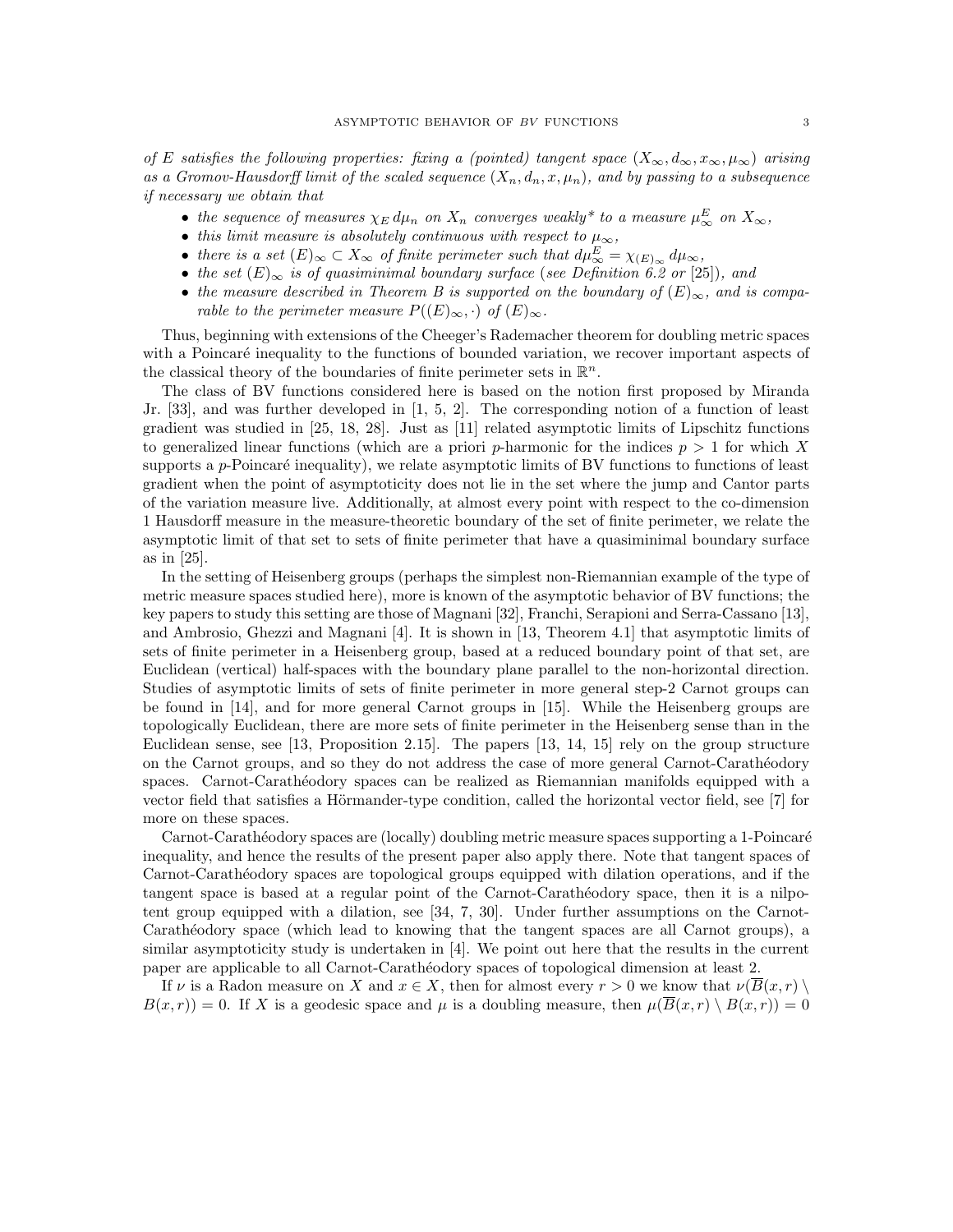of E satisfies the following properties: fixing a (pointed) tangent space  $(X_{\infty}, d_{\infty}, x_{\infty}, \mu_{\infty})$  arising as a Gromov-Hausdorff limit of the scaled sequence  $(X_n, d_n, x, \mu_n)$ , and by passing to a subsequence if necessary we obtain that

- the sequence of measures  $\chi_E d\mu_n$  on  $X_n$  converges weakly\* to a measure  $\mu_\infty^E$  on  $X_\infty$ ,
- this limit measure is absolutely continuous with respect to  $\mu_{\infty}$ ,
- there is a set  $(E)_{\infty} \subset X_{\infty}$  of finite perimeter such that  $d\mu_{\infty}^{E} = \chi_{(E)_{\infty}} d\mu_{\infty}$ ,
- the set  $(E)_{\infty}$  is of quasiminimal boundary surface (see Definition 6.2 or [25]), and
- the measure described in Theorem B is supported on the boundary of  $(E)_{\infty}$ , and is comparable to the perimeter measure  $P((E)_{\infty},\cdot)$  of  $(E)_{\infty}$ .

Thus, beginning with extensions of the Cheeger's Rademacher theorem for doubling metric spaces with a Poincaré inequality to the functions of bounded variation, we recover important aspects of the classical theory of the boundaries of finite perimeter sets in  $\mathbb{R}^n$ .

The class of BV functions considered here is based on the notion first proposed by Miranda Jr. [33], and was further developed in [1, 5, 2]. The corresponding notion of a function of least gradient was studied in [25, 18, 28]. Just as [11] related asymptotic limits of Lipschitz functions to generalized linear functions (which are a priori p-harmonic for the indices  $p > 1$  for which X supports a  $p$ -Poincaré inequality), we relate asymptotic limits of BV functions to functions of least gradient when the point of asymptoticity does not lie in the set where the jump and Cantor parts of the variation measure live. Additionally, at almost every point with respect to the co-dimension 1 Hausdorff measure in the measure-theoretic boundary of the set of finite perimeter, we relate the asymptotic limit of that set to sets of finite perimeter that have a quasiminimal boundary surface as in [25].

In the setting of Heisenberg groups (perhaps the simplest non-Riemannian example of the type of metric measure spaces studied here), more is known of the asymptotic behavior of BV functions; the key papers to study this setting are those of Magnani [32], Franchi, Serapioni and Serra-Cassano [13], and Ambrosio, Ghezzi and Magnani [4]. It is shown in [13, Theorem 4.1] that asymptotic limits of sets of finite perimeter in a Heisenberg group, based at a reduced boundary point of that set, are Euclidean (vertical) half-spaces with the boundary plane parallel to the non-horizontal direction. Studies of asymptotic limits of sets of finite perimeter in more general step-2 Carnot groups can be found in [14], and for more general Carnot groups in [15]. While the Heisenberg groups are topologically Euclidean, there are more sets of finite perimeter in the Heisenberg sense than in the Euclidean sense, see [13, Proposition 2.15]. The papers [13, 14, 15] rely on the group structure on the Carnot groups, and so they do not address the case of more general Carnot-Carath´eodory spaces. Carnot-Carathéodory spaces can be realized as Riemannian manifolds equipped with a vector field that satisfies a Hörmander-type condition, called the horizontal vector field, see  $[7]$  for more on these spaces.

Carnot-Carathéodory spaces are (locally) doubling metric measure spaces supporting a 1-Poincaré inequality, and hence the results of the present paper also apply there. Note that tangent spaces of Carnot-Carath´eodory spaces are topological groups equipped with dilation operations, and if the tangent space is based at a regular point of the Carnot-Carathéodory space, then it is a nilpotent group equipped with a dilation, see [34, 7, 30]. Under further assumptions on the Carnot-Carathéodory space (which lead to knowing that the tangent spaces are all Carnot groups), a similar asymptoticity study is undertaken in [4]. We point out here that the results in the current paper are applicable to all Carnot-Carathéodory spaces of topological dimension at least 2.

If v is a Radon measure on X and  $x \in X$ , then for almost every  $r > 0$  we know that  $\nu(\overline{B}(x,r))$  $B(x, r) = 0$ . If X is a geodesic space and  $\mu$  is a doubling measure, then  $\mu(\overline{B}(x, r) \setminus B(x, r)) = 0$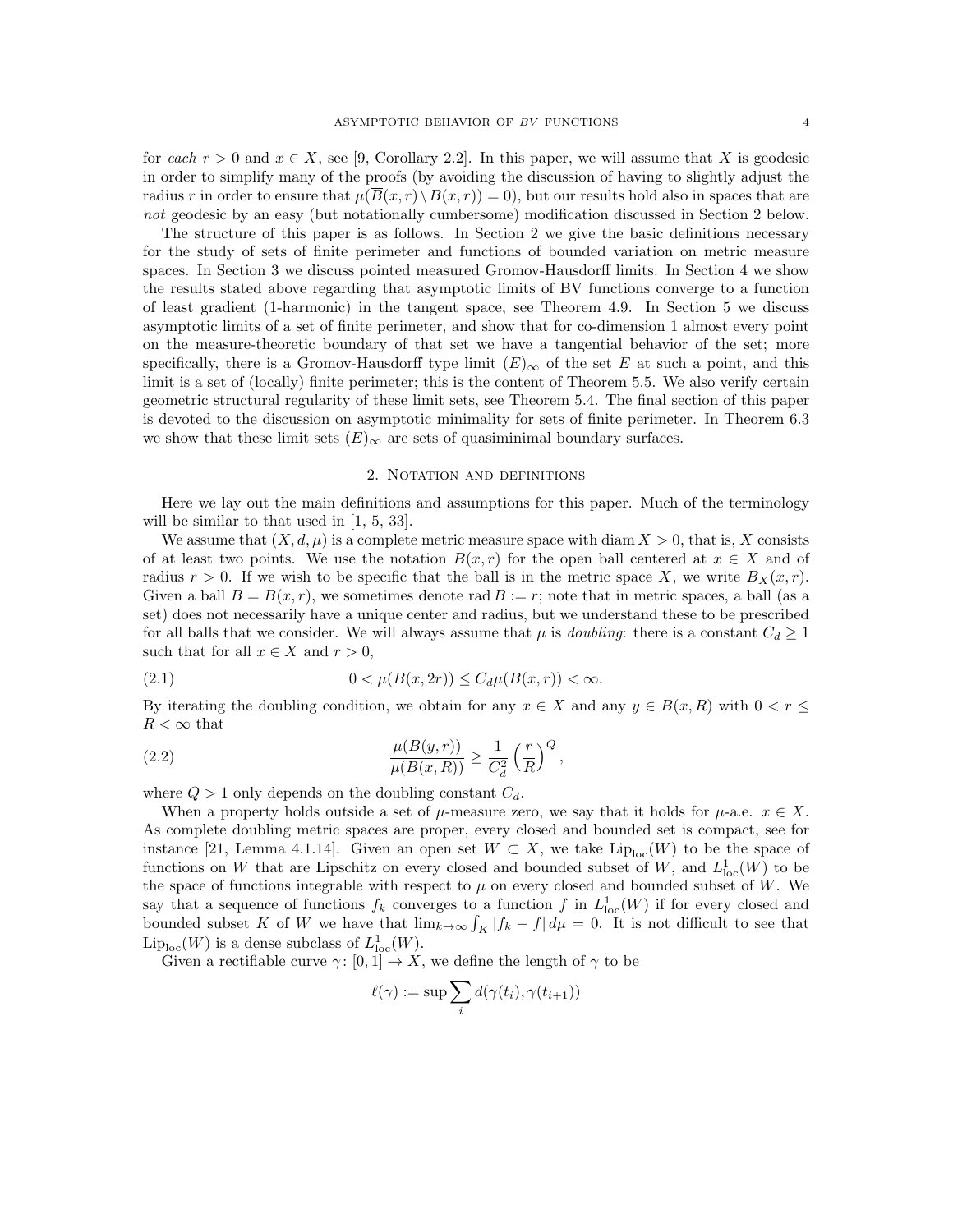for each  $r > 0$  and  $x \in X$ , see [9, Corollary 2.2]. In this paper, we will assume that X is geodesic in order to simplify many of the proofs (by avoiding the discussion of having to slightly adjust the radius r in order to ensure that  $\mu(\overline{B}(x, r) \setminus B(x, r)) = 0$ , but our results hold also in spaces that are not geodesic by an easy (but notationally cumbersome) modification discussed in Section 2 below.

The structure of this paper is as follows. In Section 2 we give the basic definitions necessary for the study of sets of finite perimeter and functions of bounded variation on metric measure spaces. In Section 3 we discuss pointed measured Gromov-Hausdorff limits. In Section 4 we show the results stated above regarding that asymptotic limits of BV functions converge to a function of least gradient (1-harmonic) in the tangent space, see Theorem 4.9. In Section 5 we discuss asymptotic limits of a set of finite perimeter, and show that for co-dimension 1 almost every point on the measure-theoretic boundary of that set we have a tangential behavior of the set; more specifically, there is a Gromov-Hausdorff type limit  $(E)_{\infty}$  of the set E at such a point, and this limit is a set of (locally) finite perimeter; this is the content of Theorem 5.5. We also verify certain geometric structural regularity of these limit sets, see Theorem 5.4. The final section of this paper is devoted to the discussion on asymptotic minimality for sets of finite perimeter. In Theorem 6.3 we show that these limit sets  $(E)_{\infty}$  are sets of quasiminimal boundary surfaces.

# 2. Notation and definitions

Here we lay out the main definitions and assumptions for this paper. Much of the terminology will be similar to that used in  $[1, 5, 33]$ .

We assume that  $(X, d, \mu)$  is a complete metric measure space with diam  $X > 0$ , that is, X consists of at least two points. We use the notation  $B(x, r)$  for the open ball centered at  $x \in X$  and of radius  $r > 0$ . If we wish to be specific that the ball is in the metric space X, we write  $B_X(x, r)$ . Given a ball  $B = B(x, r)$ , we sometimes denote rad  $B := r$ ; note that in metric spaces, a ball (as a set) does not necessarily have a unique center and radius, but we understand these to be prescribed for all balls that we consider. We will always assume that  $\mu$  is *doubling*: there is a constant  $C_d \geq 1$ such that for all  $x \in X$  and  $r > 0$ ,

(2.1) 
$$
0 < \mu(B(x, 2r)) \le C_d \mu(B(x, r)) < \infty.
$$

By iterating the doubling condition, we obtain for any  $x \in X$  and any  $y \in B(x, R)$  with  $0 \le r \le$  $R < \infty$  that

(2.2) 
$$
\frac{\mu(B(y,r))}{\mu(B(x,R))} \ge \frac{1}{C_d^2} \left(\frac{r}{R}\right)^Q,
$$

where  $Q > 1$  only depends on the doubling constant  $C_d$ .

When a property holds outside a set of  $\mu$ -measure zero, we say that it holds for  $\mu$ -a.e.  $x \in X$ . As complete doubling metric spaces are proper, every closed and bounded set is compact, see for instance [21, Lemma 4.1.14]. Given an open set  $W \subset X$ , we take  $\text{Lip}_{\text{loc}}(W)$  to be the space of functions on W that are Lipschitz on every closed and bounded subset of W, and  $L^1_{loc}(W)$  to be the space of functions integrable with respect to  $\mu$  on every closed and bounded subset of W. We say that a sequence of functions  $f_k$  converges to a function f in  $L^1_{loc}(W)$  if for every closed and bounded subset K of W we have that  $\lim_{k\to\infty} \int_K |f_k - f| d\mu = 0$ . It is not difficult to see that  $\mathrm{Lip}_{\mathrm{loc}}(W)$  is a dense subclass of  $L^1_{\mathrm{loc}}(W)$ .

Given a rectifiable curve  $\gamma: [0, 1] \to X$ , we define the length of  $\gamma$  to be

$$
\ell(\gamma) := \sup \sum_i d(\gamma(t_i), \gamma(t_{i+1}))
$$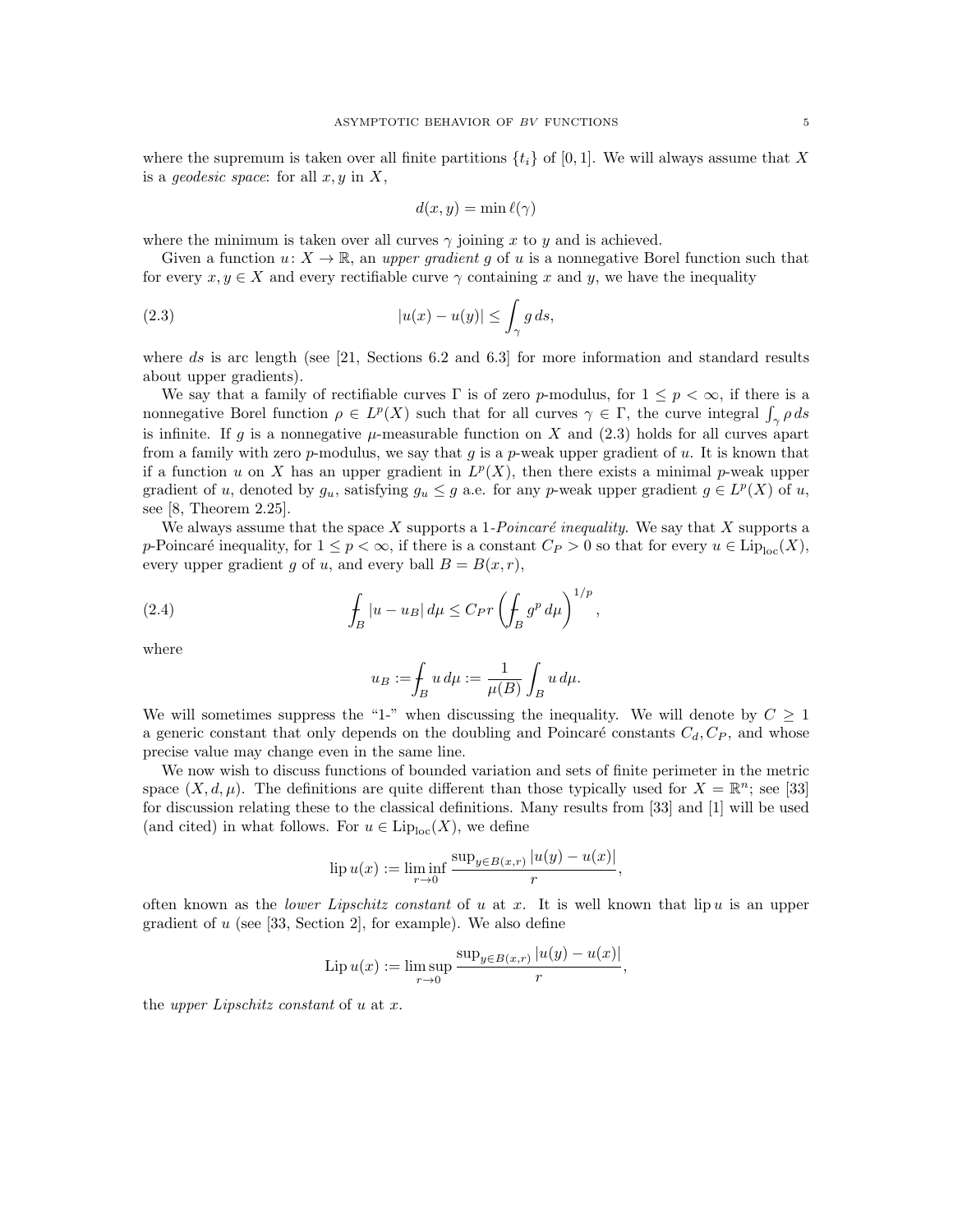where the supremum is taken over all finite partitions  $\{t_i\}$  of [0,1]. We will always assume that X is a *geodesic space*: for all  $x, y$  in  $X$ ,

$$
d(x, y) = \min \ell(\gamma)
$$

where the minimum is taken over all curves  $\gamma$  joining x to y and is achieved.

Given a function  $u: X \to \mathbb{R}$ , an upper gradient q of u is a nonnegative Borel function such that for every  $x, y \in X$  and every rectifiable curve  $\gamma$  containing x and y, we have the inequality

(2.3) 
$$
|u(x) - u(y)| \leq \int_{\gamma} g ds,
$$

where ds is arc length (see  $[21,$  Sections 6.2 and 6.3] for more information and standard results about upper gradients).

We say that a family of rectifiable curves  $\Gamma$  is of zero p-modulus, for  $1 \leq p < \infty$ , if there is a nonnegative Borel function  $\rho \in L^p(X)$  such that for all curves  $\gamma \in \Gamma$ , the curve integral  $\int_{\gamma} \rho ds$ is infinite. If g is a nonnegative  $\mu$ -measurable function on X and (2.3) holds for all curves apart from a family with zero p-modulus, we say that g is a p-weak upper gradient of u. It is known that if a function u on X has an upper gradient in  $L^p(X)$ , then there exists a minimal p-weak upper gradient of u, denoted by  $g_u$ , satisfying  $g_u \leq g$  a.e. for any p-weak upper gradient  $g \in L^p(X)$  of u, see [8, Theorem 2.25].

We always assume that the space X supports a 1-Poincaré inequality. We say that X supports a p-Poincaré inequality, for  $1 \le p < \infty$ , if there is a constant  $C_P > 0$  so that for every  $u \in \text{Lip}_{\text{loc}}(X)$ , every upper gradient g of u, and every ball  $B = B(x, r)$ ,

(2.4) 
$$
\int_{B} |u - u_{B}| d\mu \leq C_{P} r \left( \int_{B} g^{p} d\mu \right)^{1/p},
$$

where

$$
u_B := \int_B u \, d\mu := \frac{1}{\mu(B)} \int_B u \, d\mu.
$$

We will sometimes suppress the "1-" when discussing the inequality. We will denote by  $C \geq 1$ a generic constant that only depends on the doubling and Poincaré constants  $C_d, C_P$ , and whose precise value may change even in the same line.

We now wish to discuss functions of bounded variation and sets of finite perimeter in the metric space  $(X, d, \mu)$ . The definitions are quite different than those typically used for  $X = \mathbb{R}^n$ ; see [33] for discussion relating these to the classical definitions. Many results from [33] and [1] will be used (and cited) in what follows. For  $u \in \text{Lip}_{\text{loc}}(X)$ , we define

lip 
$$
u(x) := \liminf_{r \to 0} \frac{\sup_{y \in B(x,r)} |u(y) - u(x)|}{r}
$$
,

often known as the lower Lipschitz constant of u at x. It is well known that lip u is an upper gradient of  $u$  (see [33, Section 2], for example). We also define

Lip 
$$
u(x) := \limsup_{r \to 0} \frac{\sup_{y \in B(x,r)} |u(y) - u(x)|}{r},
$$

the upper Lipschitz constant of u at x.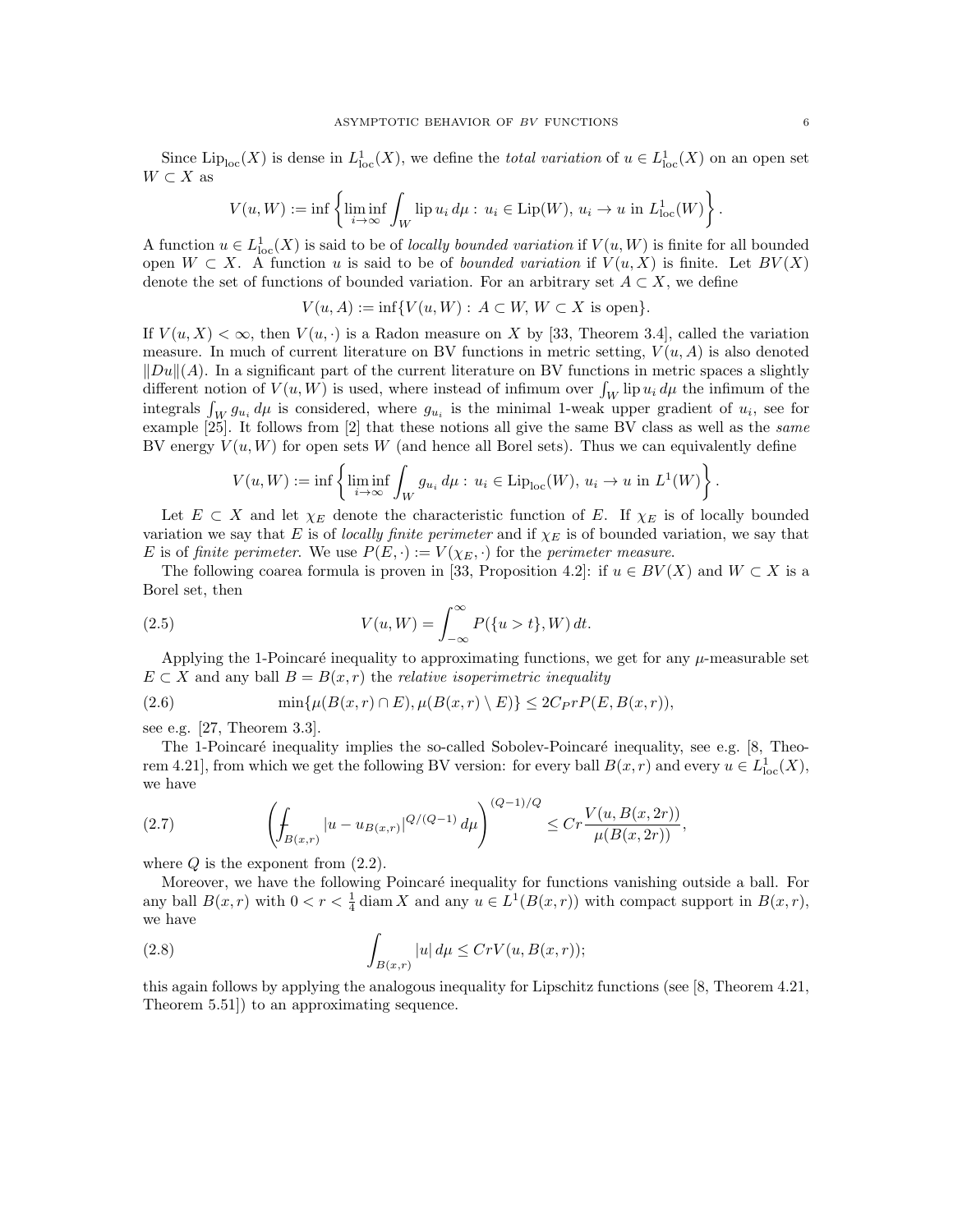Since  $\text{Lip}_{\text{loc}}(X)$  is dense in  $L^1_{\text{loc}}(X)$ , we define the *total variation* of  $u \in L^1_{\text{loc}}(X)$  on an open set  $W\subset X$  as

$$
V(u, W) := \inf \left\{ \liminf_{i \to \infty} \int_W \text{lip } u_i \, d\mu : \, u_i \in \text{Lip}(W), \, u_i \to u \text{ in } L^1_{\text{loc}}(W) \right\}.
$$

A function  $u \in L^1_{loc}(X)$  is said to be of *locally bounded variation* if  $V(u, W)$  is finite for all bounded open  $W \subset X$ . A function u is said to be of *bounded variation* if  $V(u, X)$  is finite. Let  $BV(X)$ denote the set of functions of bounded variation. For an arbitrary set  $A \subset X$ , we define

 $V(u, A) := \inf \{ V(u, W) : A \subset W, W \subset X \text{ is open} \}.$ 

If  $V(u, X) < \infty$ , then  $V(u, \cdot)$  is a Radon measure on X by [33, Theorem 3.4], called the variation measure. In much of current literature on BV functions in metric setting,  $V(u, A)$  is also denoted  $\|Du\|(A)$ . In a significant part of the current literature on BV functions in metric spaces a slightly different notion of  $V(u, W)$  is used, where instead of infimum over  $\int_W \text{lip } u_i d\mu$  the infimum of the integrals  $\int_W g_{u_i} d\mu$  is considered, where  $g_{u_i}$  is the minimal 1-weak upper gradient of  $u_i$ , see for example [25]. It follows from [2] that these notions all give the same BV class as well as the same BV energy  $V(u, W)$  for open sets W (and hence all Borel sets). Thus we can equivalently define

$$
V(u, W) := \inf \left\{ \liminf_{i \to \infty} \int_W g_{u_i} \, d\mu : \, u_i \in \text{Lip}_{\text{loc}}(W), \, u_i \to u \text{ in } L^1(W) \right\}.
$$

Let  $E \subset X$  and let  $\chi_E$  denote the characteristic function of E. If  $\chi_E$  is of locally bounded variation we say that E is of locally finite perimeter and if  $\chi_E$  is of bounded variation, we say that E is of finite perimeter. We use  $P(E, \cdot) := V(\chi_E, \cdot)$  for the perimeter measure.

The following coarea formula is proven in [33, Proposition 4.2]: if  $u \in BV(X)$  and  $W \subset X$  is a Borel set, then

(2.5) 
$$
V(u, W) = \int_{-\infty}^{\infty} P({u > t}, W) dt.
$$

Applying the 1-Poincaré inequality to approximating functions, we get for any  $\mu$ -measurable set  $E \subset X$  and any ball  $B = B(x, r)$  the *relative isoperimetric inequality* 

$$
(2.6) \qquad \min\{\mu(B(x,r)\cap E), \mu(B(x,r)\setminus E)\} \le 2C_P r P(E, B(x,r)),
$$

see e.g. [27, Theorem 3.3].

The 1-Poincaré inequality implies the so-called Sobolev-Poincaré inequality, see e.g. [8, Theorem 4.21], from which we get the following BV version: for every ball  $B(x,r)$  and every  $u \in L^1_{loc}(X)$ , we have

(2.7) 
$$
\left(\int_{B(x,r)}|u-u_{B(x,r)}|^{Q/(Q-1)} d\mu\right)^{(Q-1)/Q} \leq Cr \frac{V(u, B(x,2r))}{\mu(B(x,2r))},
$$

where  $Q$  is the exponent from  $(2.2)$ .

Moreover, we have the following Poincaré inequality for functions vanishing outside a ball. For any ball  $B(x,r)$  with  $0 < r < \frac{1}{4}$  diam X and any  $u \in L^1(B(x,r))$  with compact support in  $B(x,r)$ , we have

(2.8) 
$$
\int_{B(x,r)} |u| d\mu \le CrV(u, B(x,r));
$$

this again follows by applying the analogous inequality for Lipschitz functions (see [8, Theorem 4.21, Theorem 5.51]) to an approximating sequence.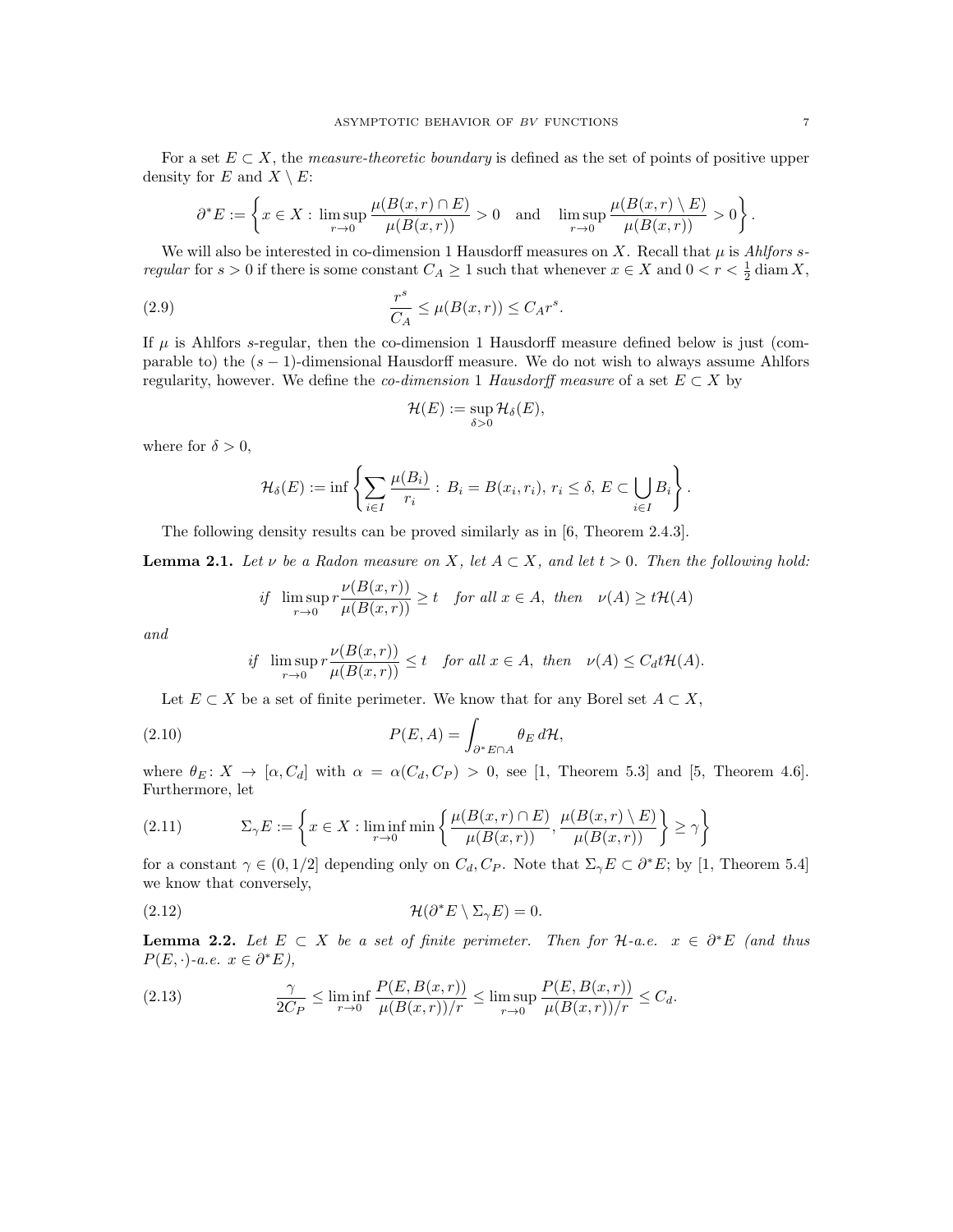For a set  $E \subset X$ , the *measure-theoretic boundary* is defined as the set of points of positive upper density for E and  $X \setminus E$ :

$$
\partial^* E := \left\{ x \in X : \limsup_{r \to 0} \frac{\mu(B(x,r) \cap E)}{\mu(B(x,r))} > 0 \quad \text{and} \quad \limsup_{r \to 0} \frac{\mu(B(x,r) \setminus E)}{\mu(B(x,r))} > 0 \right\}.
$$

We will also be interested in co-dimension 1 Hausdorff measures on X. Recall that  $\mu$  is Ahlfors sregular for  $s > 0$  if there is some constant  $C_A \ge 1$  such that whenever  $x \in X$  and  $0 < r < \frac{1}{2}$  diam X,

(2.9) 
$$
\frac{r^s}{C_A} \le \mu(B(x,r)) \le C_A r^s.
$$

If  $\mu$  is Ahlfors s-regular, then the co-dimension 1 Hausdorff measure defined below is just (comparable to) the  $(s - 1)$ -dimensional Hausdorff measure. We do not wish to always assume Ahlfors regularity, however. We define the *co-dimension* 1 Hausdorff measure of a set  $E \subset X$  by

$$
\mathcal{H}(E) := \sup_{\delta > 0} \mathcal{H}_{\delta}(E),
$$

where for  $\delta > 0$ ,

$$
\mathcal{H}_{\delta}(E) := \inf \left\{ \sum_{i \in I} \frac{\mu(B_i)}{r_i} : B_i = B(x_i, r_i), r_i \leq \delta, E \subset \bigcup_{i \in I} B_i \right\}.
$$

The following density results can be proved similarly as in [6, Theorem 2.4.3].

**Lemma 2.1.** Let  $\nu$  be a Radon measure on X, let  $A \subset X$ , and let  $t > 0$ . Then the following hold:

if 
$$
\limsup_{r \to 0} r \frac{\nu(B(x,r))}{\mu(B(x,r))} \ge t
$$
 for all  $x \in A$ , then  $\nu(A) \ge t \mathcal{H}(A)$ 

and

if 
$$
\limsup_{r\to 0} r \frac{\nu(B(x,r))}{\mu(B(x,r))} \le t
$$
 for all  $x \in A$ , then  $\nu(A) \le C_d t \mathcal{H}(A)$ .

Let  $E \subset X$  be a set of finite perimeter. We know that for any Borel set  $A \subset X$ ,

(2.10) 
$$
P(E, A) = \int_{\partial^* E \cap A} \theta_E d\mathcal{H},
$$

where  $\theta_E: X \to [\alpha, C_d]$  with  $\alpha = \alpha(C_d, C_P) > 0$ , see [1, Theorem 5.3] and [5, Theorem 4.6]. Furthermore, let

(2.11) 
$$
\Sigma_{\gamma}E := \left\{ x \in X : \liminf_{r \to 0} \min \left\{ \frac{\mu(B(x,r) \cap E)}{\mu(B(x,r))}, \frac{\mu(B(x,r) \setminus E)}{\mu(B(x,r))} \right\} \ge \gamma \right\}
$$

for a constant  $\gamma \in (0, 1/2]$  depending only on  $C_d, C_P$ . Note that  $\Sigma_{\gamma} E \subset \partial^* E$ ; by [1, Theorem 5.4] we know that conversely,

(2.12) 
$$
\mathcal{H}(\partial^* E \setminus \Sigma_{\gamma} E) = 0.
$$

**Lemma 2.2.** Let  $E \subset X$  be a set of finite perimeter. Then for  $\mathcal{H}$ -a.e.  $x \in \partial^* E$  (and thus  $P(E, \cdot)$ -a.e.  $x \in \partial^* E$ ),

(2.13) 
$$
\frac{\gamma}{2C_P} \leq \liminf_{r \to 0} \frac{P(E, B(x, r))}{\mu(B(x, r))/r} \leq \limsup_{r \to 0} \frac{P(E, B(x, r))}{\mu(B(x, r))/r} \leq C_d.
$$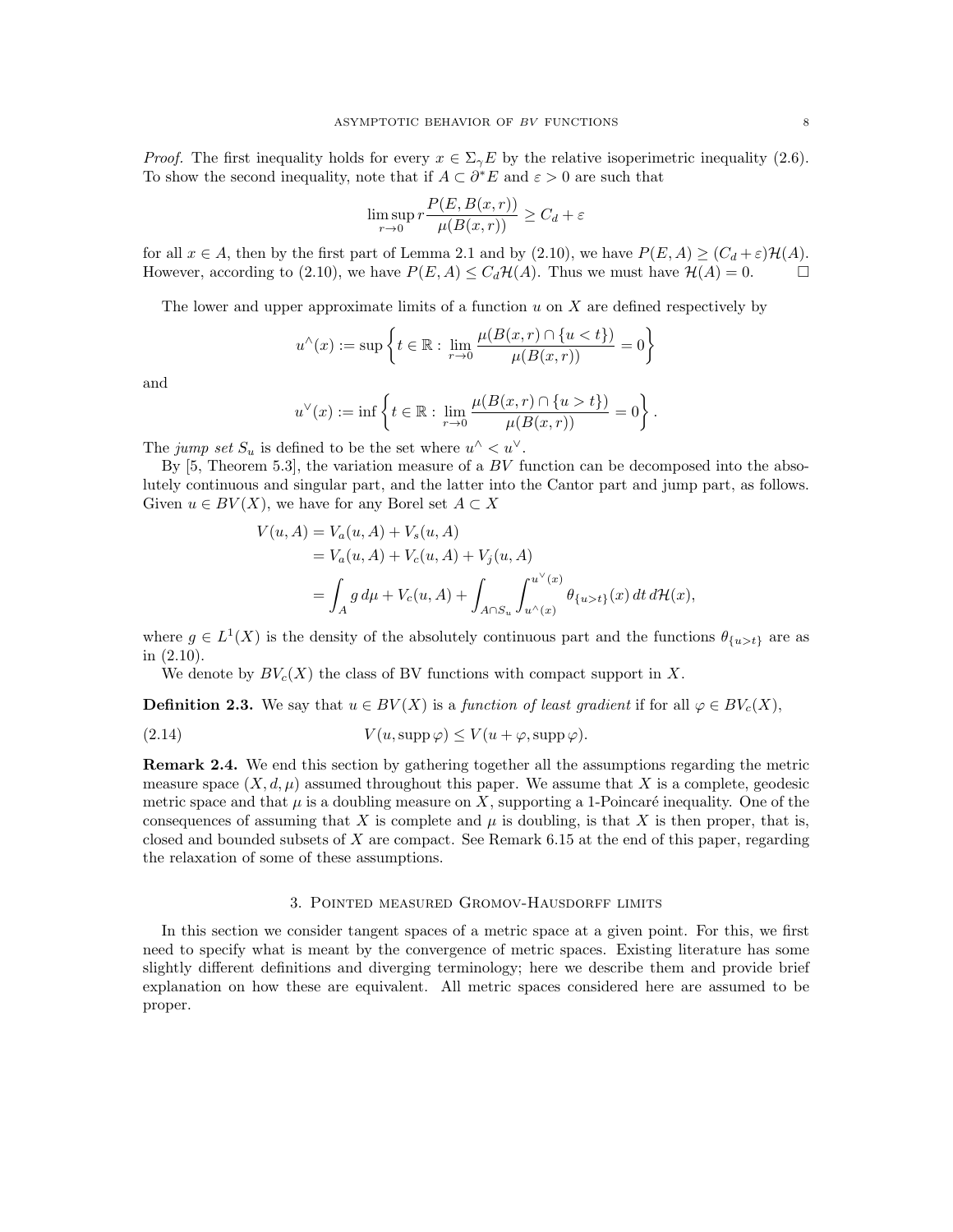*Proof.* The first inequality holds for every  $x \in \Sigma_{\gamma}E$  by the relative isoperimetric inequality (2.6). To show the second inequality, note that if  $A \subset \partial^* E$  and  $\varepsilon > 0$  are such that

$$
\limsup_{r \to 0} r \frac{P(E, B(x, r))}{\mu(B(x, r))} \ge C_d + \varepsilon
$$

for all  $x \in A$ , then by the first part of Lemma 2.1 and by (2.10), we have  $P(E, A) \geq (C_d + \varepsilon) \mathcal{H}(A)$ . However, according to (2.10), we have  $P(E, A) \leq C_d \mathcal{H}(A)$ . Thus we must have  $\mathcal{H}(A) = 0$ .

The lower and upper approximate limits of a function  $u$  on  $X$  are defined respectively by

$$
u^{\wedge}(x) := \sup \left\{ t \in \mathbb{R} : \lim_{r \to 0} \frac{\mu(B(x, r) \cap \{u < t\})}{\mu(B(x, r))} = 0 \right\}
$$

and

$$
u^{\vee}(x) := \inf \left\{ t \in \mathbb{R} : \lim_{r \to 0} \frac{\mu(B(x, r) \cap \{u > t\})}{\mu(B(x, r))} = 0 \right\}.
$$

The jump set  $S_u$  is defined to be the set where  $u^{\wedge} < u^{\vee}$ .

By  $[5,$  Theorem 5.3], the variation measure of a  $BV$  function can be decomposed into the absolutely continuous and singular part, and the latter into the Cantor part and jump part, as follows. Given  $u \in BV(X)$ , we have for any Borel set  $A \subset X$ 

$$
V(u, A) = V_a(u, A) + V_s(u, A)
$$
  
=  $V_a(u, A) + V_c(u, A) + V_j(u, A)$   
=  $\int_A g d\mu + V_c(u, A) + \int_{A \cap S_u} \int_{u \wedge (x)}^{u \vee (x)} \theta_{\{u > t\}}(x) dt d\mathcal{H}(x),$ 

where  $g \in L^1(X)$  is the density of the absolutely continuous part and the functions  $\theta_{\{u>t\}}$  are as in (2.10).

We denote by  $BV_c(X)$  the class of BV functions with compact support in X.

**Definition 2.3.** We say that  $u \in BV(X)$  is a function of least gradient if for all  $\varphi \in BV_c(X)$ ,

(2.14) 
$$
V(u, \text{supp}\,\varphi) \le V(u + \varphi, \text{supp}\,\varphi).
$$

Remark 2.4. We end this section by gathering together all the assumptions regarding the metric measure space  $(X, d, \mu)$  assumed throughout this paper. We assume that X is a complete, geodesic metric space and that  $\mu$  is a doubling measure on X, supporting a 1-Poincaré inequality. One of the consequences of assuming that X is complete and  $\mu$  is doubling, is that X is then proper, that is, closed and bounded subsets of X are compact. See Remark 6.15 at the end of this paper, regarding the relaxation of some of these assumptions.

#### 3. Pointed measured Gromov-Hausdorff limits

In this section we consider tangent spaces of a metric space at a given point. For this, we first need to specify what is meant by the convergence of metric spaces. Existing literature has some slightly different definitions and diverging terminology; here we describe them and provide brief explanation on how these are equivalent. All metric spaces considered here are assumed to be proper.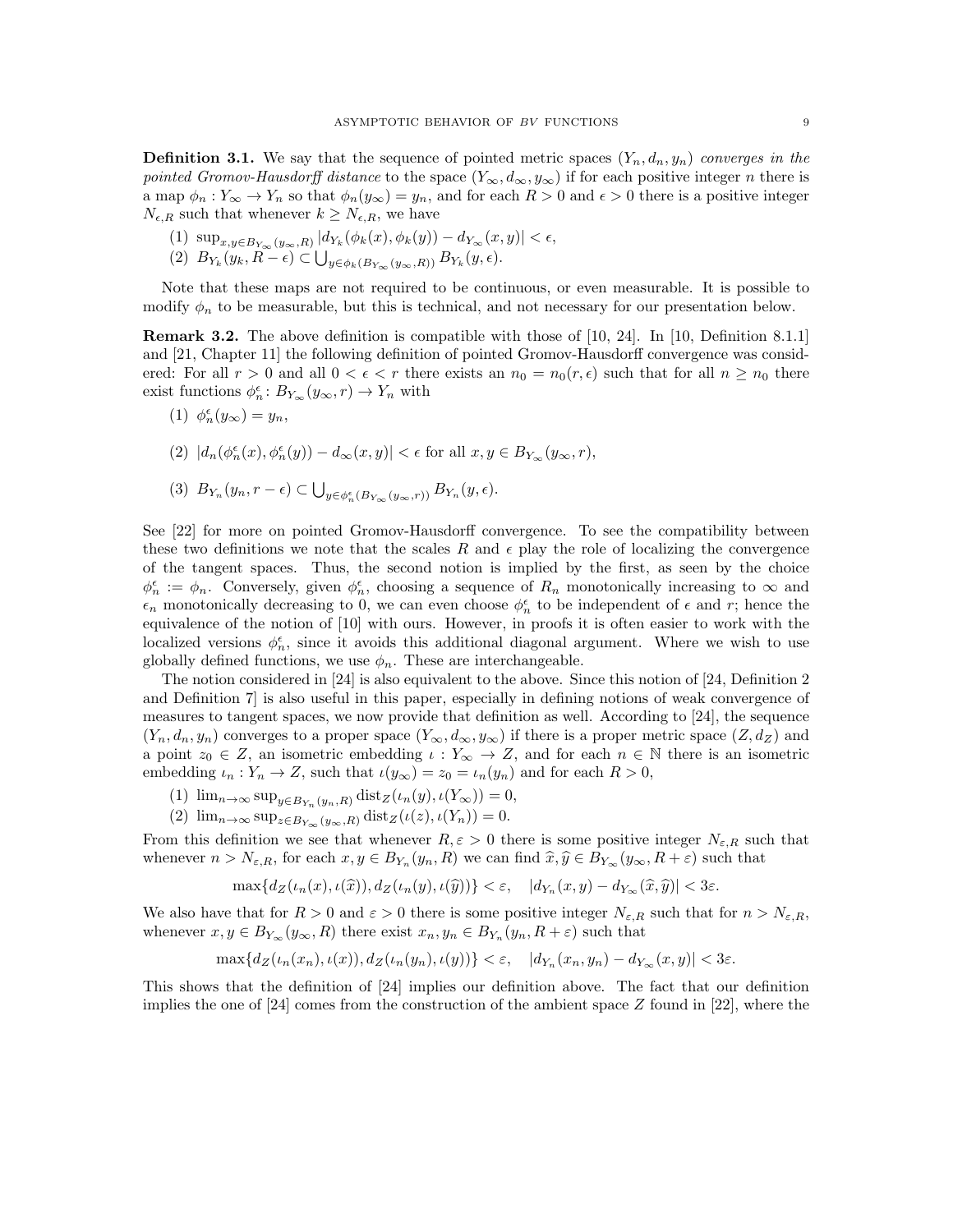**Definition 3.1.** We say that the sequence of pointed metric spaces  $(Y_n, d_n, y_n)$  converges in the pointed Gromov-Hausdorff distance to the space  $(Y_{\infty}, d_{\infty}, y_{\infty})$  if for each positive integer n there is a map  $\phi_n: Y_\infty \to Y_n$  so that  $\phi_n(y_\infty) = y_n$ , and for each  $R > 0$  and  $\epsilon > 0$  there is a positive integer  $N_{\epsilon,R}$  such that whenever  $k \geq N_{\epsilon,R}$ , we have

- (1)  $\sup_{x,y \in B_{Y_{\infty}}(y_{\infty},R)} |d_{Y_k}(\phi_k(x), \phi_k(y)) d_{Y_{\infty}}(x, y)| < \epsilon,$
- (2)  $B_{Y_k}(y_k, R \epsilon) \subset \bigcup_{y \in \phi_k(B_{Y_\infty}(y_\infty, R))} B_{Y_k}(y, \epsilon).$

Note that these maps are not required to be continuous, or even measurable. It is possible to modify  $\phi_n$  to be measurable, but this is technical, and not necessary for our presentation below.

Remark 3.2. The above definition is compatible with those of [10, 24]. In [10, Definition 8.1.1] and [21, Chapter 11] the following definition of pointed Gromov-Hausdorff convergence was considered: For all  $r > 0$  and all  $0 < \epsilon < r$  there exists an  $n_0 = n_0(r, \epsilon)$  such that for all  $n \geq n_0$  there exist functions  $\phi_n^{\epsilon} : B_{Y_{\infty}}(y_{\infty}, r) \to Y_n$  with

$$
(1) \ \phi_n^{\epsilon}(y_{\infty}) = y_n,
$$

 $(2) \ \ |d_n(\phi_n^\epsilon(x),\phi_n^\epsilon(y))-d_\infty(x,y)|<\epsilon \text{ for all } x,y\in B_{Y_\infty}(y_\infty,r),$ 

$$
(3) \; B_{Y_n}(y_n, r - \epsilon) \subset \bigcup_{y \in \phi_n^{\epsilon}(B_{Y_{\infty}}(y_{\infty}, r))} B_{Y_n}(y, \epsilon).
$$

See [22] for more on pointed Gromov-Hausdorff convergence. To see the compatibility between these two definitions we note that the scales R and  $\epsilon$  play the role of localizing the convergence of the tangent spaces. Thus, the second notion is implied by the first, as seen by the choice  $\phi_n^{\epsilon} := \phi_n$ . Conversely, given  $\phi_n^{\epsilon}$ , choosing a sequence of  $R_n$  monotonically increasing to  $\infty$  and  $\epsilon_n$  monotonically decreasing to 0, we can even choose  $\phi_n^{\epsilon}$  to be independent of  $\epsilon$  and  $r$ ; hence the equivalence of the notion of [10] with ours. However, in proofs it is often easier to work with the localized versions  $\phi_n^{\epsilon}$ , since it avoids this additional diagonal argument. Where we wish to use globally defined functions, we use  $\phi_n$ . These are interchangeable.

The notion considered in [24] is also equivalent to the above. Since this notion of [24, Definition 2 and Definition 7] is also useful in this paper, especially in defining notions of weak convergence of measures to tangent spaces, we now provide that definition as well. According to [24], the sequence  $(Y_n, d_n, y_n)$  converges to a proper space  $(Y_\infty, d_\infty, y_\infty)$  if there is a proper metric space  $(Z, d_Z)$  and a point  $z_0 \in Z$ , an isometric embedding  $\iota : Y_\infty \to Z$ , and for each  $n \in \mathbb{N}$  there is an isometric embedding  $\iota_n: Y_n \to Z$ , such that  $\iota(y_\infty) = z_0 = \iota_n(y_n)$  and for each  $R > 0$ ,

- (1)  $\lim_{n\to\infty} \sup_{y\in B_{Y_n}(y_n,R)} \text{dist}_Z(\iota_n(y), \iota(Y_\infty)) = 0,$
- (2)  $\lim_{n\to\infty} \sup_{z\in B_{Y_{\infty}}(y_{\infty},R)} \text{dist}_{Z}(\iota(z),\iota(Y_n)) = 0.$

From this definition we see that whenever  $R, \varepsilon > 0$  there is some positive integer  $N_{\varepsilon,R}$  such that whenever  $n > N_{\varepsilon,R}$ , for each  $x, y \in B_{Y_n}(y_n, R)$  we can find  $\widehat{x}, \widehat{y} \in B_{Y_\infty}(y_\infty, R + \varepsilon)$  such that

$$
\max\{d_Z(\iota_n(x),\iota(\widehat{x})),d_Z(\iota_n(y),\iota(\widehat{y}))\} < \varepsilon, \quad |d_{Y_n}(x,y) - d_{Y_\infty}(\widehat{x},\widehat{y})| < 3\varepsilon.
$$

We also have that for  $R > 0$  and  $\varepsilon > 0$  there is some positive integer  $N_{\varepsilon,R}$  such that for  $n > N_{\varepsilon,R}$ , whenever  $x, y \in B_{Y_{\infty}}(y_{\infty}, R)$  there exist  $x_n, y_n \in B_{Y_n}(y_n, R + \varepsilon)$  such that

$$
\max\{d_Z(\iota_n(x_n),\iota(x)),d_Z(\iota_n(y_n),\iota(y))\} < \varepsilon, \quad |d_{Y_n}(x_n,y_n) - d_{Y_\infty}(x,y)| < 3\varepsilon.
$$

This shows that the definition of [24] implies our definition above. The fact that our definition implies the one of [24] comes from the construction of the ambient space Z found in [22], where the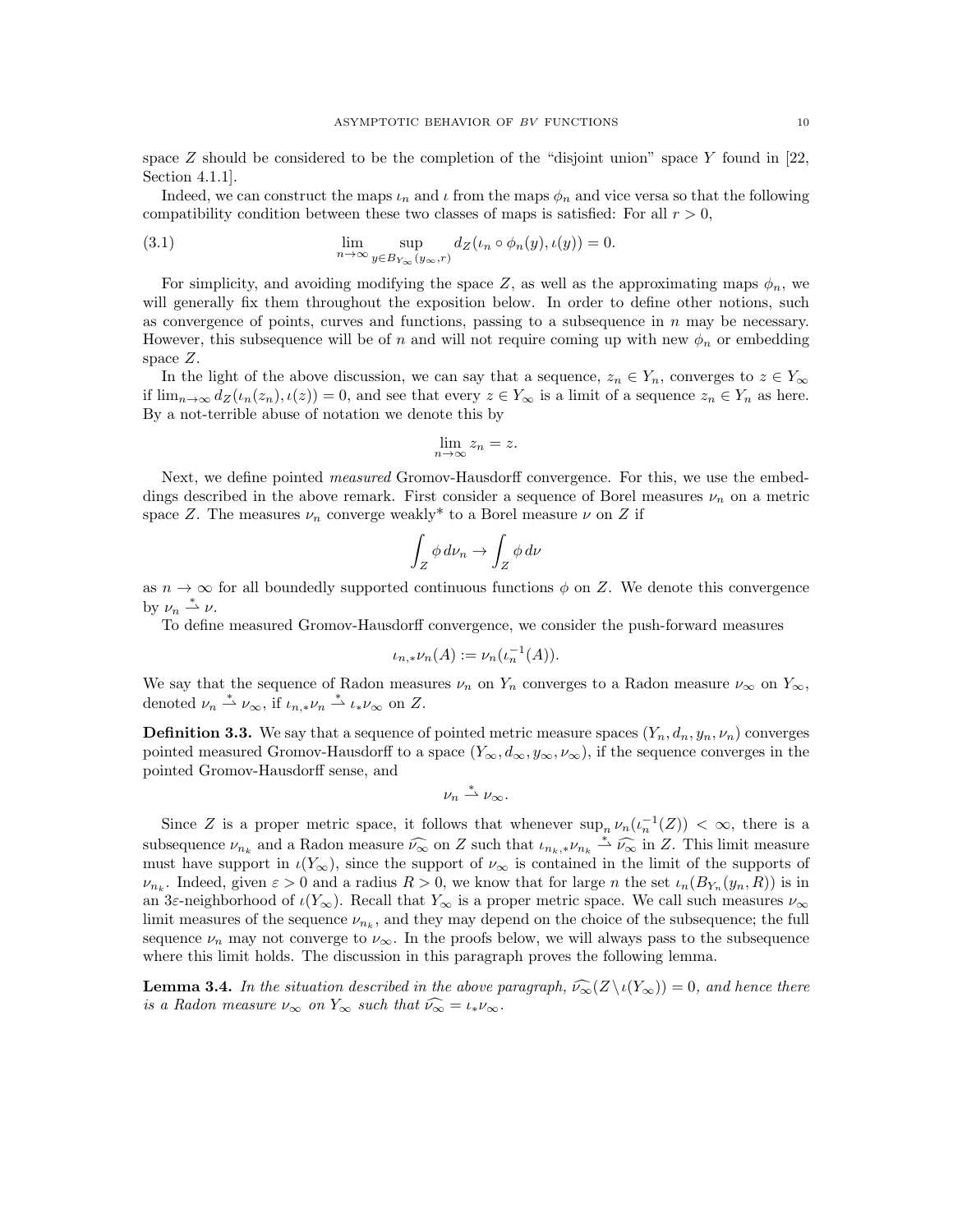space Z should be considered to be the completion of the "disjoint union" space Y found in [22, Section 4.1.1].

Indeed, we can construct the maps  $\iota_n$  and  $\iota$  from the maps  $\phi_n$  and vice versa so that the following compatibility condition between these two classes of maps is satisfied: For all  $r > 0$ ,

(3.1) 
$$
\lim_{n \to \infty} \sup_{y \in B_{Y_{\infty}}(y_{\infty}, r)} d_Z(\iota_n \circ \phi_n(y), \iota(y)) = 0.
$$

For simplicity, and avoiding modifying the space Z, as well as the approximating maps  $\phi_n$ , we will generally fix them throughout the exposition below. In order to define other notions, such as convergence of points, curves and functions, passing to a subsequence in  $n$  may be necessary. However, this subsequence will be of n and will not require coming up with new  $\phi_n$  or embedding space Z.

In the light of the above discussion, we can say that a sequence,  $z_n \in Y_n$ , converges to  $z \in Y_\infty$ if  $\lim_{n\to\infty} d_Z(\iota_n(z_n),\iota(z)) = 0$ , and see that every  $z \in Y_\infty$  is a limit of a sequence  $z_n \in Y_n$  as here. By a not-terrible abuse of notation we denote this by

$$
\lim_{n \to \infty} z_n = z.
$$

Next, we define pointed *measured* Gromov-Hausdorff convergence. For this, we use the embeddings described in the above remark. First consider a sequence of Borel measures  $\nu_n$  on a metric space Z. The measures  $\nu_n$  converge weakly<sup>\*</sup> to a Borel measure  $\nu$  on Z if

$$
\int_Z \phi \, d\nu_n \to \int_Z \phi \, d\nu
$$

as  $n \to \infty$  for all boundedly supported continuous functions  $\phi$  on Z. We denote this convergence by  $\nu_n \stackrel{*}{\rightharpoonup} \nu$ .

To define measured Gromov-Hausdorff convergence, we consider the push-forward measures

$$
\iota_{n,*} \nu_n(A) := \nu_n(\iota_n^{-1}(A)).
$$

We say that the sequence of Radon measures  $\nu_n$  on  $Y_n$  converges to a Radon measure  $\nu_{\infty}$  on  $Y_{\infty}$ , denoted  $\nu_n \stackrel{*}{\rightharpoonup} \nu_{\infty}$ , if  $\iota_{n,*} \nu_n \stackrel{*}{\rightharpoonup} \iota_{*} \nu_{\infty}$  on Z.

**Definition 3.3.** We say that a sequence of pointed metric measure spaces  $(Y_n, d_n, y_n, \nu_n)$  converges pointed measured Gromov-Hausdorff to a space  $(Y_{\infty}, d_{\infty}, y_{\infty}, \nu_{\infty})$ , if the sequence converges in the pointed Gromov-Hausdorff sense, and

$$
\nu_n\stackrel{*}{\rightharpoonup}\nu_{\infty}.
$$

Since Z is a proper metric space, it follows that whenever  $\sup_n \nu_n(\iota_n^{-1}(Z)) < \infty$ , there is a subsequence  $\nu_{n_k}$  and a Radon measure  $\widehat{\nu_{\infty}}$  on Z such that  $\iota_{n_k,*}\nu_{n_k} \stackrel{*}{\sim} \widehat{\nu_{\infty}}$  in Z. This limit measure must have support in  $\iota(Y_\infty)$ , since the support of  $\nu_\infty$  is contained in the limit of the supports of  $\nu_{n_k}$ . Indeed, given  $\varepsilon > 0$  and a radius  $R > 0$ , we know that for large n the set  $\iota_n(B_{Y_n}(y_n, R))$  is in an 3ε-neighborhood of  $\iota(Y_\infty)$ . Recall that  $Y_\infty$  is a proper metric space. We call such measures  $\nu_\infty$ limit measures of the sequence  $\nu_{n_k}$ , and they may depend on the choice of the subsequence; the full sequence  $\nu_n$  may not converge to  $\nu_\infty$ . In the proofs below, we will always pass to the subsequence where this limit holds. The discussion in this paragraph proves the following lemma.

**Lemma 3.4.** In the situation described in the above paragraph,  $\widehat{\nu}_{\infty}(Z \setminus \iota(Y_{\infty})) = 0$ , and hence there is a Radon measure  $\nu_{\infty}$  on  $Y_{\infty}$  such that  $\widehat{\nu_{\infty}} = \iota_{*} \nu_{\infty}$ .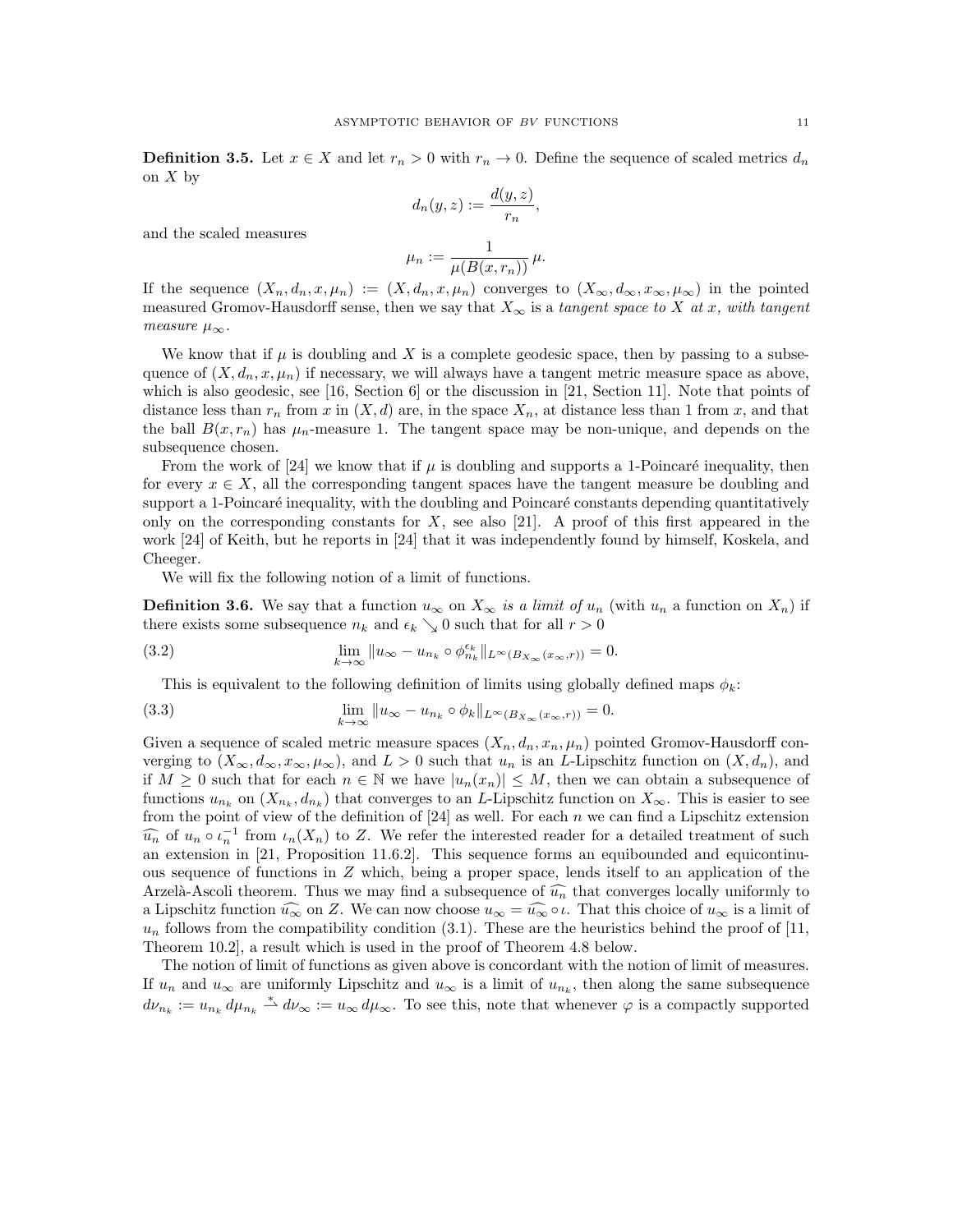**Definition 3.5.** Let  $x \in X$  and let  $r_n > 0$  with  $r_n \to 0$ . Define the sequence of scaled metrics  $d_n$ on  $X$  by

$$
d_n(y, z) := \frac{d(y, z)}{r_n},
$$

and the scaled measures

$$
\mu_n := \frac{1}{\mu(B(x, r_n))} \mu.
$$

If the sequence  $(X_n, d_n, x, \mu_n) := (X, d_n, x, \mu_n)$  converges to  $(X_\infty, d_\infty, x_\infty, \mu_\infty)$  in the pointed measured Gromov-Hausdorff sense, then we say that  $X_{\infty}$  is a tangent space to X at x, with tangent measure  $\mu_{\infty}$ .

We know that if  $\mu$  is doubling and X is a complete geodesic space, then by passing to a subsequence of  $(X, d_n, x, \mu_n)$  if necessary, we will always have a tangent metric measure space as above, which is also geodesic, see [16, Section 6] or the discussion in [21, Section 11]. Note that points of distance less than  $r_n$  from x in  $(X, d)$  are, in the space  $X_n$ , at distance less than 1 from x, and that the ball  $B(x, r_n)$  has  $\mu_n$ -measure 1. The tangent space may be non-unique, and depends on the subsequence chosen.

From the work of [24] we know that if  $\mu$  is doubling and supports a 1-Poincaré inequality, then for every  $x \in X$ , all the corresponding tangent spaces have the tangent measure be doubling and support a 1-Poincaré inequality, with the doubling and Poincaré constants depending quantitatively only on the corresponding constants for  $X$ , see also [21]. A proof of this first appeared in the work [24] of Keith, but he reports in [24] that it was independently found by himself, Koskela, and Cheeger.

We will fix the following notion of a limit of functions.

**Definition 3.6.** We say that a function  $u_{\infty}$  on  $X_{\infty}$  is a limit of  $u_n$  (with  $u_n$  a function on  $X_n$ ) if there exists some subsequence  $n_k$  and  $\epsilon_k \searrow 0$  such that for all  $r > 0$ 

(3.2) 
$$
\lim_{k \to \infty} ||u_{\infty} - u_{n_k} \circ \phi_{n_k}^{\epsilon_k}||_{L^{\infty}(B_{X_{\infty}}(x_{\infty}, r))} = 0.
$$

This is equivalent to the following definition of limits using globally defined maps  $\phi_k$ :

(3.3) 
$$
\lim_{k \to \infty} ||u_{\infty} - u_{n_k} \circ \phi_k||_{L^{\infty}(B_{X_{\infty}}(x_{\infty}, r))} = 0.
$$

Given a sequence of scaled metric measure spaces  $(X_n, d_n, x_n, \mu_n)$  pointed Gromov-Hausdorff converging to  $(X_\infty, d_\infty, x_\infty, \mu_\infty)$ , and  $L > 0$  such that  $u_n$  is an L-Lipschitz function on  $(X, d_n)$ , and if  $M \geq 0$  such that for each  $n \in \mathbb{N}$  we have  $|u_n(x_n)| \leq M$ , then we can obtain a subsequence of functions  $u_{n_k}$  on  $(X_{n_k}, d_{n_k})$  that converges to an L-Lipschitz function on  $X_\infty$ . This is easier to see from the point of view of the definition of  $[24]$  as well. For each n we can find a Lipschitz extension  $\widehat{u_n}$  of  $u_n \circ \iota_n^{-1}$  from  $\iota_n(X_n)$  to Z. We refer the interested reader for a detailed treatment of such an expression in [21]. Proposition 11.6.2]. This sequence forms an equipounded and equipontinu an extension in [21, Proposition 11.6.2]. This sequence forms an equibounded and equicontinuous sequence of functions in Z which, being a proper space, lends itself to an application of the Arzelà-Ascoli theorem. Thus we may find a subsequence of  $\widehat{u_n}$  that converges locally uniformly to a Lipschitz function  $\widehat{u_{\infty}}$  on Z. We can now choose  $u_{\infty} = \widehat{u_{\infty}} \circ \iota$ . That this choice of  $u_{\infty}$  is a limit of  $u_n$  follows from the compatibility condition (3.1). These are the heuristics behind the proof of [11, Theorem 10.2], a result which is used in the proof of Theorem 4.8 below.

The notion of limit of functions as given above is concordant with the notion of limit of measures. If  $u_n$  and  $u_\infty$  are uniformly Lipschitz and  $u_\infty$  is a limit of  $u_{n_k}$ , then along the same subsequence  $d\nu_{n_k} := u_{n_k} d\mu_{n_k} \stackrel{*}{\rightharpoonup} d\nu_{\infty} := u_{\infty} d\mu_{\infty}$ . To see this, note that whenever  $\varphi$  is a compactly supported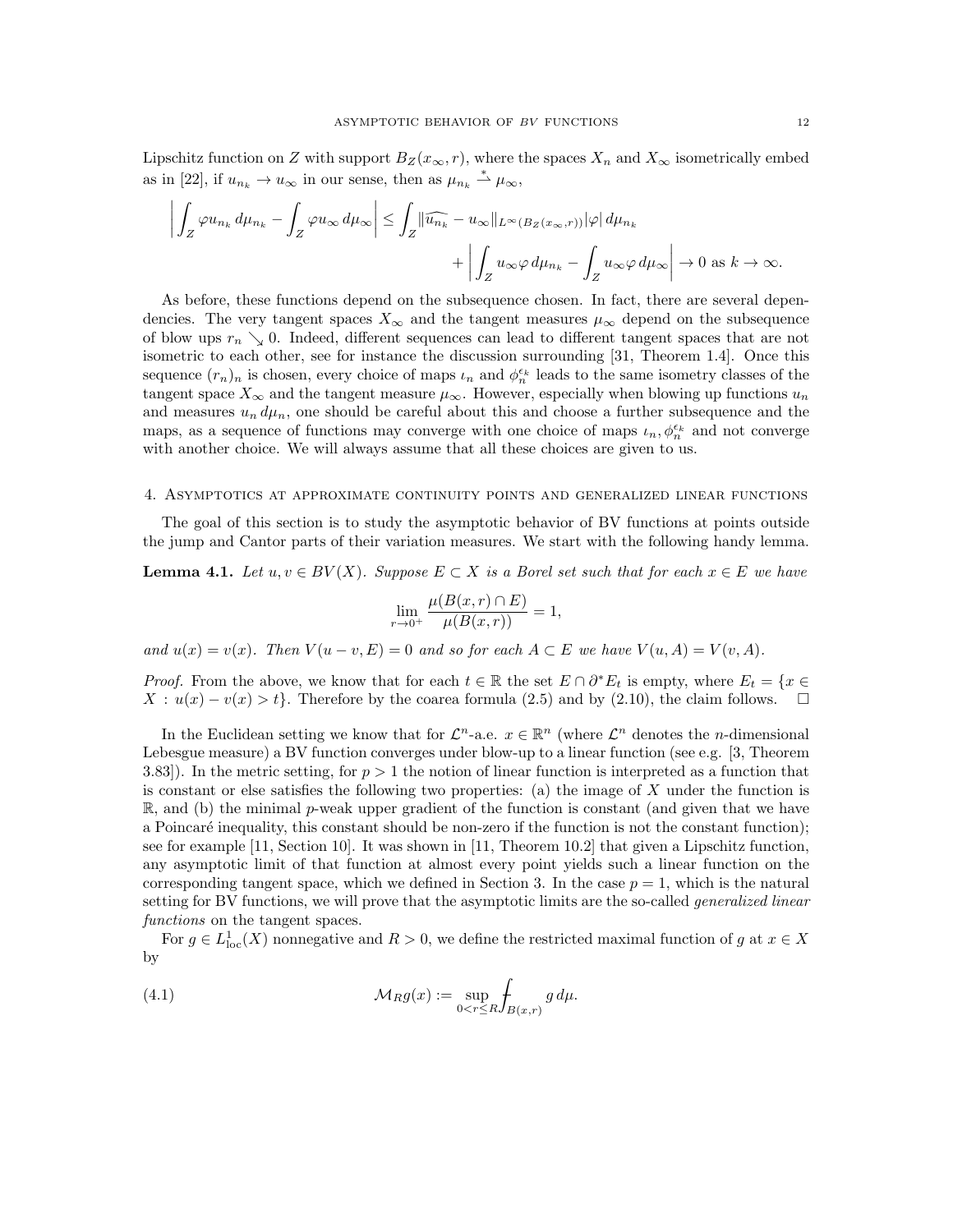Lipschitz function on Z with support  $B_Z(x_\infty, r)$ , where the spaces  $X_n$  and  $X_\infty$  isometrically embed as in [22], if  $u_{n_k} \to u_{\infty}$  in our sense, then as  $\mu_{n_k} \stackrel{*}{\rightharpoonup} \mu_{\infty}$ ,

$$
\left| \int_{Z} \varphi u_{n_{k}} \, d\mu_{n_{k}} - \int_{Z} \varphi u_{\infty} \, d\mu_{\infty} \right| \leq \int_{Z} \left\| \widehat{u_{n_{k}}} - u_{\infty} \right\|_{L^{\infty}(B_{Z}(x_{\infty}, r))} |\varphi| \, d\mu_{n_{k}} + \left| \int_{Z} u_{\infty} \varphi \, d\mu_{n_{k}} - \int_{Z} u_{\infty} \varphi \, d\mu_{\infty} \right| \to 0 \text{ as } k \to \infty.
$$

As before, these functions depend on the subsequence chosen. In fact, there are several dependencies. The very tangent spaces  $X_{\infty}$  and the tangent measures  $\mu_{\infty}$  depend on the subsequence of blow ups  $r_n \searrow 0$ . Indeed, different sequences can lead to different tangent spaces that are not isometric to each other, see for instance the discussion surrounding [31, Theorem 1.4]. Once this sequence  $(r_n)_n$  is chosen, every choice of maps  $\iota_n$  and  $\phi_n^{\epsilon_k}$  leads to the same isometry classes of the tangent space  $X_{\infty}$  and the tangent measure  $\mu_{\infty}$ . However, especially when blowing up functions  $u_n$ and measures  $u_n d\mu_n$ , one should be careful about this and choose a further subsequence and the maps, as a sequence of functions may converge with one choice of maps  $\iota_n, \phi_n^{\epsilon_k}$  and not converge with another choice. We will always assume that all these choices are given to us.

#### 4. Asymptotics at approximate continuity points and generalized linear functions

The goal of this section is to study the asymptotic behavior of BV functions at points outside the jump and Cantor parts of their variation measures. We start with the following handy lemma.

**Lemma 4.1.** Let  $u, v \in BV(X)$ . Suppose  $E \subset X$  is a Borel set such that for each  $x \in E$  we have

$$
\lim_{r \to 0^+} \frac{\mu(B(x,r) \cap E)}{\mu(B(x,r))} = 1,
$$

and  $u(x) = v(x)$ . Then  $V(u - v, E) = 0$  and so for each  $A \subset E$  we have  $V(u, A) = V(v, A)$ .

*Proof.* From the above, we know that for each  $t \in \mathbb{R}$  the set  $E \cap \partial^* E_t$  is empty, where  $E_t = \{x \in$  $X: u(x) - v(x) > t$ . Therefore by the coarea formula (2.5) and by (2.10), the claim follows.  $\Box$ 

In the Euclidean setting we know that for  $\mathcal{L}^n$ -a.e.  $x \in \mathbb{R}^n$  (where  $\mathcal{L}^n$  denotes the *n*-dimensional Lebesgue measure) a BV function converges under blow-up to a linear function (see e.g. [3, Theorem 3.83]). In the metric setting, for  $p > 1$  the notion of linear function is interpreted as a function that is constant or else satisfies the following two properties: (a) the image of  $X$  under the function is  $\mathbb{R}$ , and (b) the minimal p-weak upper gradient of the function is constant (and given that we have a Poincaré inequality, this constant should be non-zero if the function is not the constant function); see for example [11, Section 10]. It was shown in [11, Theorem 10.2] that given a Lipschitz function, any asymptotic limit of that function at almost every point yields such a linear function on the corresponding tangent space, which we defined in Section 3. In the case  $p = 1$ , which is the natural setting for BV functions, we will prove that the asymptotic limits are the so-called *generalized linear* functions on the tangent spaces.

For  $g \in L^1_{loc}(X)$  nonnegative and  $R > 0$ , we define the restricted maximal function of g at  $x \in X$ by

(4.1) 
$$
\mathcal{M}_R g(x) := \sup_{0 < r \leq R} \int_{B(x,r)} g \, d\mu.
$$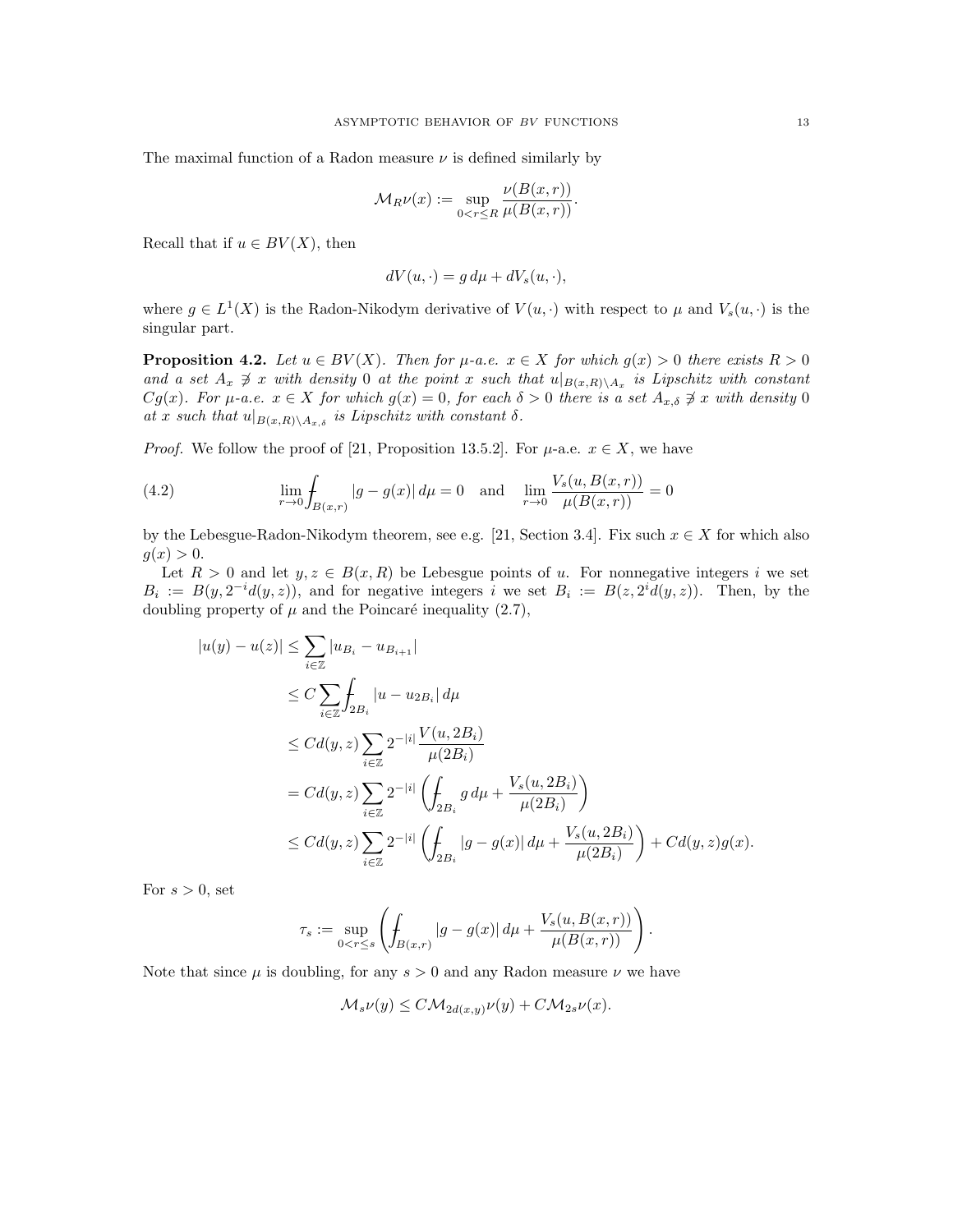The maximal function of a Radon measure  $\nu$  is defined similarly by

$$
\mathcal{M}_R \nu(x) := \sup_{0 < r \le R} \frac{\nu(B(x, r))}{\mu(B(x, r))}.
$$

Recall that if  $u \in BV(X)$ , then

$$
dV(u, \cdot) = g d\mu + dV_s(u, \cdot),
$$

where  $g \in L^1(X)$  is the Radon-Nikodym derivative of  $V(u, \cdot)$  with respect to  $\mu$  and  $V_s(u, \cdot)$  is the singular part.

**Proposition 4.2.** Let  $u \in BV(X)$ . Then for  $\mu$ -a.e.  $x \in X$  for which  $g(x) > 0$  there exists  $R > 0$ and a set  $A_x \not\supseteq x$  with density 0 at the point x such that  $u|_{B(x,R)\setminus A_x}$  is Lipschitz with constant  $Cg(x)$ . For  $\mu$ -a.e.  $x \in X$  for which  $g(x) = 0$ , for each  $\delta > 0$  there is a set  $A_{x,\delta} \not\ni x$  with density 0 at x such that  $u|_{B(x,R)\setminus A_{x,\delta}}$  is Lipschitz with constant  $\delta$ .

*Proof.* We follow the proof of [21, Proposition 13.5.2]. For  $\mu$ -a.e.  $x \in X$ , we have

(4.2) 
$$
\lim_{r \to 0} \int_{B(x,r)} |g - g(x)| d\mu = 0 \text{ and } \lim_{r \to 0} \frac{V_s(u, B(x,r))}{\mu(B(x,r))} = 0
$$

by the Lebesgue-Radon-Nikodym theorem, see e.g. [21, Section 3.4]. Fix such  $x \in X$  for which also  $g(x) > 0.$ 

Let  $R > 0$  and let  $y, z \in B(x, R)$  be Lebesgue points of u. For nonnegative integers i we set  $B_i := B(y, 2^{-i}d(y, z))$ , and for negative integers i we set  $B_i := B(z, 2^{i}d(y, z))$ . Then, by the doubling property of  $\mu$  and the Poincaré inequality (2.7),

$$
|u(y) - u(z)| \le \sum_{i \in \mathbb{Z}} |u_{B_i} - u_{B_{i+1}}|
$$
  
\n
$$
\le C \sum_{i \in \mathbb{Z}} \int_{2B_i} |u - u_{2B_i}| d\mu
$$
  
\n
$$
\le C d(y, z) \sum_{i \in \mathbb{Z}} 2^{-|i|} \frac{V(u, 2B_i)}{\mu(2B_i)}
$$
  
\n
$$
= C d(y, z) \sum_{i \in \mathbb{Z}} 2^{-|i|} \left( \int_{2B_i} g d\mu + \frac{V_s(u, 2B_i)}{\mu(2B_i)} \right)
$$
  
\n
$$
\le C d(y, z) \sum_{i \in \mathbb{Z}} 2^{-|i|} \left( \int_{2B_i} |g - g(x)| d\mu + \frac{V_s(u, 2B_i)}{\mu(2B_i)} \right) + C d(y, z) g(x).
$$

For  $s > 0$ , set

$$
\tau_s:=\sup_{0
$$

.

Note that since  $\mu$  is doubling, for any  $s > 0$  and any Radon measure  $\nu$  we have

$$
\mathcal{M}_s \nu(y) \le C \mathcal{M}_{2d(x,y)} \nu(y) + C \mathcal{M}_{2s} \nu(x).
$$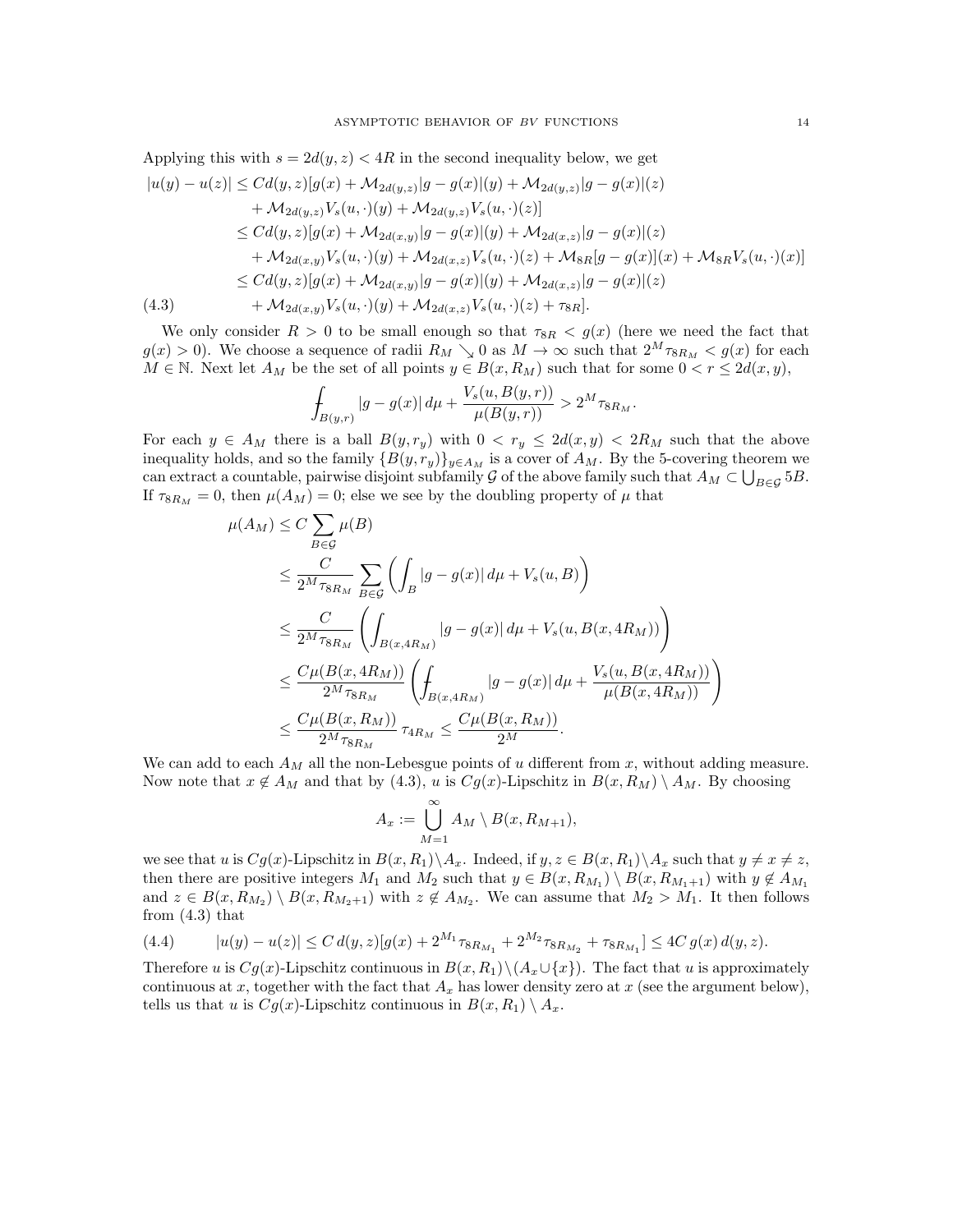Applying this with 
$$
s = 2d(y, z) < 4R
$$
 in the second inequality below, we get  
\n
$$
|u(y) - u(z)| \leq Cd(y, z)[g(x) + M_{2d(y, z)}|g - g(x)|(y) + M_{2d(y, z)}|g - g(x)|(z) + M_{2d(y, z)}V_s(u, \cdot)(y) + M_{2d(y, z)}V_s(u, \cdot)(z)]
$$
\n
$$
\leq Cd(y, z)[g(x) + M_{2d(x, y)}|g - g(x)|(y) + M_{2d(x, z)}|g - g(x)|(z) + M_{2d(x, y)}V_s(u, \cdot)(y) + M_{2d(x, z)}V_s(u, \cdot)(z) + M_{8R}[g - g(x)](x) + M_{8R}V_s(u, \cdot)(x)]
$$
\n
$$
\leq Cd(y, z)[g(x) + M_{2d(x, y)}|g - g(x)|(y) + M_{2d(x, z)}|g - g(x)|(z)
$$
\n(4.3) 
$$
+ M_{2d(x, y)}V_s(u, \cdot)(y) + M_{2d(x, z)}V_s(u, \cdot)(z) + \tau_{8R}].
$$

We only consider  $R > 0$  to be small enough so that  $\tau_{8R} < g(x)$  (here we need the fact that  $g(x) > 0$ . We choose a sequence of radii  $R_M \searrow 0$  as  $M \to \infty$  such that  $2^M \tau_{8R_M} < g(x)$  for each  $M \in \mathbb{N}$ . Next let  $A_M$  be the set of all points  $y \in B(x, R_M)$  such that for some  $0 < r \leq 2d(x, y)$ ,

$$
\int_{B(y,r)} |g - g(x)| d\mu + \frac{V_s(u, B(y,r))}{\mu(B(y,r))} > 2^M \tau_{8R_M}.
$$

For each  $y \in A_M$  there is a ball  $B(y, r_y)$  with  $0 < r_y \leq 2d(x, y) < 2R_M$  such that the above inequality holds, and so the family  ${B(y, r_y)}_{y \in A_M}$  is a cover of  $A_M$ . By the 5-covering theorem we can extract a countable, pairwise disjoint subfamily G of the above family such that  $A_M \subset \bigcup_{B \in \mathcal{G}} 5B$ . If  $\tau_{8R_M} = 0$ , then  $\mu(A_M) = 0$ ; else we see by the doubling property of  $\mu$  that

$$
\mu(A_M) \le C \sum_{B \in \mathcal{G}} \mu(B)
$$
\n
$$
\le \frac{C}{2^M \tau_{8R_M}} \sum_{B \in \mathcal{G}} \left( \int_B |g - g(x)| d\mu + V_s(u, B) \right)
$$
\n
$$
\le \frac{C}{2^M \tau_{8R_M}} \left( \int_{B(x, 4R_M)} |g - g(x)| d\mu + V_s(u, B(x, 4R_M)) \right)
$$
\n
$$
\le \frac{C\mu(B(x, 4R_M))}{2^M \tau_{8R_M}} \left( \int_{B(x, 4R_M)} |g - g(x)| d\mu + \frac{V_s(u, B(x, 4R_M))}{\mu(B(x, 4R_M))} \right)
$$
\n
$$
\le \frac{C\mu(B(x, R_M))}{2^M \tau_{8R_M}} \tau_{4R_M} \le \frac{C\mu(B(x, R_M))}{2^M}.
$$

We can add to each  $A_M$  all the non-Lebesgue points of u different from x, without adding measure. Now note that  $x \notin A_M$  and that by (4.3), u is  $Cg(x)$ -Lipschitz in  $B(x, R_M) \setminus A_M$ . By choosing

$$
A_x := \bigcup_{M=1}^{\infty} A_M \setminus B(x, R_{M+1}),
$$

we see that u is  $Cg(x)$ -Lipschitz in  $B(x, R_1)\backslash A_x$ . Indeed, if  $y, z \in B(x, R_1)\backslash A_x$  such that  $y \neq x \neq z$ , then there are positive integers  $M_1$  and  $M_2$  such that  $y \in B(x, R_{M_1}) \setminus B(x, R_{M_1+1})$  with  $y \notin A_{M_1}$ and  $z \in B(x, R_{M_2}) \setminus B(x, R_{M_2+1})$  with  $z \notin A_{M_2}$ . We can assume that  $M_2 > M_1$ . It then follows from (4.3) that

$$
(4.4) \qquad |u(y) - u(z)| \le C d(y, z) [g(x) + 2^{M_1} \tau_{8R_{M_1}} + 2^{M_2} \tau_{8R_{M_2}} + \tau_{8R_{M_1}}] \le 4C g(x) d(y, z).
$$

Therefore u is  $Cg(x)$ -Lipschitz continuous in  $B(x, R_1) \setminus (A_x \cup \{x\})$ . The fact that u is approximately continuous at x, together with the fact that  $A_x$  has lower density zero at x (see the argument below), tells us that u is  $Cg(x)$ -Lipschitz continuous in  $B(x, R_1) \setminus A_x$ .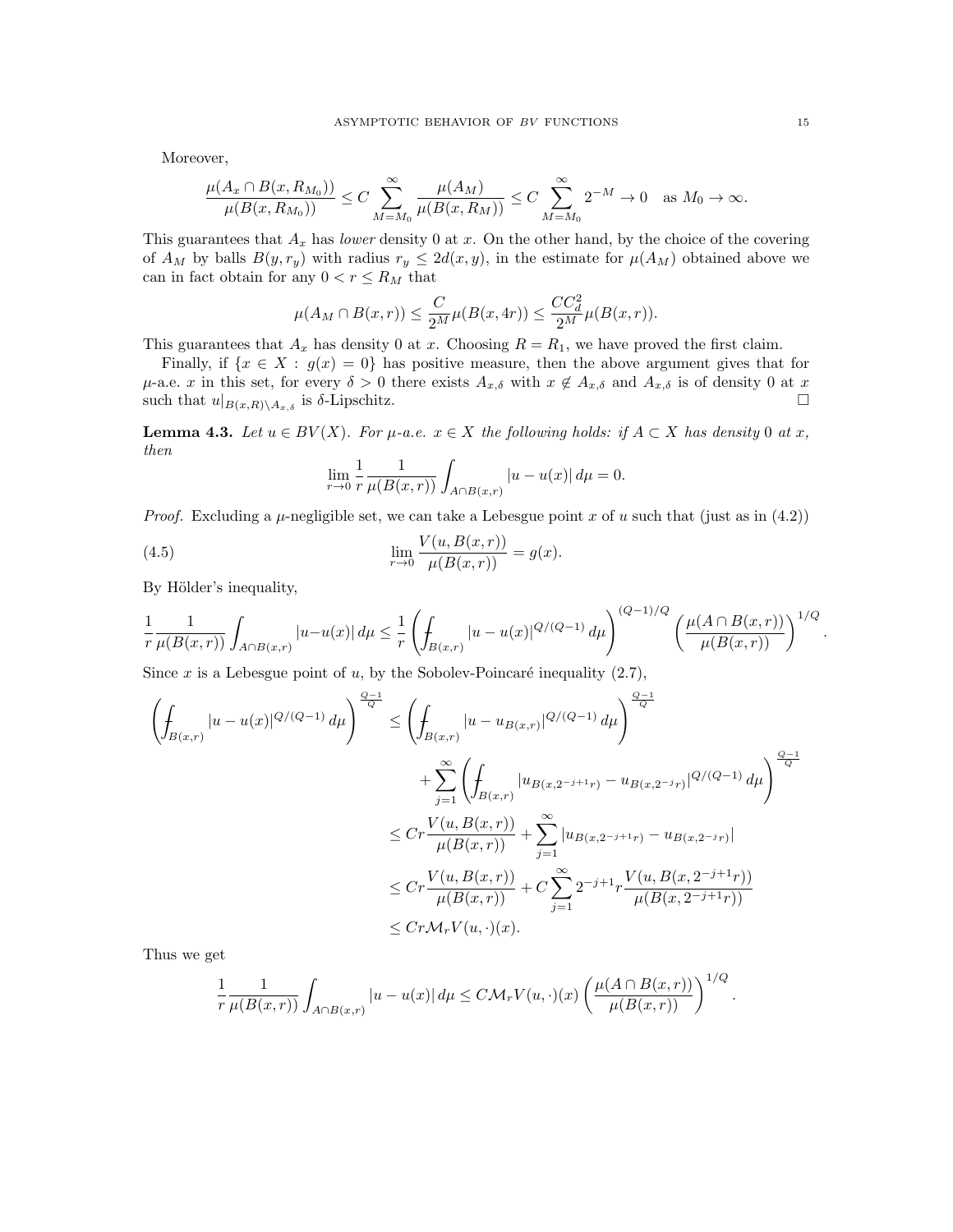Moreover,

$$
\frac{\mu(A_x \cap B(x, R_{M_0}))}{\mu(B(x, R_{M_0}))} \le C \sum_{M=M_0}^{\infty} \frac{\mu(A_M)}{\mu(B(x, R_M))} \le C \sum_{M=M_0}^{\infty} 2^{-M} \to 0 \text{ as } M_0 \to \infty.
$$

This guarantees that  $A_x$  has lower density 0 at x. On the other hand, by the choice of the covering of  $A_M$  by balls  $B(y, r_y)$  with radius  $r_y \leq 2d(x, y)$ , in the estimate for  $\mu(A_M)$  obtained above we can in fact obtain for any  $0 < r \le R_M$  that

$$
\mu(A_M \cap B(x,r)) \le \frac{C}{2^M} \mu(B(x,4r)) \le \frac{CC_d^2}{2^M} \mu(B(x,r)).
$$

This guarantees that  $A_x$  has density 0 at x. Choosing  $R = R_1$ , we have proved the first claim.

Finally, if  $\{x \in X : g(x) = 0\}$  has positive measure, then the above argument gives that for  $\mu$ -a.e. x in this set, for every  $\delta > 0$  there exists  $A_{x,\delta}$  with  $x \notin A_{x,\delta}$  and  $A_{x,\delta}$  is of density 0 at x such that  $u|_{B(x,R)\setminus A_{x,\delta}}$  is  $\delta$ -Lipschitz.

**Lemma 4.3.** Let  $u \in BV(X)$ . For  $\mu$ -a.e.  $x \in X$  the following holds: if  $A \subset X$  has density 0 at x, then

$$
\lim_{r \to 0} \frac{1}{r} \frac{1}{\mu(B(x,r))} \int_{A \cap B(x,r)} |u - u(x)| d\mu = 0.
$$

*Proof.* Excluding a  $\mu$ -negligible set, we can take a Lebesgue point x of u such that (just as in (4.2))

(4.5) 
$$
\lim_{r \to 0} \frac{V(u, B(x, r))}{\mu(B(x, r))} = g(x).
$$

By Hölder's inequality,

$$
\frac{1}{r}\frac{1}{\mu(B(x,r))}\int_{A\cap B(x,r)}|u-u(x)|\,d\mu\leq \frac{1}{r}\left(\int_{B(x,r)}|u-u(x)|^{Q/(Q-1)}\,d\mu\right)^{(Q-1)/Q}\left(\frac{\mu(A\cap B(x,r))}{\mu(B(x,r))}\right)^{1/Q}.
$$

Since x is a Lebesgue point of u, by the Sobolev-Poincaré inequality  $(2.7)$ ,

$$
\left(\oint_{B(x,r)} |u - u(x)|^{Q/(Q-1)} d\mu\right)^{\frac{Q-1}{Q}} \le \left(\oint_{B(x,r)} |u - u_{B(x,r)}|^{Q/(Q-1)} d\mu\right)^{\frac{Q-1}{Q}} \n+ \sum_{j=1}^{\infty} \left(\oint_{B(x,r)} |u_{B(x,2^{-j+1}r)} - u_{B(x,2^{-j}r)}|^{Q/(Q-1)} d\mu\right)^{\frac{Q-1}{Q}} \n\le Cr \frac{V(u, B(x,r))}{\mu(B(x,r))} + \sum_{j=1}^{\infty} |u_{B(x,2^{-j+1}r)} - u_{B(x,2^{-j}r)}| \n\le Cr \frac{V(u, B(x,r))}{\mu(B(x,r))} + C \sum_{j=1}^{\infty} 2^{-j+1} r \frac{V(u, B(x,2^{-j+1}r))}{\mu(B(x,2^{-j+1}r))} \n\le Cr M_r V(u, \cdot)(x).
$$

Thus we get

$$
\frac{1}{r}\frac{1}{\mu(B(x,r))}\int_{A\cap B(x,r)}|u-u(x)|\,d\mu\leq C\mathcal{M}_rV(u,\cdot)(x)\left(\frac{\mu(A\cap B(x,r))}{\mu(B(x,r))}\right)^{1/Q}.
$$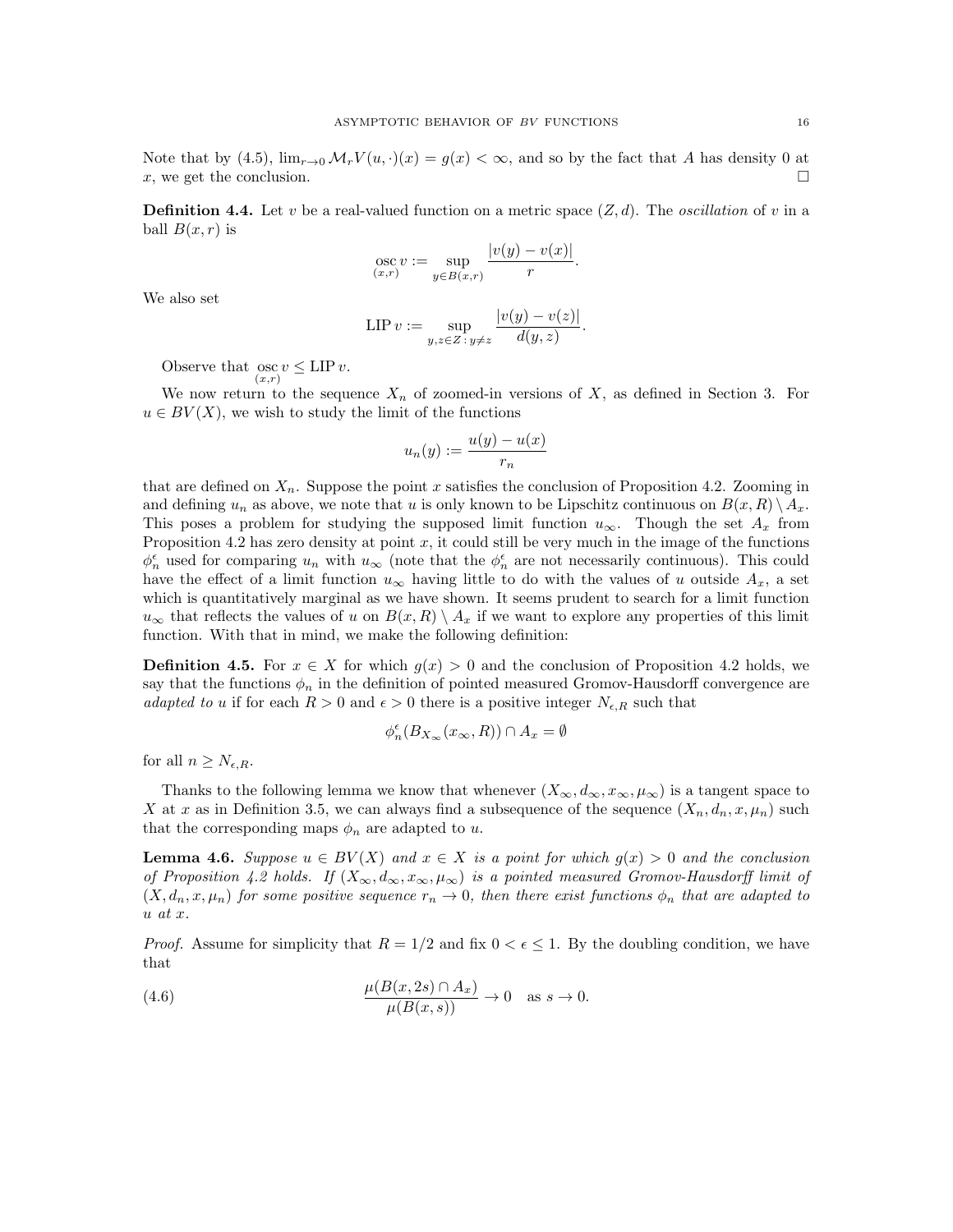Note that by (4.5),  $\lim_{x\to 0} \mathcal{M}_r V(u, \cdot)(x) = g(x) < \infty$ , and so by the fact that A has density 0 at x, we get the conclusion.

**Definition 4.4.** Let v be a real-valued function on a metric space  $(Z, d)$ . The *oscillation* of v in a ball  $B(x, r)$  is

osc 
$$
v := \sup_{y \in B(x,r)} \frac{|v(y) - v(x)|}{r}
$$
.

We also set

$$
\text{LIP } v := \sup_{y,z \in Z \, : \, y \neq z} \frac{|v(y) - v(z)|}{d(y,z)}.
$$

Observe that  $\underset{(x,r)}{\operatorname{osc}} v \leq \text{LIP } v.$ 

We now return to the sequence  $X_n$  of zoomed-in versions of X, as defined in Section 3. For  $u \in BV(X)$ , we wish to study the limit of the functions

$$
u_n(y) := \frac{u(y) - u(x)}{r_n}
$$

that are defined on  $X_n$ . Suppose the point x satisfies the conclusion of Proposition 4.2. Zooming in and defining  $u_n$  as above, we note that u is only known to be Lipschitz continuous on  $B(x, R) \setminus A_x$ . This poses a problem for studying the supposed limit function  $u_{\infty}$ . Though the set  $A_x$  from Proposition 4.2 has zero density at point  $x$ , it could still be very much in the image of the functions  $\phi_n^{\epsilon}$  used for comparing  $u_n$  with  $u_{\infty}$  (note that the  $\phi_n^{\epsilon}$  are not necessarily continuous). This could have the effect of a limit function  $u_{\infty}$  having little to do with the values of u outside  $A_x$ , a set which is quantitatively marginal as we have shown. It seems prudent to search for a limit function  $u_{\infty}$  that reflects the values of u on  $B(x, R) \setminus A_x$  if we want to explore any properties of this limit function. With that in mind, we make the following definition:

**Definition 4.5.** For  $x \in X$  for which  $g(x) > 0$  and the conclusion of Proposition 4.2 holds, we say that the functions  $\phi_n$  in the definition of pointed measured Gromov-Hausdorff convergence are adapted to u if for each  $R > 0$  and  $\epsilon > 0$  there is a positive integer  $N_{\epsilon,R}$  such that

$$
\phi_n^\epsilon(B_{X_\infty}(x_\infty,R))\cap A_x=\emptyset
$$

for all  $n \geq N_{\epsilon,R}$ .

Thanks to the following lemma we know that whenever  $(X_{\infty}, d_{\infty}, x_{\infty}, \mu_{\infty})$  is a tangent space to X at x as in Definition 3.5, we can always find a subsequence of the sequence  $(X_n, d_n, x, \mu_n)$  such that the corresponding maps  $\phi_n$  are adapted to u.

**Lemma 4.6.** Suppose  $u \in BV(X)$  and  $x \in X$  is a point for which  $g(x) > 0$  and the conclusion of Proposition 4.2 holds. If  $(X_\infty, d_\infty, x_\infty, \mu_\infty)$  is a pointed measured Gromov-Hausdorff limit of  $(X, d_n, x, \mu_n)$  for some positive sequence  $r_n \to 0$ , then there exist functions  $\phi_n$  that are adapted to  $u$  at  $x$ .

*Proof.* Assume for simplicity that  $R = 1/2$  and fix  $0 < \epsilon \leq 1$ . By the doubling condition, we have that

(4.6) 
$$
\frac{\mu(B(x, 2s) \cap A_x)}{\mu(B(x, s))} \to 0 \quad \text{as } s \to 0.
$$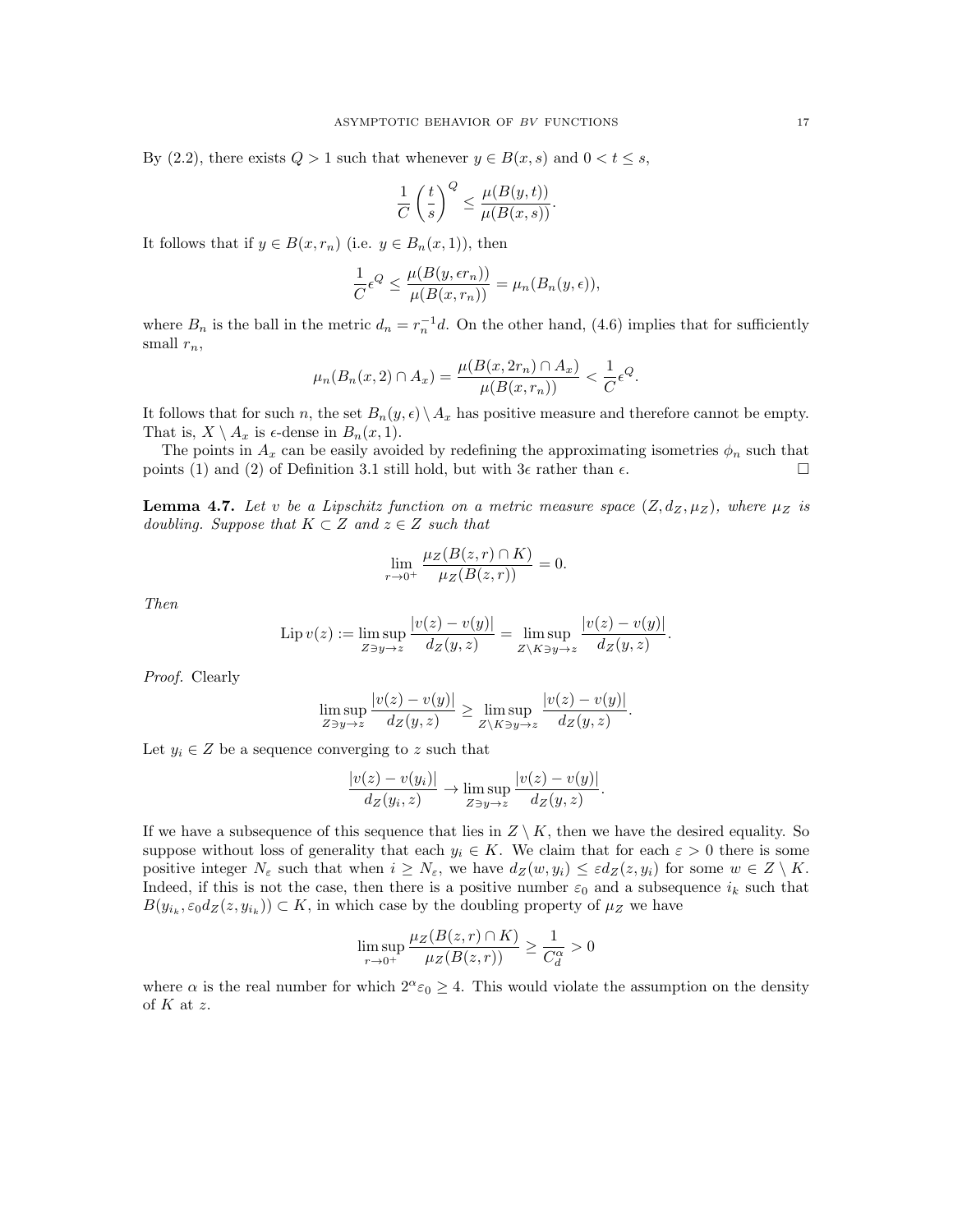By (2.2), there exists  $Q > 1$  such that whenever  $y \in B(x, s)$  and  $0 < t \leq s$ ,

$$
\frac{1}{C} \left(\frac{t}{s}\right)^Q \leq \frac{\mu(B(y,t))}{\mu(B(x,s))}.
$$

It follows that if  $y \in B(x, r_n)$  (i.e.  $y \in B_n(x, 1)$ ), then

$$
\frac{1}{C}\epsilon^{Q} \le \frac{\mu(B(y,\epsilon r_n))}{\mu(B(x,r_n))} = \mu_n(B_n(y,\epsilon)),
$$

where  $B_n$  is the ball in the metric  $d_n = r_n^{-1}d$ . On the other hand, (4.6) implies that for sufficiently small  $r_n$ ,

$$
\mu_n(B_n(x, 2) \cap A_x) = \frac{\mu(B(x, 2r_n) \cap A_x)}{\mu(B(x, r_n))} < \frac{1}{C} \epsilon^Q.
$$

It follows that for such n, the set  $B_n(y, \epsilon) \setminus A_x$  has positive measure and therefore cannot be empty. That is,  $X \setminus A_x$  is  $\epsilon$ -dense in  $B_n(x, 1)$ .

The points in  $A_x$  can be easily avoided by redefining the approximating isometries  $\phi_n$  such that points (1) and (2) of Definition 3.1 still hold, but with  $3\epsilon$  rather than  $\epsilon$ .

**Lemma 4.7.** Let v be a Lipschitz function on a metric measure space  $(Z, d_Z, \mu_Z)$ , where  $\mu_Z$  is doubling. Suppose that  $K \subset Z$  and  $z \in Z$  such that

$$
\lim_{r \to 0^+} \frac{\mu_Z(B(z, r) \cap K)}{\mu_Z(B(z, r))} = 0.
$$

Then

$$
\text{Lip } v(z) := \limsup_{Z \ni y \to z} \frac{|v(z) - v(y)|}{d_Z(y, z)} = \limsup_{Z \setminus K \ni y \to z} \frac{|v(z) - v(y)|}{d_Z(y, z)}.
$$

Proof. Clearly

$$
\limsup_{Z \ni y \to z} \frac{|v(z) - v(y)|}{d_Z(y, z)} \ge \limsup_{Z \setminus K \ni y \to z} \frac{|v(z) - v(y)|}{d_Z(y, z)}.
$$

Let  $y_i \in Z$  be a sequence converging to z such that

$$
\frac{|v(z) - v(y_i)|}{d_Z(y_i, z)} \to \limsup_{Z \ni y \to z} \frac{|v(z) - v(y)|}{d_Z(y, z)}.
$$

If we have a subsequence of this sequence that lies in  $Z \setminus K$ , then we have the desired equality. So suppose without loss of generality that each  $y_i \in K$ . We claim that for each  $\varepsilon > 0$  there is some positive integer  $N_{\varepsilon}$  such that when  $i \geq N_{\varepsilon}$ , we have  $d_Z(w, y_i) \leq \varepsilon d_Z(z, y_i)$  for some  $w \in Z \setminus K$ . Indeed, if this is not the case, then there is a positive number  $\varepsilon_0$  and a subsequence  $i_k$  such that  $B(y_{i_k}, \varepsilon_0 d_Z(z, y_{i_k})) \subset K$ , in which case by the doubling property of  $\mu_Z$  we have

$$
\limsup_{r \to 0^+} \frac{\mu_Z(B(z, r) \cap K)}{\mu_Z(B(z, r))} \ge \frac{1}{C_d^{\alpha}} > 0
$$

where  $\alpha$  is the real number for which  $2^{\alpha} \epsilon_0 \geq 4$ . This would violate the assumption on the density of  $K$  at  $z$ .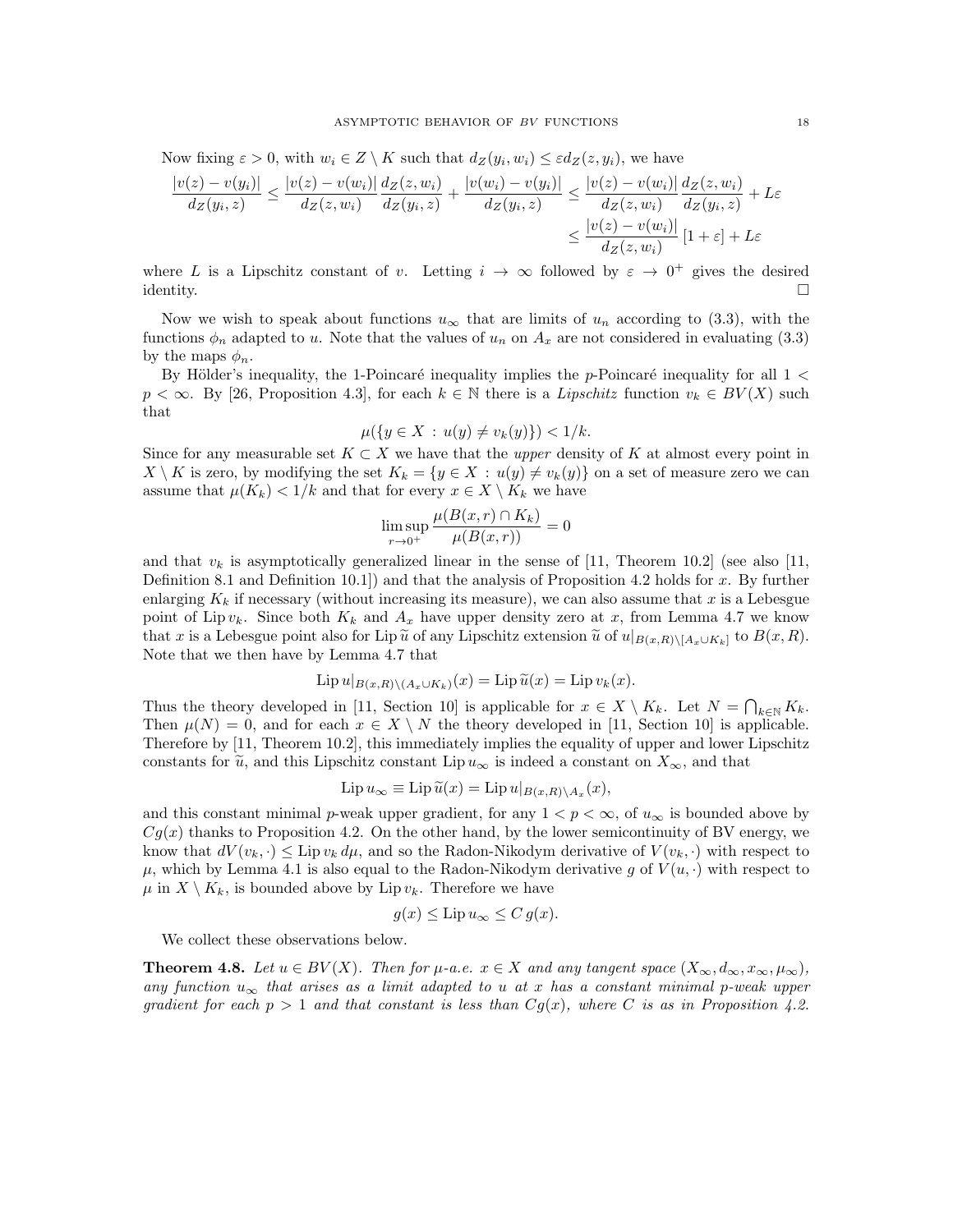Now fixing  $\varepsilon > 0$ , with  $w_i \in Z \setminus K$  such that  $d_Z(y_i, w_i) \leq \varepsilon d_Z(z, y_i)$ , we have

$$
\frac{|v(z) - v(y_i)|}{dz(y_i, z)} \le \frac{|v(z) - v(w_i)|}{dz(z, w_i)} \frac{dz(z, w_i)}{dz(y_i, z)} + \frac{|v(w_i) - v(y_i)|}{dz(y_i, z)} \le \frac{|v(z) - v(w_i)|}{dz(z, w_i)} \frac{dz(z, w_i)}{dz(y_i, z)} + L\varepsilon
$$
  

$$
\le \frac{|v(z) - v(w_i)|}{dz(z, w_i)} [1 + \varepsilon] + L\varepsilon
$$

where L is a Lipschitz constant of v. Letting  $i \to \infty$  followed by  $\varepsilon \to 0^+$  gives the desired identity.

Now we wish to speak about functions  $u_{\infty}$  that are limits of  $u_n$  according to (3.3), with the functions  $\phi_n$  adapted to u. Note that the values of  $u_n$  on  $A_x$  are not considered in evaluating (3.3) by the maps  $\phi_n$ .

By Hölder's inequality, the 1-Poincaré inequality implies the p-Poincaré inequality for all  $1 <$  $p < \infty$ . By [26, Proposition 4.3], for each  $k \in \mathbb{N}$  there is a *Lipschitz* function  $v_k \in BV(X)$  such that

$$
\mu({y \in X : u(y) \neq v_k(y)}) < 1/k.
$$

Since for any measurable set  $K \subset X$  we have that the upper density of K at almost every point in  $X \setminus K$  is zero, by modifying the set  $K_k = \{y \in X : u(y) \neq v_k(y)\}$  on a set of measure zero we can assume that  $\mu(K_k) < 1/k$  and that for every  $x \in X \setminus K_k$  we have

$$
\limsup_{r \to 0^+} \frac{\mu(B(x,r) \cap K_k)}{\mu(B(x,r))} = 0
$$

and that  $v_k$  is asymptotically generalized linear in the sense of [11, Theorem 10.2] (see also [11, Definition 8.1 and Definition 10.1.) and that the analysis of Proposition 4.2 holds for  $x$ . By further enlarging  $K_k$  if necessary (without increasing its measure), we can also assume that x is a Lebesgue point of Lip  $v_k$ . Since both  $K_k$  and  $A_x$  have upper density zero at x, from Lemma 4.7 we know that x is a Lebesgue point also for Lip  $\tilde{u}$  of any Lipschitz extension  $\tilde{u}$  of  $u|_{B(x,R)\setminus [A_x\cup K_k]}$  to  $B(x,R)$ . Note that we then have by Lemma 4.7 that

$$
\operatorname{Lip} u|_{B(x,R)\setminus (A_x\cup K_k)}(x) = \operatorname{Lip} \widetilde{u}(x) = \operatorname{Lip} v_k(x).
$$

Thus the theory developed in [11, Section 10] is applicable for  $x \in X \setminus K_k$ . Let  $N = \bigcap_{k \in \mathbb{N}} K_k$ . Then  $\mu(N) = 0$ , and for each  $x \in X \setminus N$  the theory developed in [11, Section 10] is applicable. Therefore by [11, Theorem 10.2], this immediately implies the equality of upper and lower Lipschitz constants for  $\tilde{u}$ , and this Lipschitz constant Lip  $u_{\infty}$  is indeed a constant on  $X_{\infty}$ , and that

$$
\operatorname{Lip} u_{\infty} \equiv \operatorname{Lip} \widetilde{u}(x) = \operatorname{Lip} u|_{B(x,R)\setminus A_x}(x),
$$

and this constant minimal p-weak upper gradient, for any  $1 < p < \infty$ , of  $u_{\infty}$  is bounded above by  $Cg(x)$  thanks to Proposition 4.2. On the other hand, by the lower semicontinuity of BV energy, we know that  $dV(v_k, \cdot) \leq \text{Lip } v_k d\mu$ , and so the Radon-Nikodym derivative of  $V(v_k, \cdot)$  with respect to  $\mu$ , which by Lemma 4.1 is also equal to the Radon-Nikodym derivative g of  $V(u, \cdot)$  with respect to  $\mu$  in  $X \setminus K_k$ , is bounded above by Lip  $v_k$ . Therefore we have

$$
g(x) \le \text{Lip}\, u_{\infty} \le C\, g(x).
$$

We collect these observations below.

**Theorem 4.8.** Let  $u \in BV(X)$ . Then for  $\mu$ -a.e.  $x \in X$  and any tangent space  $(X_{\infty}, d_{\infty}, x_{\infty}, \mu_{\infty}),$ any function  $u_{\infty}$  that arises as a limit adapted to u at x has a constant minimal p-weak upper gradient for each  $p > 1$  and that constant is less than  $Cg(x)$ , where C is as in Proposition 4.2.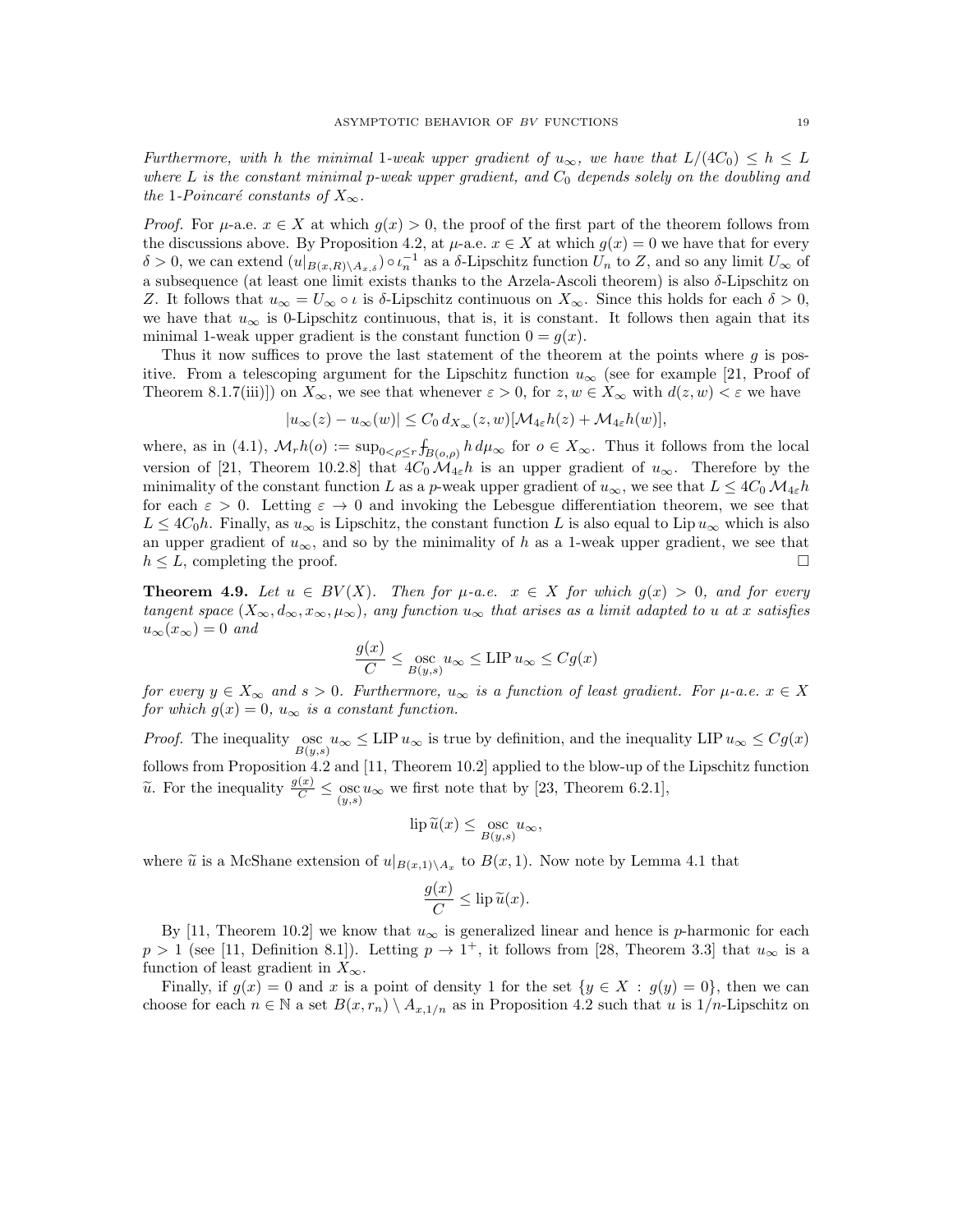Furthermore, with h the minimal 1-weak upper gradient of  $u_{\infty}$ , we have that  $L/(4C_0) \leq h \leq L$ where  $L$  is the constant minimal p-weak upper gradient, and  $C_0$  depends solely on the doubling and the 1-Poincaré constants of  $X_{\infty}$ .

*Proof.* For  $\mu$ -a.e.  $x \in X$  at which  $q(x) > 0$ , the proof of the first part of the theorem follows from the discussions above. By Proposition 4.2, at  $\mu$ -a.e.  $x \in X$  at which  $g(x) = 0$  we have that for every  $\delta > 0$ , we can extend  $(u|_{B(x,R)\setminus A_{x,\delta}}) \circ \iota_n^{-1}$  as a  $\delta$ -Lipschitz function  $U_n$  to Z, and so any limit  $U_{\infty}$  of a subsequence (at least one limit exists thanks to the Arzela-Ascoli theorem) is also  $\delta$ -Lipschitz on Z. It follows that  $u_{\infty} = U_{\infty} \circ \iota$  is  $\delta$ -Lipschitz continuous on  $X_{\infty}$ . Since this holds for each  $\delta > 0$ , we have that  $u_{\infty}$  is 0-Lipschitz continuous, that is, it is constant. It follows then again that its minimal 1-weak upper gradient is the constant function  $0 = g(x)$ .

Thus it now suffices to prove the last statement of the theorem at the points where  $g$  is positive. From a telescoping argument for the Lipschitz function  $u_{\infty}$  (see for example [21, Proof of Theorem 8.1.7(iii)]) on  $X_{\infty}$ , we see that whenever  $\varepsilon > 0$ , for  $z, w \in X_{\infty}$  with  $d(z, w) < \varepsilon$  we have

$$
|u_{\infty}(z) - u_{\infty}(w)| \leq C_0 d_{X_{\infty}}(z, w)[\mathcal{M}_{4\varepsilon}h(z) + \mathcal{M}_{4\varepsilon}h(w)],
$$

where, as in (4.1),  $\mathcal{M}_r h(o) := \sup_{0 \le \rho \le r} \int_{B(o,\rho)} h d\mu_\infty$  for  $o \in X_\infty$ . Thus it follows from the local version of [21, Theorem 10.2.8] that  $4C_0 \mathcal{M}_{4\varepsilon} h$  is an upper gradient of  $u_{\infty}$ . Therefore by the minimality of the constant function L as a p-weak upper gradient of  $u_{\infty}$ , we see that  $L \leq 4C_0 \mathcal{M}_{4\varepsilon} h$ for each  $\varepsilon > 0$ . Letting  $\varepsilon \to 0$  and invoking the Lebesgue differentiation theorem, we see that  $L \leq 4C_0h$ . Finally, as  $u_{\infty}$  is Lipschitz, the constant function L is also equal to Lip  $u_{\infty}$  which is also an upper gradient of  $u_{\infty}$ , and so by the minimality of h as a 1-weak upper gradient, we see that  $h \leq L$ , completing the proof.

**Theorem 4.9.** Let  $u \in BV(X)$ . Then for  $\mu$ -a.e.  $x \in X$  for which  $g(x) > 0$ , and for every tangent space  $(X_\infty, d_\infty, x_\infty, \mu_\infty)$ , any function  $u_\infty$  that arises as a limit adapted to u at x satisfies  $u_{\infty}(x_{\infty})=0$  and

$$
\frac{g(x)}{C} \le \operatorname*{osc}_{B(y,s)} u_{\infty} \le \text{LIP } u_{\infty} \le Cg(x)
$$

for every  $y \in X_\infty$  and  $s > 0$ . Furthermore,  $u_\infty$  is a function of least gradient. For  $\mu$ -a.e.  $x \in X$ for which  $g(x) = 0$ ,  $u_{\infty}$  is a constant function.

*Proof.* The inequality  $\underset{B(y,s)}{\log w} \le \text{LIP } u_{\infty}$  is true by definition, and the inequality LIP  $u_{\infty} \le Cg(x)$ follows from Proposition 4.2 and [11, Theorem 10.2] applied to the blow-up of the Lipschitz function  $\widetilde{u}$ . For the inequality  $\frac{g(x)}{C} \le \underset{(y,s)}{\csc} u_{\infty}$  we first note that by [23, Theorem 6.2.1],

$$
\operatorname{lip} \widetilde{u}(x) \le \operatorname*{osc}_{B(y,s)} u_{\infty},
$$

where  $\tilde{u}$  is a McShane extension of  $u|_{B(x,1)\setminus A_x}$  to  $B(x,1)$ . Now note by Lemma 4.1 that

$$
\frac{g(x)}{C} \leq \operatorname{lip} \widetilde{u}(x).
$$

By [11, Theorem 10.2] we know that  $u_{\infty}$  is generalized linear and hence is p-harmonic for each  $p > 1$  (see [11, Definition 8.1]). Letting  $p \to 1^+$ , it follows from [28, Theorem 3.3] that  $u_{\infty}$  is a function of least gradient in  $X_{\infty}$ .

Finally, if  $g(x) = 0$  and x is a point of density 1 for the set  $\{y \in X : g(y) = 0\}$ , then we can choose for each  $n \in \mathbb{N}$  a set  $B(x, r_n) \setminus A_{x,1/n}$  as in Proposition 4.2 such that u is  $1/n$ -Lipschitz on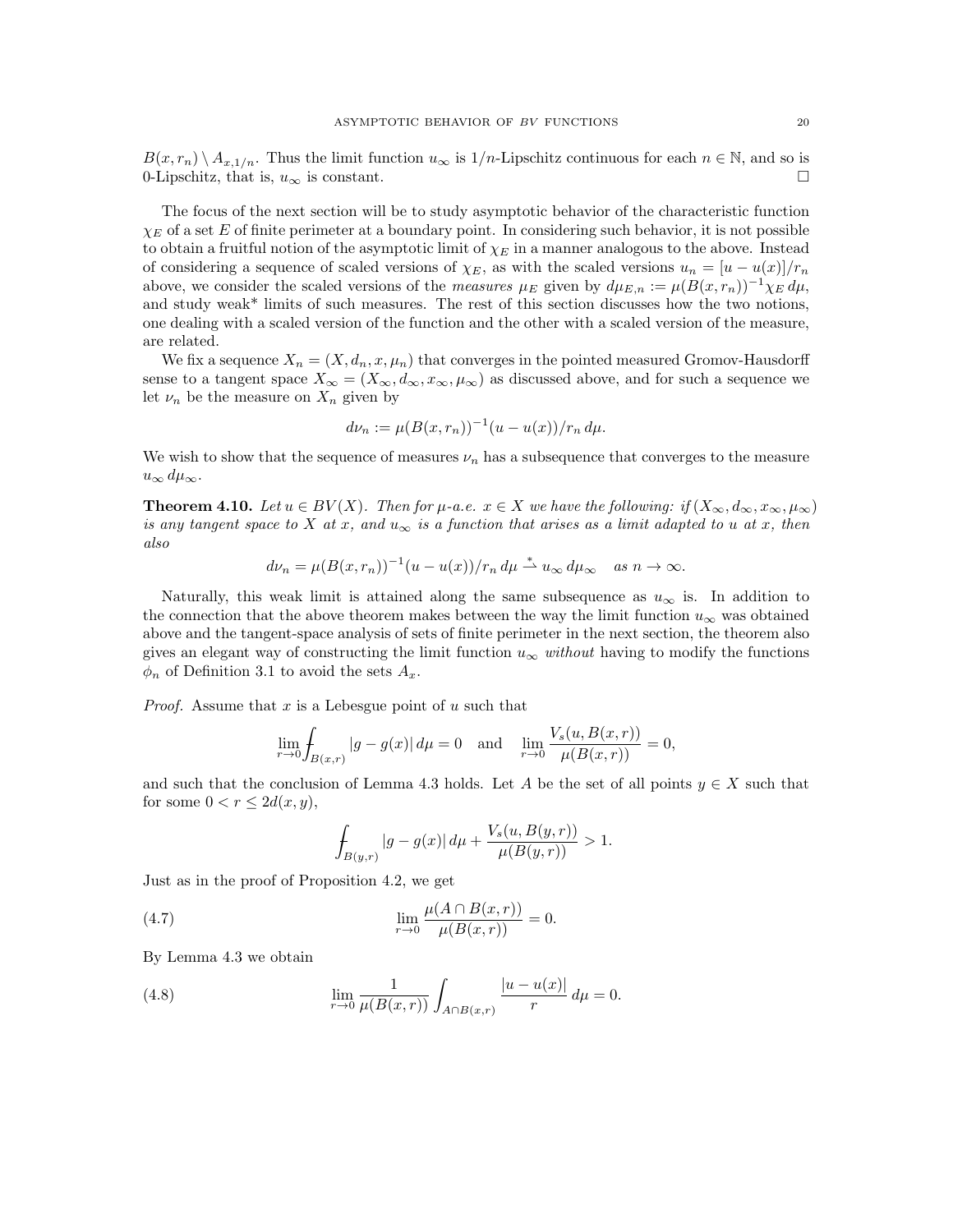$B(x, r_n) \setminus A_{x,1/n}$ . Thus the limit function  $u_\infty$  is  $1/n$ -Lipschitz continuous for each  $n \in \mathbb{N}$ , and so is 0-Lipschitz, that is,  $u_{\infty}$  is constant.

The focus of the next section will be to study asymptotic behavior of the characteristic function  $\chi_E$  of a set E of finite perimeter at a boundary point. In considering such behavior, it is not possible to obtain a fruitful notion of the asymptotic limit of  $\chi_E$  in a manner analogous to the above. Instead of considering a sequence of scaled versions of  $\chi_E$ , as with the scaled versions  $u_n = [u - u(x)]/r_n$ above, we consider the scaled versions of the measures  $\mu_E$  given by  $d\mu_{E,n} := \mu(B(x,r_n))^{-1}\chi_E d\mu$ , and study weak\* limits of such measures. The rest of this section discusses how the two notions, one dealing with a scaled version of the function and the other with a scaled version of the measure, are related.

We fix a sequence  $X_n = (X, d_n, x, \mu_n)$  that converges in the pointed measured Gromov-Hausdorff sense to a tangent space  $X_{\infty} = (X_{\infty}, d_{\infty}, x_{\infty}, \mu_{\infty})$  as discussed above, and for such a sequence we let  $\nu_n$  be the measure on  $X_n$  given by

$$
d\nu_n := \mu(B(x, r_n))^{-1}(u - u(x))/r_n \, d\mu.
$$

We wish to show that the sequence of measures  $\nu_n$  has a subsequence that converges to the measure  $u_{\infty} d\mu_{\infty}$ .

**Theorem 4.10.** Let  $u \in BV(X)$ . Then for  $\mu$ -a.e.  $x \in X$  we have the following: if  $(X_\infty, d_\infty, x_\infty, \mu_\infty)$ is any tangent space to X at x, and  $u_{\infty}$  is a function that arises as a limit adapted to u at x, then also

$$
d\nu_n = \mu(B(x, r_n))^{-1}(u - u(x))/r_n d\mu \stackrel{*}{\rightharpoonup} u_\infty d\mu_\infty \quad \text{as } n \to \infty.
$$

Naturally, this weak limit is attained along the same subsequence as  $u_{\infty}$  is. In addition to the connection that the above theorem makes between the way the limit function  $u_{\infty}$  was obtained above and the tangent-space analysis of sets of finite perimeter in the next section, the theorem also gives an elegant way of constructing the limit function  $u_{\infty}$  without having to modify the functions  $\phi_n$  of Definition 3.1 to avoid the sets  $A_x$ .

*Proof.* Assume that x is a Lebesgue point of u such that

$$
\lim_{r \to 0} \int_{B(x,r)} |g - g(x)| d\mu = 0 \text{ and } \lim_{r \to 0} \frac{V_s(u, B(x,r))}{\mu(B(x,r))} = 0,
$$

and such that the conclusion of Lemma 4.3 holds. Let A be the set of all points  $y \in X$  such that for some  $0 < r \leq 2d(x, y)$ ,

$$
\int_{B(y,r)} |g - g(x)| d\mu + \frac{V_s(u, B(y,r))}{\mu(B(y,r))} > 1.
$$

Just as in the proof of Proposition 4.2, we get

(4.7) 
$$
\lim_{r \to 0} \frac{\mu(A \cap B(x, r))}{\mu(B(x, r))} = 0.
$$

By Lemma 4.3 we obtain

(4.8) 
$$
\lim_{r \to 0} \frac{1}{\mu(B(x,r))} \int_{A \cap B(x,r)} \frac{|u - u(x)|}{r} d\mu = 0.
$$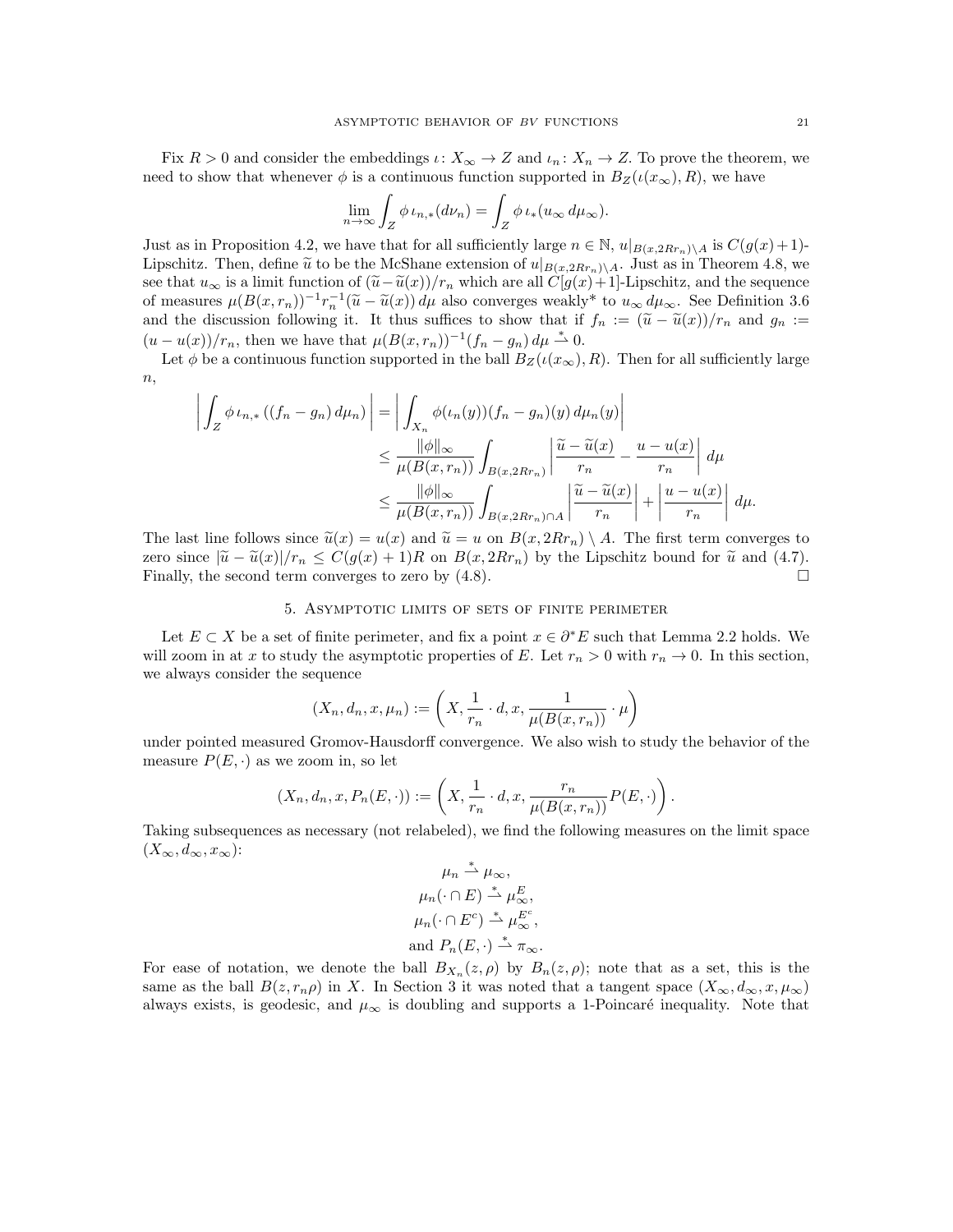Fix  $R > 0$  and consider the embeddings  $\iota: X_{\infty} \to Z$  and  $\iota_n: X_n \to Z$ . To prove the theorem, we need to show that whenever  $\phi$  is a continuous function supported in  $B_Z(\iota(x_\infty), R)$ , we have

$$
\lim_{n \to \infty} \int_{Z} \phi \, \iota_{n,*}(d\nu_n) = \int_{Z} \phi \, \iota_{*}(u_{\infty} \, d\mu_{\infty}).
$$

Just as in Proposition 4.2, we have that for all sufficiently large  $n \in \mathbb{N}$ ,  $u|_{B(x,2Rr_n)\setminus A}$  is  $C(g(x)+1)$ -Lipschitz. Then, define  $\tilde{u}$  to be the McShane extension of  $u|_{B(x,2Rr_n)\setminus A}$ . Just as in Theorem 4.8, we see that  $u_{\infty}$  is a limit function of  $(\tilde{u}-\tilde{u}(x))/r_n$  which are all  $C[g(x)+1]$ -Lipschitz, and the sequence of measures  $\mu(B(x, r_n))^{-1} r_n^{-1} (\tilde{u} - \tilde{u}(x)) d\mu$  also converges weakly\* to  $u_{\infty} d\mu_{\infty}$ . See Definition 3.6 and the discussion following it. It thus suffices to show that if  $f_n := (\tilde{u} - \tilde{u}(x))/r_n$  and  $g_n :=$  $(u - u(x))/r_n$ , then we have that  $\mu(B(x, r_n))^{-1}(f_n - g_n) d\mu \stackrel{*}{\rightharpoonup} 0$ .

Let  $\phi$  be a continuous function supported in the ball  $B_Z(\iota(x_\infty), R)$ . Then for all sufficiently large  $n,$ 

$$
\left| \int_{Z} \phi \iota_{n,*} \left( (f_n - g_n) d\mu_n \right) \right| = \left| \int_{X_n} \phi(\iota_n(y)) (f_n - g_n)(y) d\mu_n(y) \right|
$$
  
\n
$$
\leq \frac{\|\phi\|_{\infty}}{\mu(B(x, r_n))} \int_{B(x, 2Rr_n)} \left| \frac{\tilde{u} - \tilde{u}(x)}{r_n} - \frac{u - u(x)}{r_n} \right| d\mu
$$
  
\n
$$
\leq \frac{\|\phi\|_{\infty}}{\mu(B(x, r_n))} \int_{B(x, 2Rr_n) \cap A} \left| \frac{\tilde{u} - \tilde{u}(x)}{r_n} \right| + \left| \frac{u - u(x)}{r_n} \right| d\mu.
$$

The last line follows since  $\tilde{u}(x) = u(x)$  and  $\tilde{u} = u$  on  $B(x, 2Rr_n) \setminus A$ . The first term converges to zero since  $|\tilde{u} - \tilde{u}(x)|/r_n \leq C(g(x) + 1)R$  on  $B(x, 2Rr_n)$  by the Lipschitz bound for  $\tilde{u}$  and (4.7).<br>Finally, the second term converges to zero by (4.8). Finally, the second term converges to zero by (4.8).

## 5. Asymptotic limits of sets of finite perimeter

Let  $E \subset X$  be a set of finite perimeter, and fix a point  $x \in \partial^* E$  such that Lemma 2.2 holds. We will zoom in at x to study the asymptotic properties of E. Let  $r_n > 0$  with  $r_n \to 0$ . In this section, we always consider the sequence

$$
(X_n, d_n, x, \mu_n) := \left(X, \frac{1}{r_n} \cdot d, x, \frac{1}{\mu(B(x, r_n))} \cdot \mu\right)
$$

under pointed measured Gromov-Hausdorff convergence. We also wish to study the behavior of the measure  $P(E, \cdot)$  as we zoom in, so let

$$
(X_n, d_n, x, P_n(E, \cdot)) := \left(X, \frac{1}{r_n} \cdot d, x, \frac{r_n}{\mu(B(x, r_n))} P(E, \cdot)\right).
$$

Taking subsequences as necessary (not relabeled), we find the following measures on the limit space  $(X_\infty, d_\infty, x_\infty)$ :

$$
\mu_n \stackrel{*}{\rightharpoonup} \mu_\infty,
$$
  
\n
$$
\mu_n(\cdot \cap E) \stackrel{*}{\rightharpoonup} \mu_\infty^E,
$$
  
\n
$$
\mu_n(\cdot \cap E^c) \stackrel{*}{\rightharpoonup} \mu_\infty^{E^c},
$$
  
\nand 
$$
P_n(E, \cdot) \stackrel{*}{\rightharpoonup} \pi_\infty.
$$

For ease of notation, we denote the ball  $B_{X_n}(z, \rho)$  by  $B_n(z, \rho)$ ; note that as a set, this is the same as the ball  $B(z, r_n \rho)$  in X. In Section 3 it was noted that a tangent space  $(X_\infty, d_\infty, x, \mu_\infty)$ always exists, is geodesic, and  $\mu_{\infty}$  is doubling and supports a 1-Poincaré inequality. Note that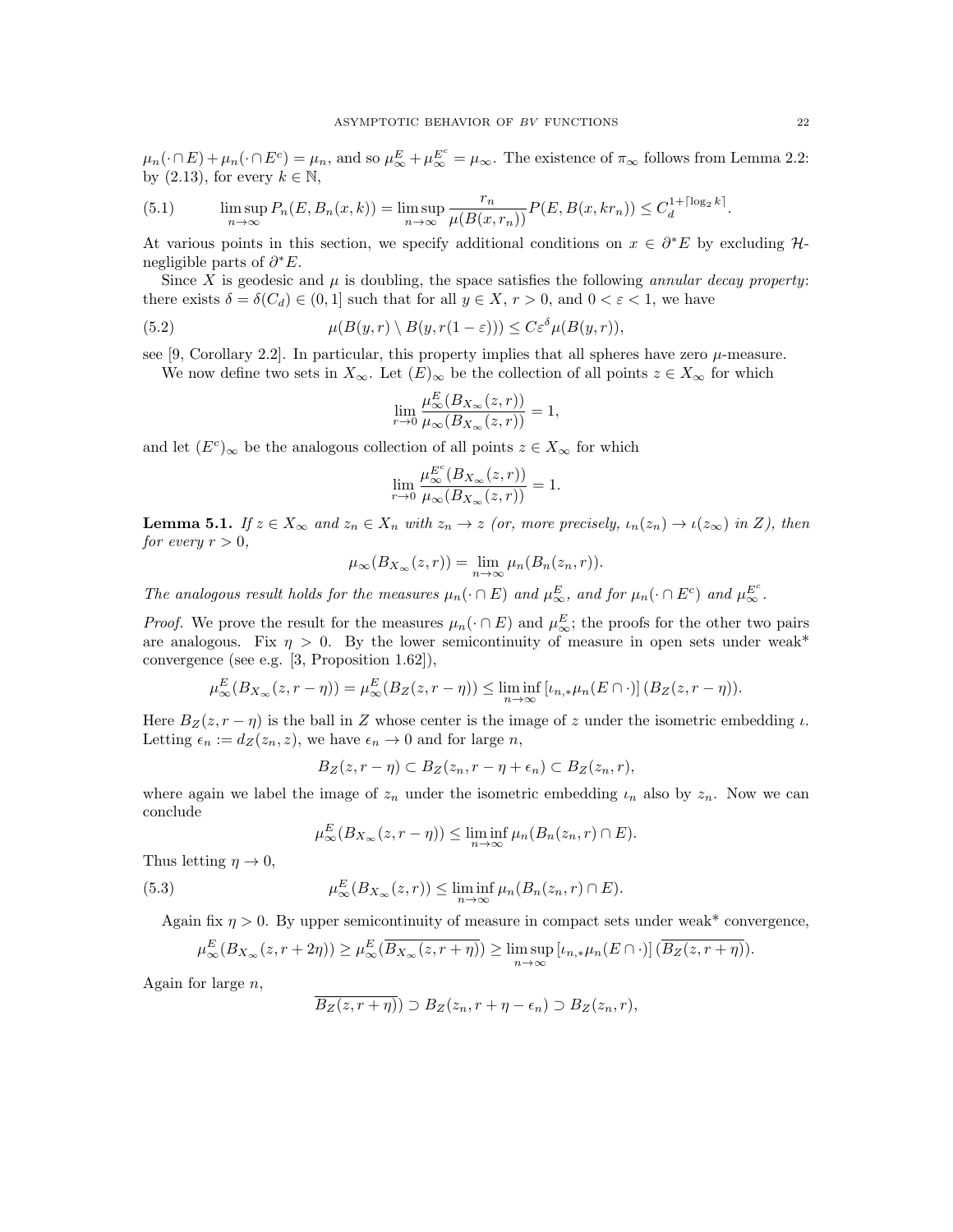$\mu_n(\cdot \cap E) + \mu_n(\cdot \cap E^c) = \mu_n$ , and so  $\mu_{\infty}^E + \mu_{\infty}^{E^c} = \mu_{\infty}$ . The existence of  $\pi_{\infty}$  follows from Lemma 2.2: by (2.13), for every  $k \in \mathbb{N}$ ,

(5.1) 
$$
\limsup_{n \to \infty} P_n(E, B_n(x, k)) = \limsup_{n \to \infty} \frac{r_n}{\mu(B(x, r_n))} P(E, B(x, k r_n)) \leq C_d^{1 + \lceil \log_2 k \rceil}.
$$

At various points in this section, we specify additional conditions on  $x \in \partial^* E$  by excluding Hnegligible parts of  $\partial^* E$ .

Since X is geodesic and  $\mu$  is doubling, the space satisfies the following *annular decay property:* there exists  $\delta = \delta(C_d) \in (0,1]$  such that for all  $y \in X$ ,  $r > 0$ , and  $0 < \varepsilon < 1$ , we have

(5.2) 
$$
\mu(B(y,r) \setminus B(y,r(1-\varepsilon))) \leq C\varepsilon^{\delta} \mu(B(y,r)),
$$

see [9, Corollary 2.2]. In particular, this property implies that all spheres have zero  $\mu$ -measure. We now define two sets in  $X_{\infty}$ . Let  $(E)_{\infty}$  be the collection of all points  $z \in X_{\infty}$  for which

$$
\lim_{r\to 0}\frac{\mu_\infty^E(B_{X_\infty}(z,r))}{\mu_\infty(B_{X_\infty}(z,r))}=1,
$$

and let  $(E^c)_{\infty}$  be the analogous collection of all points  $z \in X_{\infty}$  for which

$$
\lim_{r \to 0} \frac{\mu_{\infty}^{E^c}(B_{X_{\infty}}(z,r))}{\mu_{\infty}(B_{X_{\infty}}(z,r))} = 1.
$$

**Lemma 5.1.** If  $z \in X_\infty$  and  $z_n \in X_n$  with  $z_n \to z$  (or, more precisely,  $\iota_n(z_n) \to \iota(z_\infty)$  in Z), then for every  $r > 0$ ,

$$
\mu_{\infty}(B_{X_{\infty}}(z,r)) = \lim_{n \to \infty} \mu_n(B_n(z_n,r)).
$$

The analogous result holds for the measures  $\mu_n(\cdot \cap E)$  and  $\mu_{\infty}^E$ , and for  $\mu_n(\cdot \cap E^c)$  and  $\mu_{\infty}^{E^c}$ .

*Proof.* We prove the result for the measures  $\mu_n(\cdot \cap E)$  and  $\mu_{\infty}^E$ ; the proofs for the other two pairs are analogous. Fix  $\eta > 0$ . By the lower semicontinuity of measure in open sets under weak\* convergence (see e.g. [3, Proposition 1.62]),

$$
\mu_{\infty}^{E}(B_{X_{\infty}}(z,r-\eta)) = \mu_{\infty}^{E}(B_{Z}(z,r-\eta)) \le \liminf_{n \to \infty} [\iota_{n,*}\mu_n(E \cap \cdot)] (B_{Z}(z,r-\eta)).
$$

Here  $B_Z(z, r - \eta)$  is the ball in Z whose center is the image of z under the isometric embedding  $\iota$ . Letting  $\epsilon_n := d_Z(z_n, z)$ , we have  $\epsilon_n \to 0$  and for large n,

$$
B_Z(z,r-\eta) \subset B_Z(z_n,r-\eta+\epsilon_n) \subset B_Z(z_n,r),
$$

where again we label the image of  $z_n$  under the isometric embedding  $\iota_n$  also by  $z_n$ . Now we can conclude

$$
\mu_{\infty}^{E}(B_{X_{\infty}}(z,r-\eta)) \leq \liminf_{n \to \infty} \mu_n(B_n(z_n,r) \cap E).
$$

Thus letting  $\eta \to 0$ ,

(5.3) 
$$
\mu_{\infty}^{E}(B_{X_{\infty}}(z,r)) \leq \liminf_{n \to \infty} \mu_n(B_n(z_n,r) \cap E).
$$

Again fix  $\eta > 0$ . By upper semicontinuity of measure in compact sets under weak\* convergence,

$$
\mu_{\infty}^{E}(B_{X_{\infty}}(z,r+2\eta)) \geq \mu_{\infty}^{E}(\overline{B_{X_{\infty}}(z,r+\eta)}) \geq \limsup_{n \to \infty} [t_{n,*}\mu_n(E \cap \cdot)] (\overline{B_Z(z,r+\eta)}).
$$

Again for large  $n$ ,

$$
\overline{B_Z(z,r+\eta)}) \supset B_Z(z_n,r+\eta-\epsilon_n) \supset B_Z(z_n,r),
$$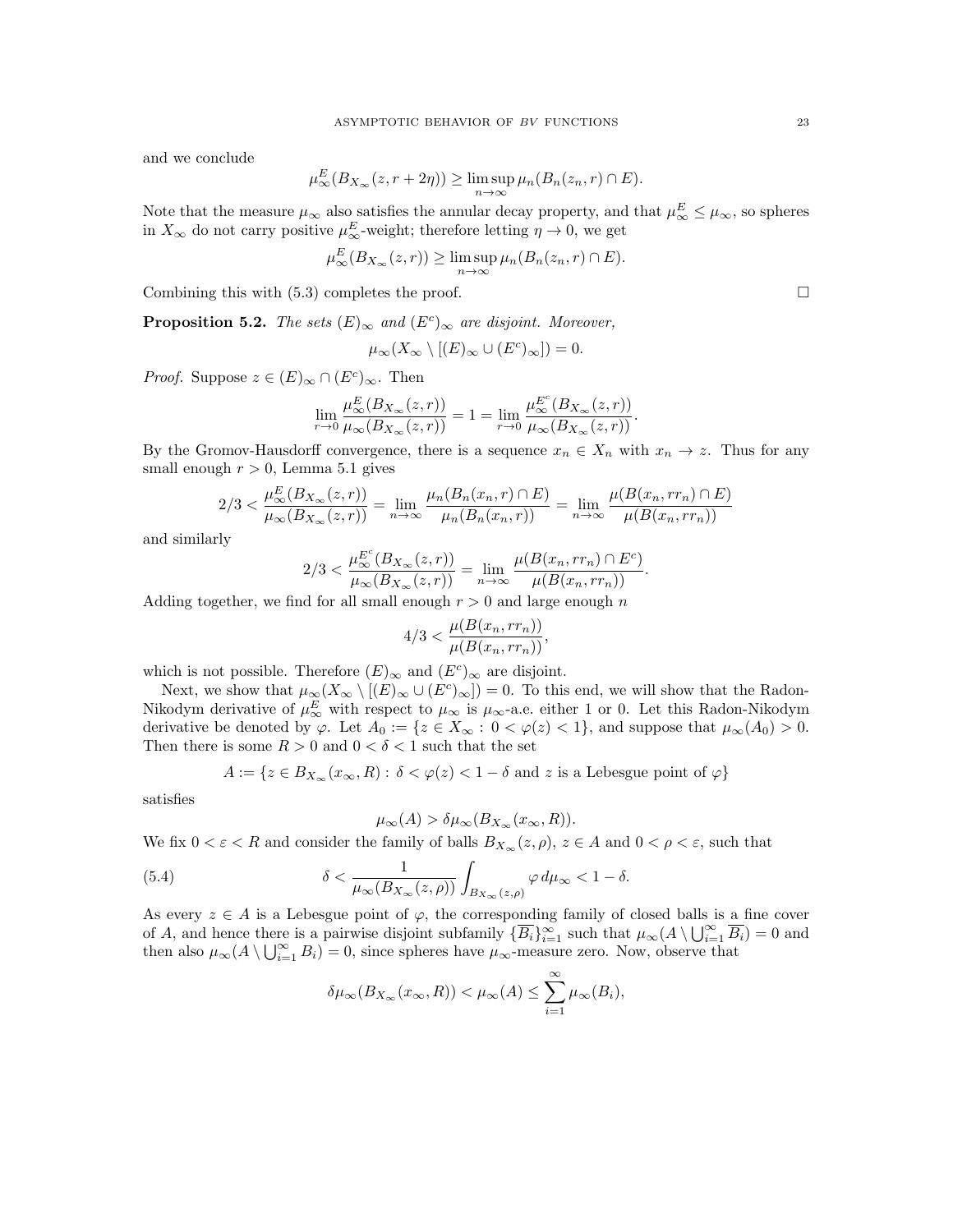and we conclude

$$
\mu_{\infty}^{E}(B_{X_{\infty}}(z,r+2\eta)) \ge \limsup_{n \to \infty} \mu_n(B_n(z_n,r) \cap E).
$$

Note that the measure  $\mu_{\infty}$  also satisfies the annular decay property, and that  $\mu_{\infty}^{E} \leq \mu_{\infty}$ , so spheres in  $X_{\infty}$  do not carry positive  $\mu_{\infty}^{E}$ -weight; therefore letting  $\eta \to 0$ , we get

$$
\mu_{\infty}^{E}(B_{X_{\infty}}(z,r)) \geq \limsup_{n \to \infty} \mu_n(B_n(z_n,r) \cap E).
$$

Combining this with  $(5.3)$  completes the proof.

**Proposition 5.2.** The sets  $(E)_{\infty}$  and  $(E^{c})_{\infty}$  are disjoint. Moreover,

$$
\mu_{\infty}(X_{\infty} \setminus [(E)_{\infty} \cup (E^{c})_{\infty}]) = 0.
$$

*Proof.* Suppose  $z \in (E)_{\infty} \cap (E^{c})_{\infty}$ . Then

$$
\lim_{r\to 0}\frac{\mu_\infty^E(B_{X_\infty}(z,r))}{\mu_\infty(B_{X_\infty}(z,r))}=1=\lim_{r\to 0}\frac{\mu_\infty^{E^c}(B_{X_\infty}(z,r))}{\mu_\infty(B_{X_\infty}(z,r))}.
$$

By the Gromov-Hausdorff convergence, there is a sequence  $x_n \in X_n$  with  $x_n \to z$ . Thus for any small enough  $r > 0$ , Lemma 5.1 gives

$$
2/3 < \frac{\mu_{\infty}^{E}(B_{X_{\infty}}(z,r))}{\mu_{\infty}(B_{X_{\infty}}(z,r))} = \lim_{n \to \infty} \frac{\mu_n(B_n(x_n,r) \cap E)}{\mu_n(B_n(x_n,r))} = \lim_{n \to \infty} \frac{\mu(B(x_n,rr_n) \cap E)}{\mu(B(x_n,rr_n))}
$$

and similarly

$$
2/3 < \frac{\mu_{\infty}^{E^c}(B_{X_{\infty}}(z,r))}{\mu_{\infty}(B_{X_{\infty}}(z,r))} = \lim_{n \to \infty} \frac{\mu(B(x_n,rr_n) \cap E^c)}{\mu(B(x_n,rr_n))}.
$$

Adding together, we find for all small enough  $r > 0$  and large enough n

$$
4/3 < \frac{\mu(B(x_n, rr_n))}{\mu(B(x_n, rr_n))},
$$

which is not possible. Therefore  $(E)_{\infty}$  and  $(E^{c})_{\infty}$  are disjoint.

Next, we show that  $\mu_{\infty}(X_{\infty} \setminus [(E)_{\infty} \cup (E^{c})_{\infty}]) = 0$ . To this end, we will show that the Radon-Nikodym derivative of  $\mu_{\infty}^{E}$  with respect to  $\mu_{\infty}$  is  $\mu_{\infty}$ -a.e. either 1 or 0. Let this Radon-Nikodym derivative be denoted by  $\varphi$ . Let  $A_0 := \{z \in X_\infty : 0 < \varphi(z) < 1\}$ , and suppose that  $\mu_\infty(A_0) > 0$ . Then there is some  $R > 0$  and  $0 < \delta < 1$  such that the set

$$
A:=\{z\in B_{X_\infty}(x_\infty,R):\,\delta<\varphi(z)<1-\delta\text{ and }z\text{ is a Lebesgue point of }\varphi\}
$$

satisfies

$$
\mu_{\infty}(A) > \delta \mu_{\infty}(B_{X_{\infty}}(x_{\infty}, R)).
$$

We fix  $0 < \varepsilon < R$  and consider the family of balls  $B_{X_\infty}(z, \rho)$ ,  $z \in A$  and  $0 < \rho < \varepsilon$ , such that

(5.4) 
$$
\delta < \frac{1}{\mu_{\infty}(B_{X_{\infty}}(z,\rho))} \int_{B_{X_{\infty}}(z,\rho)} \varphi \, d\mu_{\infty} < 1 - \delta.
$$

As every  $z \in A$  is a Lebesgue point of  $\varphi$ , the corresponding family of closed balls is a fine cover of A, and hence there is a pairwise disjoint subfamily  $\{\overline{B_i}\}_{i=1}^{\infty}$  such that  $\mu_{\infty}(A \setminus \bigcup_{i=1}^{\infty} \overline{B_i}) = 0$  and then also  $\mu_{\infty}(A \setminus \bigcup_{i=1}^{\infty} B_i) = 0$ , since spheres have  $\mu_{\infty}$ -measure zero. Now, observe that

$$
\delta \mu_\infty(B_{X_\infty}(x_\infty,R)) < \mu_\infty(A) \leq \sum_{i=1}^\infty \mu_\infty(B_i),
$$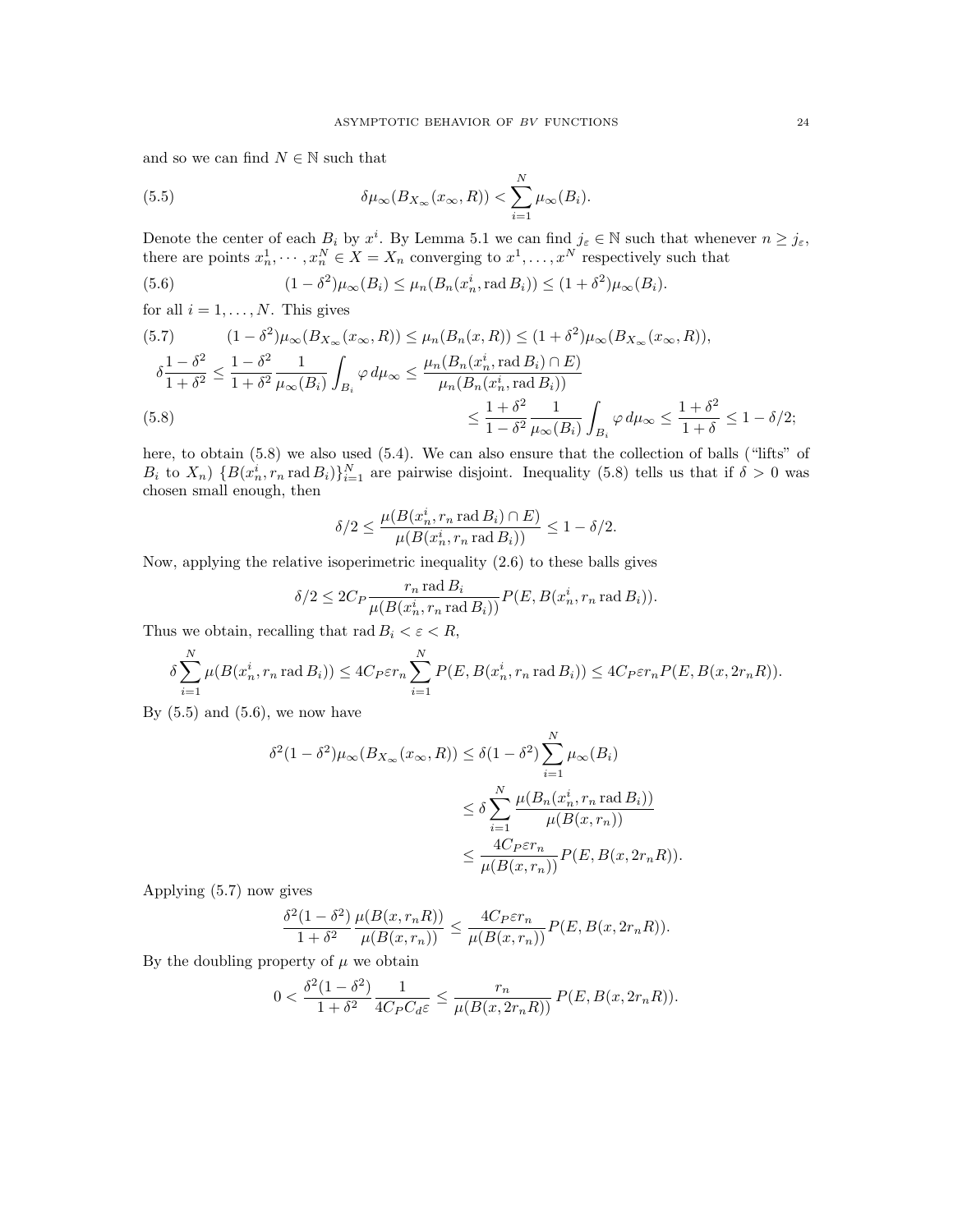and so we can find  $N\in\mathbb{N}$  such that

(5.5) 
$$
\delta \mu_{\infty}(B_{X_{\infty}}(x_{\infty}, R)) < \sum_{i=1}^{N} \mu_{\infty}(B_i).
$$

Denote the center of each  $B_i$  by  $x^i$ . By Lemma 5.1 we can find  $j_{\varepsilon} \in \mathbb{N}$  such that whenever  $n \geq j_{\varepsilon}$ , there are points  $x_n^1, \dots, x_n^N \in X = X_n$  converging to  $x^1, \dots, x^N$  respectively such that

(5.6) 
$$
(1 - \delta^2)\mu_\infty(B_i) \le \mu_n(B_n(x_n^i, \text{rad } B_i)) \le (1 + \delta^2)\mu_\infty(B_i).
$$

for all  $i = 1, \ldots, N$ . This gives

(5.7) 
$$
(1 - \delta^2)\mu_{\infty}(B_{X_{\infty}}(x_{\infty}, R)) \leq \mu_n(B_n(x, R)) \leq (1 + \delta^2)\mu_{\infty}(B_{X_{\infty}}(x_{\infty}, R)),
$$

$$
\delta \frac{1 - \delta^2}{1 + \delta^2} \leq \frac{1 - \delta^2}{1 + \delta^2} \frac{1}{\mu_{\infty}(B_i)} \int_{B_i} \varphi \, d\mu_{\infty} \leq \frac{\mu_n(B_n(x_n^i, \text{rad } B_i) \cap E)}{\mu_n(B_n(x_n^i, \text{rad } B_i))}
$$

$$
\leq \frac{1 + \delta^2}{1 - \delta^2} \frac{1}{\mu_{\infty}(B_i)} \int_{B_i} \varphi \, d\mu_{\infty} \leq \frac{1 + \delta^2}{1 + \delta} \leq 1 - \delta/2;
$$

here, to obtain (5.8) we also used (5.4). We can also ensure that the collection of balls ("lifts" of  $B_i$  to  $X_n$ )  $\{B(x_n^i, r_n \text{ rad } B_i)\}_{i=1}^N$  are pairwise disjoint. Inequality (5.8) tells us that if  $\delta > 0$  was chosen small enough, then

$$
\delta/2 \le \frac{\mu(B(x_n^i, r_n \operatorname{rad} B_i) \cap E)}{\mu(B(x_n^i, r_n \operatorname{rad} B_i))} \le 1 - \delta/2.
$$

Now, applying the relative isoperimetric inequality (2.6) to these balls gives

$$
\delta/2 \leq 2C_P \frac{r_n \operatorname{rad} B_i}{\mu(B(x_n^i, r_n \operatorname{rad} B_i))} P(E, B(x_n^i, r_n \operatorname{rad} B_i)).
$$

Thus we obtain, recalling that rad  $B_i < \varepsilon < R$ ,

$$
\delta \sum_{i=1}^N \mu(B(x_n^i, r_n \operatorname{rad} B_i)) \le 4C_P \varepsilon r_n \sum_{i=1}^N P(E, B(x_n^i, r_n \operatorname{rad} B_i)) \le 4C_P \varepsilon r_n P(E, B(x, 2r_n R)).
$$

By  $(5.5)$  and  $(5.6)$ , we now have

$$
\delta^{2}(1-\delta^{2})\mu_{\infty}(B_{X_{\infty}}(x_{\infty}, R)) \leq \delta(1-\delta^{2})\sum_{i=1}^{N}\mu_{\infty}(B_{i})
$$

$$
\leq \delta \sum_{i=1}^{N}\frac{\mu(B_{n}(x_{n}^{i}, r_{n} \text{ rad } B_{i}))}{\mu(B(x, r_{n}))}
$$

$$
\leq \frac{4C_{P}\varepsilon r_{n}}{\mu(B(x, r_{n}))}P(E, B(x, 2r_{n}R)).
$$

Applying (5.7) now gives

$$
\frac{\delta^2(1-\delta^2)}{1+\delta^2}\frac{\mu(B(x,r_nR))}{\mu(B(x,r_n))}\leq \frac{4C_P\varepsilon r_n}{\mu(B(x,r_n))}P(E,B(x,2r_nR)).
$$

By the doubling property of  $\mu$  we obtain

$$
0 < \frac{\delta^2 (1 - \delta^2)}{1 + \delta^2} \frac{1}{4C_P C_d \varepsilon} \le \frac{r_n}{\mu(B(x, 2r_n R))} P(E, B(x, 2r_n R)).
$$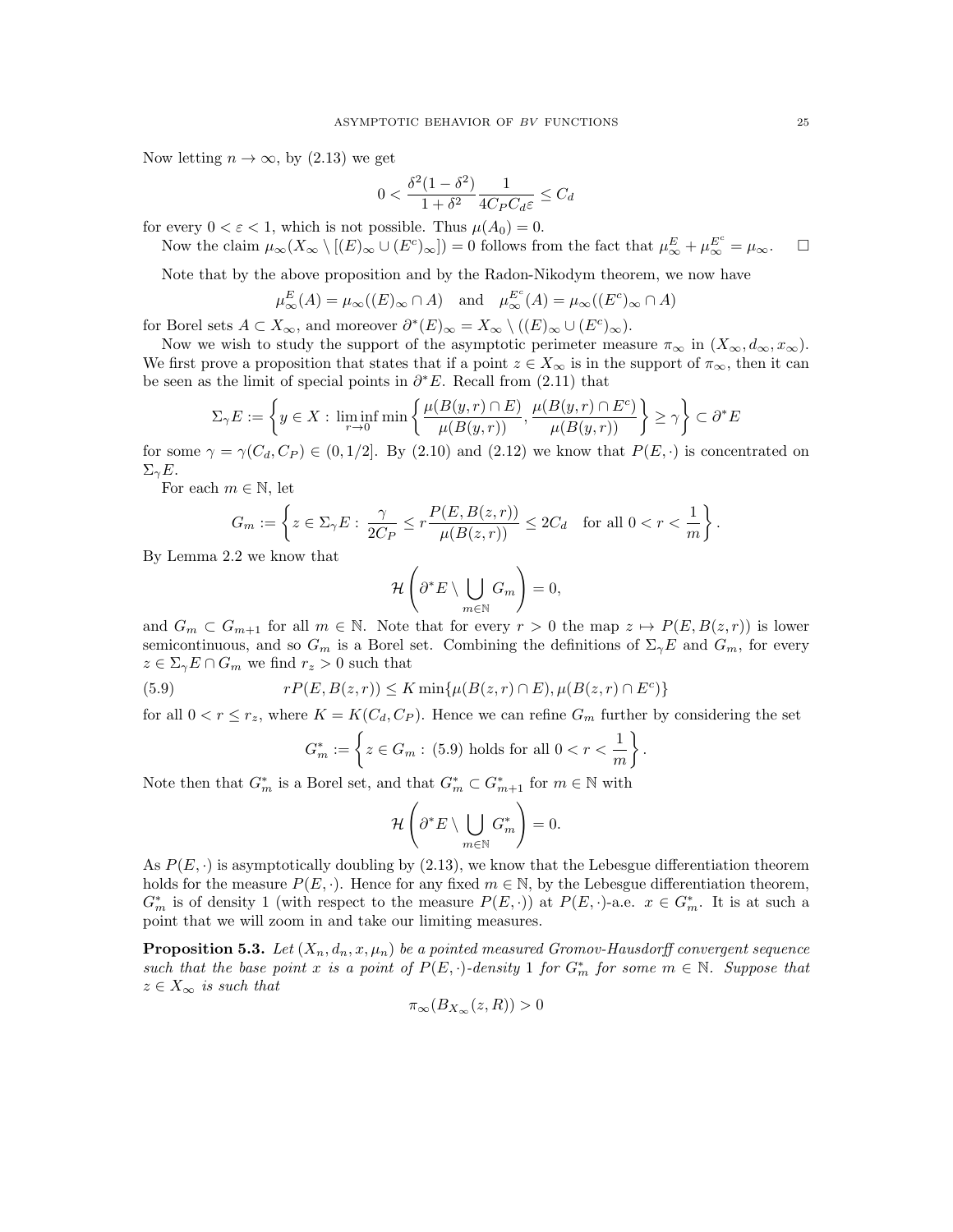Now letting  $n \to \infty$ , by (2.13) we get

$$
0 < \frac{\delta^2 (1 - \delta^2)}{1 + \delta^2} \frac{1}{4C_P C_d \varepsilon} \le C_d
$$

for every  $0 < \varepsilon < 1$ , which is not possible. Thus  $\mu(A_0) = 0$ .

Now the claim  $\mu_{\infty}(X_{\infty} \setminus [(E)_{\infty} \cup (E^{c})_{\infty}]) = 0$  follows from the fact that  $\mu_{\infty}^{E} + \mu_{\infty}^{E^{c}} = \mu_{\infty}$ .

Note that by the above proposition and by the Radon-Nikodym theorem, we now have

$$
\mu_{\infty}^{E}(A) = \mu_{\infty}((E)_{\infty} \cap A)
$$
 and  $\mu_{\infty}^{E^{c}}(A) = \mu_{\infty}((E^{c})_{\infty} \cap A)$ 

for Borel sets  $A \subset X_{\infty}$ , and moreover  $\partial^*(E)_{\infty} = X_{\infty} \setminus ((E)_{\infty} \cup (E^c)_{\infty}).$ 

Now we wish to study the support of the asymptotic perimeter measure  $\pi_{\infty}$  in  $(X_{\infty}, d_{\infty}, x_{\infty})$ . We first prove a proposition that states that if a point  $z \in X_\infty$  is in the support of  $\pi_\infty$ , then it can be seen as the limit of special points in  $\partial^* E$ . Recall from (2.11) that

$$
\Sigma_{\gamma}E := \left\{ y \in X : \liminf_{r \to 0} \min \left\{ \frac{\mu(B(y,r) \cap E)}{\mu(B(y,r))}, \frac{\mu(B(y,r) \cap E^c)}{\mu(B(y,r))} \right\} \ge \gamma \right\} \subset \partial^*E
$$

for some  $\gamma = \gamma(C_d, C_P) \in (0, 1/2]$ . By (2.10) and (2.12) we know that  $P(E, \cdot)$  is concentrated on  $\Sigma_{\gamma}E$ .

For each  $m \in \mathbb{N}$ , let

$$
G_m := \left\{ z \in \Sigma_{\gamma} E: \frac{\gamma}{2C_P} \le r \frac{P(E, B(z, r))}{\mu(B(z, r))} \le 2C_d \quad \text{for all } 0 < r < \frac{1}{m} \right\}.
$$

By Lemma 2.2 we know that

$$
\mathcal{H}\left(\partial^*E\setminus\bigcup_{m\in\mathbb{N}}G_m\right)=0,
$$

and  $G_m \subset G_{m+1}$  for all  $m \in \mathbb{N}$ . Note that for every  $r > 0$  the map  $z \mapsto P(E, B(z, r))$  is lower semicontinuous, and so  $G_m$  is a Borel set. Combining the definitions of  $\Sigma_\gamma E$  and  $G_m$ , for every  $z \in \Sigma_{\gamma} E \cap G_m$  we find  $r_z > 0$  such that

(5.9) 
$$
rP(E, B(z,r)) \le K \min\{\mu(B(z,r) \cap E), \mu(B(z,r) \cap E^c)\}\
$$

for all  $0 < r \leq r_z$ , where  $K = K(C_d, C_P)$ . Hence we can refine  $G_m$  further by considering the set

$$
G_m^* := \left\{ z \in G_m : (5.9) \text{ holds for all } 0 < r < \frac{1}{m} \right\}.
$$

Note then that  $G_m^*$  is a Borel set, and that  $G_m^* \subset G_{m+1}^*$  for  $m \in \mathbb{N}$  with

$$
\mathcal{H}\left(\partial^* E \setminus \bigcup_{m \in \mathbb{N}} G_m^*\right) = 0.
$$

As  $P(E, \cdot)$  is asymptotically doubling by (2.13), we know that the Lebesgue differentiation theorem holds for the measure  $P(E, \cdot)$ . Hence for any fixed  $m \in \mathbb{N}$ , by the Lebesgue differentiation theorem,  $G_m^*$  is of density 1 (with respect to the measure  $P(E, \cdot)$ ) at  $P(E, \cdot)$ -a.e.  $x \in G_m^*$ . It is at such a point that we will zoom in and take our limiting measures.

**Proposition 5.3.** Let  $(X_n, d_n, x, \mu_n)$  be a pointed measured Gromov-Hausdorff convergent sequence such that the base point x is a point of  $P(E, \cdot)$ -density 1 for  $G_m^*$  for some  $m \in \mathbb{N}$ . Suppose that  $z \in X_{\infty}$  is such that

$$
\pi_{\infty}(B_{X_{\infty}}(z,R)) > 0
$$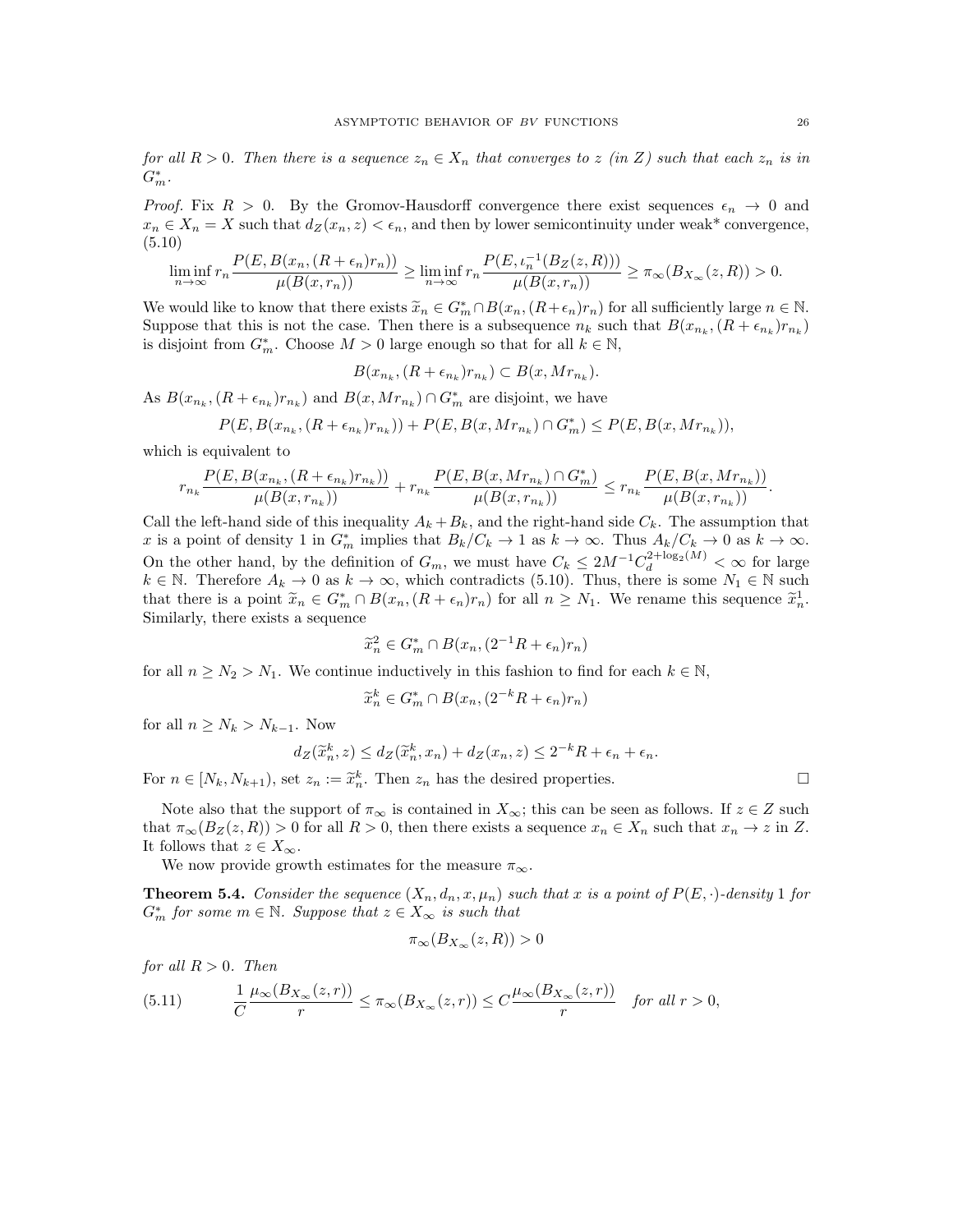for all  $R > 0$ . Then there is a sequence  $z_n \in X_n$  that converges to z (in Z) such that each  $z_n$  is in  $G_m^*$ .

*Proof.* Fix  $R > 0$ . By the Gromov-Hausdorff convergence there exist sequences  $\epsilon_n \to 0$  and  $x_n \in X_n = X$  such that  $d_Z(x_n, z) < \epsilon_n$ , and then by lower semicontinuity under weak\* convergence, (5.10)

$$
\liminf_{n\to\infty}r_n\frac{P(E,B(x_n,(R+\epsilon_n)r_n))}{\mu(B(x,r_n))}\geq \liminf_{n\to\infty}r_n\frac{P(E,\iota_n^{-1}(B_Z(z,R)))}{\mu(B(x,r_n))}\geq \pi_\infty(B_{X_\infty}(z,R))>0.
$$

We would like to know that there exists  $\widetilde{x}_n \in G_m^* \cap B(x_n, (R + \epsilon_n)r_n)$  for all sufficiently large  $n \in \mathbb{N}$ .<br>Suppose that this is not the case. Then there is a subsequence n, such that  $B(x-(R+\epsilon_n)r_n)$ Suppose that this is not the case. Then there is a subsequence  $n_k$  such that  $B(x_{n_k}, (R + \epsilon_{n_k})r_{n_k})$ is disjoint from  $G_m^*$ . Choose  $M > 0$  large enough so that for all  $k \in \mathbb{N}$ ,

$$
B(x_{n_k}, (R+\epsilon_{n_k})r_{n_k}) \subset B(x, Mr_{n_k}).
$$

As  $B(x_{n_k}, (R + \epsilon_{n_k})r_{n_k})$  and  $B(x, Mr_{n_k}) \cap G_m^*$  are disjoint, we have

$$
P(E, B(x_{n_k}, (R + \epsilon_{n_k})r_{n_k})) + P(E, B(x, Mr_{n_k}) \cap G_m^*) \le P(E, B(x, Mr_{n_k})),
$$

which is equivalent to

$$
r_{n_k} \frac{P(E, B(x_{n_k}, (R+\epsilon_{n_k})r_{n_k}))}{\mu(B(x, r_{n_k}))} + r_{n_k} \frac{P(E, B(x, Mr_{n_k}) \cap G_m^*)}{\mu(B(x, r_{n_k}))} \le r_{n_k} \frac{P(E, B(x, Mr_{n_k}))}{\mu(B(x, r_{n_k}))}.
$$

Call the left-hand side of this inequality  $A_k + B_k$ , and the right-hand side  $C_k$ . The assumption that x is a point of density 1 in  $G_m^*$  implies that  $B_k/C_k \to 1$  as  $k \to \infty$ . Thus  $A_k/C_k \to 0$  as  $k \to \infty$ . On the other hand, by the definition of  $G_m$ , we must have  $C_k \leq 2M^{-1}C_d^{2+\log_2(M)} < \infty$  for large  $k \in \mathbb{N}$ . Therefore  $A_k \to 0$  as  $k \to \infty$ , which contradicts (5.10). Thus, there is some  $N_1 \in \mathbb{N}$  such that there is a point  $\tilde{x}_n \in G_m^* \cap B(x_n, (R + \epsilon_n)r_n)$  for all  $n \geq N_1$ . We rename this sequence  $\tilde{x}_n^1$ .<br>Similarly there exists a sequence Similarly, there exists a sequence

$$
\widetilde{x}_n^2 \in G_m^* \cap B(x_n, (2^{-1}R + \epsilon_n)r_n)
$$

for all  $n \geq N_2 > N_1$ . We continue inductively in this fashion to find for each  $k \in \mathbb{N}$ ,

$$
\widetilde{x}_n^k \in G_m^* \cap B(x_n, (2^{-k}R + \epsilon_n)r_n)
$$

for all  $n \geq N_k > N_{k-1}$ . Now

$$
d_Z(\widetilde{x}_n^k, z) \le d_Z(\widetilde{x}_n^k, x_n) + d_Z(x_n, z) \le 2^{-k}R + \epsilon_n + \epsilon_n.
$$

For  $n \in [N_k, N_{k+1})$ , set  $z_n := \tilde{x}_n^k$ . Then  $z_n$  has the desired properties.

Note also that the support of  $\pi_{\infty}$  is contained in  $X_{\infty}$ ; this can be seen as follows. If  $z \in Z$  such that  $\pi_{\infty}(B_Z(z,R)) > 0$  for all  $R > 0$ , then there exists a sequence  $x_n \in X_n$  such that  $x_n \to z$  in Z. It follows that  $z \in X_{\infty}$ .

We now provide growth estimates for the measure  $\pi_{\infty}$ .

**Theorem 5.4.** Consider the sequence  $(X_n, d_n, x, \mu_n)$  such that x is a point of  $P(E, \cdot)$ -density 1 for  $G_m^*$  for some  $m \in \mathbb{N}$ . Suppose that  $z \in X_\infty$  is such that

$$
\pi_{\infty}(B_{X_{\infty}}(z,R)) > 0
$$

for all  $R > 0$ . Then

(5.11) 
$$
\frac{1}{C} \frac{\mu_{\infty}(B_{X_{\infty}}(z,r))}{r} \leq \pi_{\infty}(B_{X_{\infty}}(z,r)) \leq C \frac{\mu_{\infty}(B_{X_{\infty}}(z,r))}{r} \text{ for all } r > 0,
$$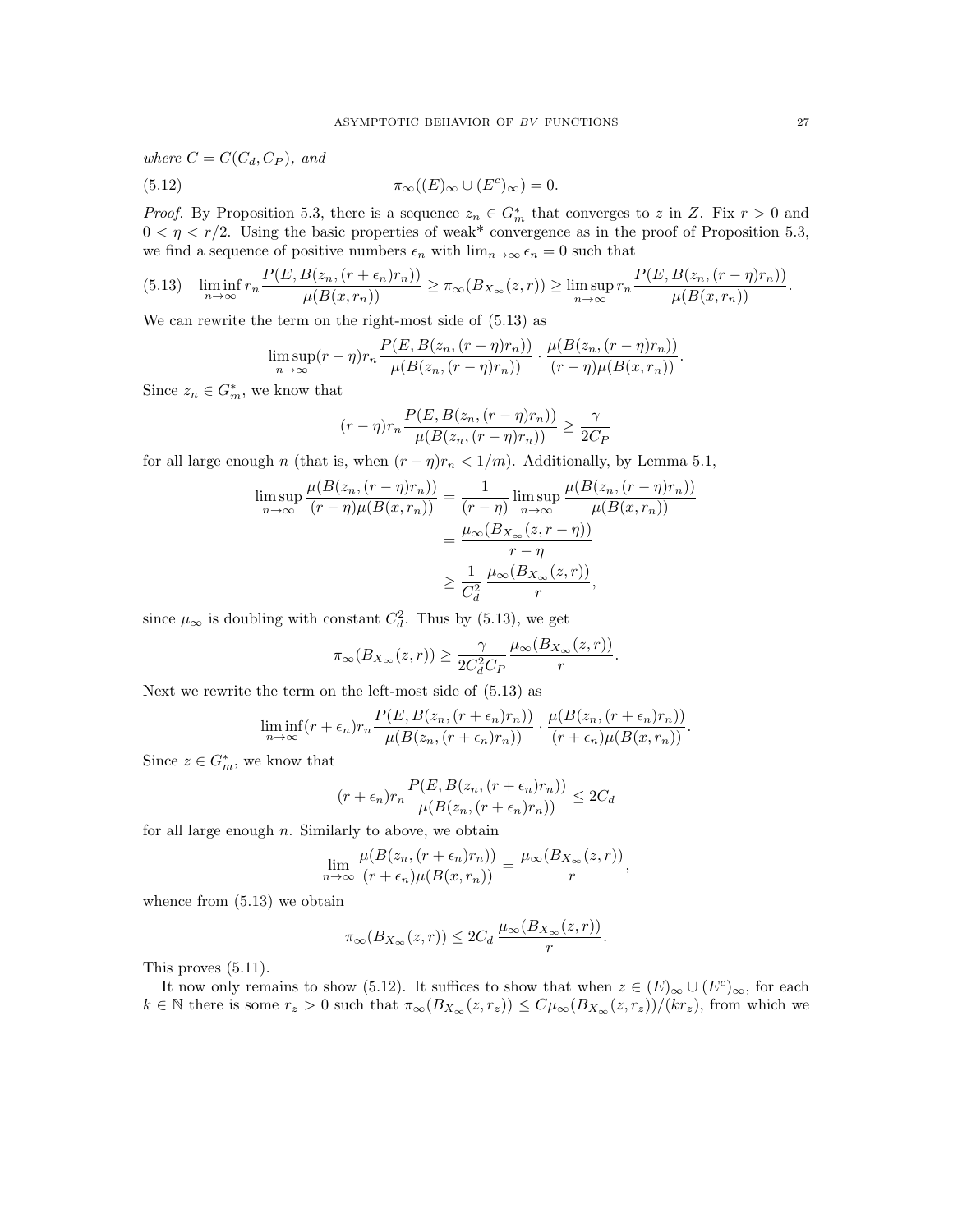where  $C = C(C_d, C_P)$ , and (5.12)  $\pi_{\infty}((E)_{\infty} \cup (E^{c})_{\infty}) = 0.$ 

*Proof.* By Proposition 5.3, there is a sequence  $z_n \in G_m^*$  that converges to z in Z. Fix  $r > 0$  and  $0 < \eta < r/2$ . Using the basic properties of weak\* convergence as in the proof of Proposition 5.3, we find a sequence of positive numbers  $\epsilon_n$  with  $\lim_{n\to\infty} \epsilon_n = 0$  such that

$$
(5.13) \quad \liminf_{n\to\infty} r_n \frac{P(E, B(z_n, (r+\epsilon_n)r_n))}{\mu(B(x,r_n))} \ge \pi_\infty(B_{X_\infty}(z,r)) \ge \limsup_{n\to\infty} r_n \frac{P(E, B(z_n, (r-\eta)r_n))}{\mu(B(x,r_n))}.
$$

We can rewrite the term on the right-most side of (5.13) as

$$
\limsup_{n\to\infty}(r-\eta)r_n\frac{P(E,B(z_n,(r-\eta)r_n))}{\mu(B(z_n,(r-\eta)r_n))}\cdot\frac{\mu(B(z_n,(r-\eta)r_n))}{(r-\eta)\mu(B(x,r_n))}.
$$

Since  $z_n \in G_m^*$ , we know that

$$
(r - \eta)r_n \frac{P(E, B(z_n, (r - \eta)r_n))}{\mu(B(z_n, (r - \eta)r_n))} \ge \frac{\gamma}{2C_F}
$$

for all large enough n (that is, when  $(r - \eta)r_n < 1/m$ ). Additionally, by Lemma 5.1,

$$
\limsup_{n \to \infty} \frac{\mu(B(z_n, (r - \eta)r_n))}{(r - \eta)\mu(B(x, r_n))} = \frac{1}{(r - \eta)} \limsup_{n \to \infty} \frac{\mu(B(z_n, (r - \eta)r_n))}{\mu(B(x, r_n))}
$$

$$
= \frac{\mu_{\infty}(B_{X_{\infty}}(z, r - \eta))}{r - \eta}
$$

$$
\geq \frac{1}{C_d^2} \frac{\mu_{\infty}(B_{X_{\infty}}(z, r))}{r},
$$

since  $\mu_{\infty}$  is doubling with constant  $C_d^2$ . Thus by (5.13), we get

$$
\pi_{\infty}(B_{X_{\infty}}(z,r)) \ge \frac{\gamma}{2C_d^2C_P} \frac{\mu_{\infty}(B_{X_{\infty}}(z,r))}{r}
$$

.

Next we rewrite the term on the left-most side of (5.13) as

$$
\liminf_{n \to \infty} (r + \epsilon_n) r_n \frac{P(E, B(z_n, (r + \epsilon_n) r_n))}{\mu(B(z_n, (r + \epsilon_n) r_n))} \cdot \frac{\mu(B(z_n, (r + \epsilon_n) r_n))}{(r + \epsilon_n) \mu(B(x, r_n))}.
$$

Since  $z \in G_m^*$ , we know that

$$
(r + \epsilon_n)r_n \frac{P(E, B(z_n, (r + \epsilon_n)r_n))}{\mu(B(z_n, (r + \epsilon_n)r_n))} \le 2C_d
$$

for all large enough  $n$ . Similarly to above, we obtain

$$
\lim_{n \to \infty} \frac{\mu(B(z_n, (r + \epsilon_n)r_n))}{(r + \epsilon_n)\mu(B(x, r_n))} = \frac{\mu_\infty(B_{X_\infty}(z, r))}{r},
$$

whence from (5.13) we obtain

$$
\pi_{\infty}(B_{X_{\infty}}(z,r)) \leq 2C_d \frac{\mu_{\infty}(B_{X_{\infty}}(z,r))}{r}.
$$

This proves (5.11).

It now only remains to show (5.12). It suffices to show that when  $z \in (E)_{\infty} \cup (E^c)_{\infty}$ , for each  $k \in \mathbb{N}$  there is some  $r_z > 0$  such that  $\pi_{\infty}(B_{X_{\infty}}(z, r_z)) \leq C \mu_{\infty}(B_{X_{\infty}}(z, r_z))/(kr_z)$ , from which we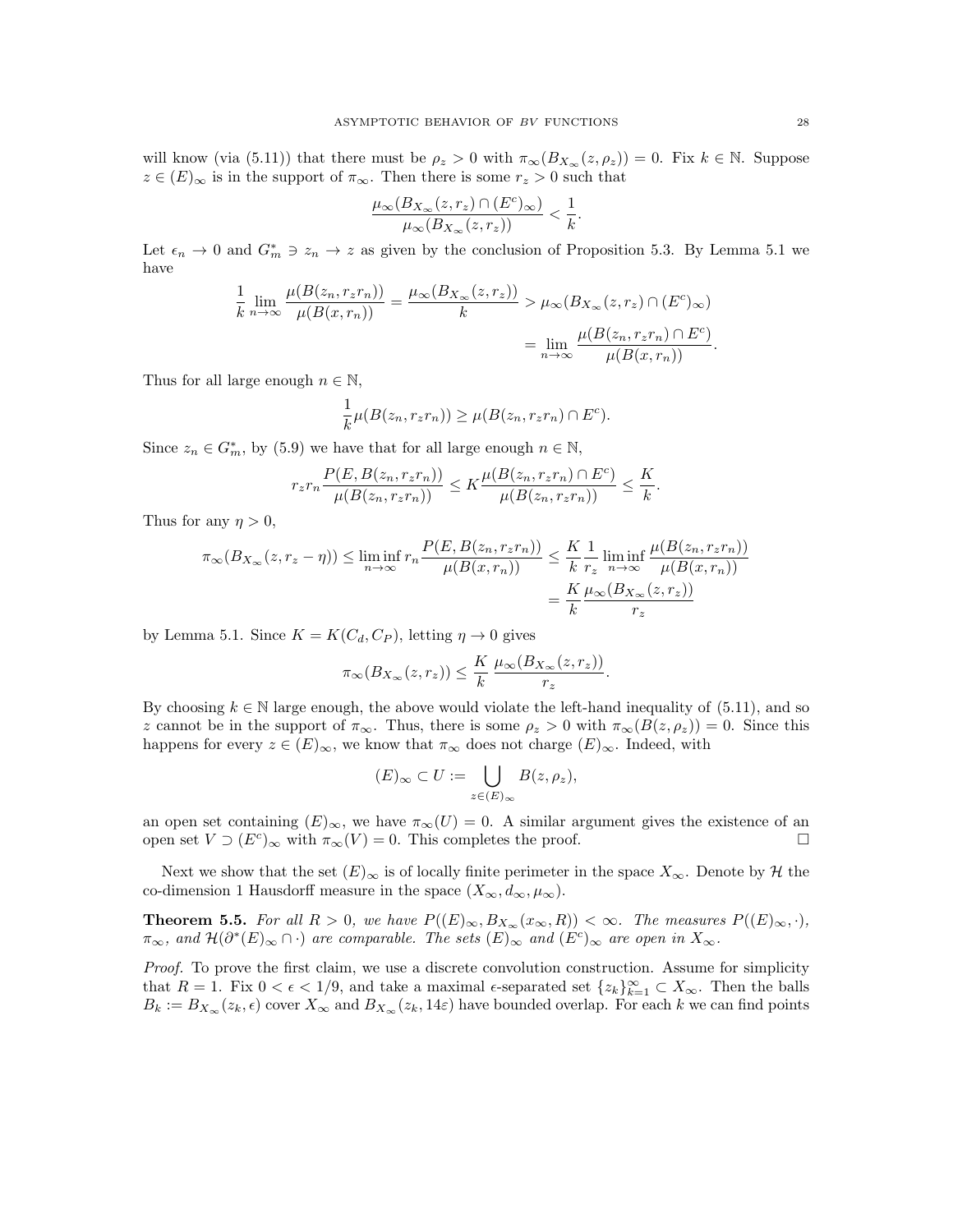will know (via (5.11)) that there must be  $\rho_z > 0$  with  $\pi_\infty(B_{X_\infty}(z, \rho_z)) = 0$ . Fix  $k \in \mathbb{N}$ . Suppose  $z \in (E)_{\infty}$  is in the support of  $\pi_{\infty}$ . Then there is some  $r_z > 0$  such that

$$
\frac{\mu_\infty(B_{X_\infty}(z,r_z)\cap (E^c)_\infty)}{\mu_\infty(B_{X_\infty}(z,r_z))}<\frac{1}{k}.
$$

Let  $\epsilon_n \to 0$  and  $G_m^* \ni z_n \to z$  as given by the conclusion of Proposition 5.3. By Lemma 5.1 we have

$$
\frac{1}{k} \lim_{n \to \infty} \frac{\mu(B(z_n, r_z r_n))}{\mu(B(x, r_n))} = \frac{\mu_\infty(B_{X_\infty}(z, r_z))}{k} > \mu_\infty(B_{X_\infty}(z, r_z) \cap (E^c)_\infty)
$$

$$
= \lim_{n \to \infty} \frac{\mu(B(z_n, r_z r_n) \cap E^c)}{\mu(B(x, r_n))}.
$$

Thus for all large enough  $n \in \mathbb{N}$ ,

$$
\frac{1}{k}\mu(B(z_n, r_zr_n)) \ge \mu(B(z_n, r_zr_n) \cap E^c).
$$

Since  $z_n \in G_m^*$ , by (5.9) we have that for all large enough  $n \in \mathbb{N}$ ,

$$
r_z r_n \frac{P(E, B(z_n, r_z r_n))}{\mu(B(z_n, r_z r_n))} \leq K \frac{\mu(B(z_n, r_z r_n) \cap E^c)}{\mu(B(z_n, r_z r_n))} \leq \frac{K}{k}.
$$

Thus for any  $\eta > 0$ ,

$$
\pi_{\infty}(B_{X_{\infty}}(z, r_z - \eta)) \le \liminf_{n \to \infty} r_n \frac{P(E, B(z_n, r_z r_n))}{\mu(B(x, r_n))} \le \frac{K}{k} \frac{1}{r_z} \liminf_{n \to \infty} \frac{\mu(B(z_n, r_z r_n))}{\mu(B(x, r_n))}
$$

$$
= \frac{K}{k} \frac{\mu_{\infty}(B_{X_{\infty}}(z, r_z))}{r_z}
$$

by Lemma 5.1. Since  $K = K(C_d, C_P)$ , letting  $\eta \to 0$  gives

$$
\pi_{\infty}(B_{X_{\infty}}(z,r_z)) \leq \frac{K}{k} \frac{\mu_{\infty}(B_{X_{\infty}}(z,r_z))}{r_z}.
$$

By choosing  $k \in \mathbb{N}$  large enough, the above would violate the left-hand inequality of (5.11), and so z cannot be in the support of  $\pi_{\infty}$ . Thus, there is some  $\rho_z > 0$  with  $\pi_{\infty}(B(z, \rho_z)) = 0$ . Since this happens for every  $z \in (E)_{\infty}$ , we know that  $\pi_{\infty}$  does not charge  $(E)_{\infty}$ . Indeed, with

$$
(E)_{\infty} \subset U := \bigcup_{z \in (E)_{\infty}} B(z, \rho_z),
$$

an open set containing  $(E)_{\infty}$ , we have  $\pi_{\infty}(U) = 0$ . A similar argument gives the existence of an open set  $V \supset (E^c)_{\infty}$  with  $\pi_{\infty}(V) = 0$ . This completes the proof.

Next we show that the set  $(E)_{\infty}$  is of locally finite perimeter in the space  $X_{\infty}$ . Denote by  $\mathcal{H}$  the co-dimension 1 Hausdorff measure in the space  $(X_{\infty}, d_{\infty}, \mu_{\infty})$ .

**Theorem 5.5.** For all  $R > 0$ , we have  $P((E)_{\infty}, B_{X_{\infty}}(x_{\infty}, R)) < \infty$ . The measures  $P((E)_{\infty}, \cdot)$ ,  $\pi_{\infty}$ , and  $\mathcal{H}(\partial^*(E)_{\infty} \cap \cdot)$  are comparable. The sets  $(E)_{\infty}$  and  $(E^c)_{\infty}$  are open in  $X_{\infty}$ .

Proof. To prove the first claim, we use a discrete convolution construction. Assume for simplicity that  $R = 1$ . Fix  $0 < \epsilon < 1/9$ , and take a maximal  $\epsilon$ -separated set  $\{z_k\}_{k=1}^{\infty} \subset X_{\infty}$ . Then the balls  $B_k := B_{X_\infty}(z_k, \epsilon)$  cover  $X_\infty$  and  $B_{X_\infty}(z_k, 14\varepsilon)$  have bounded overlap. For each k we can find points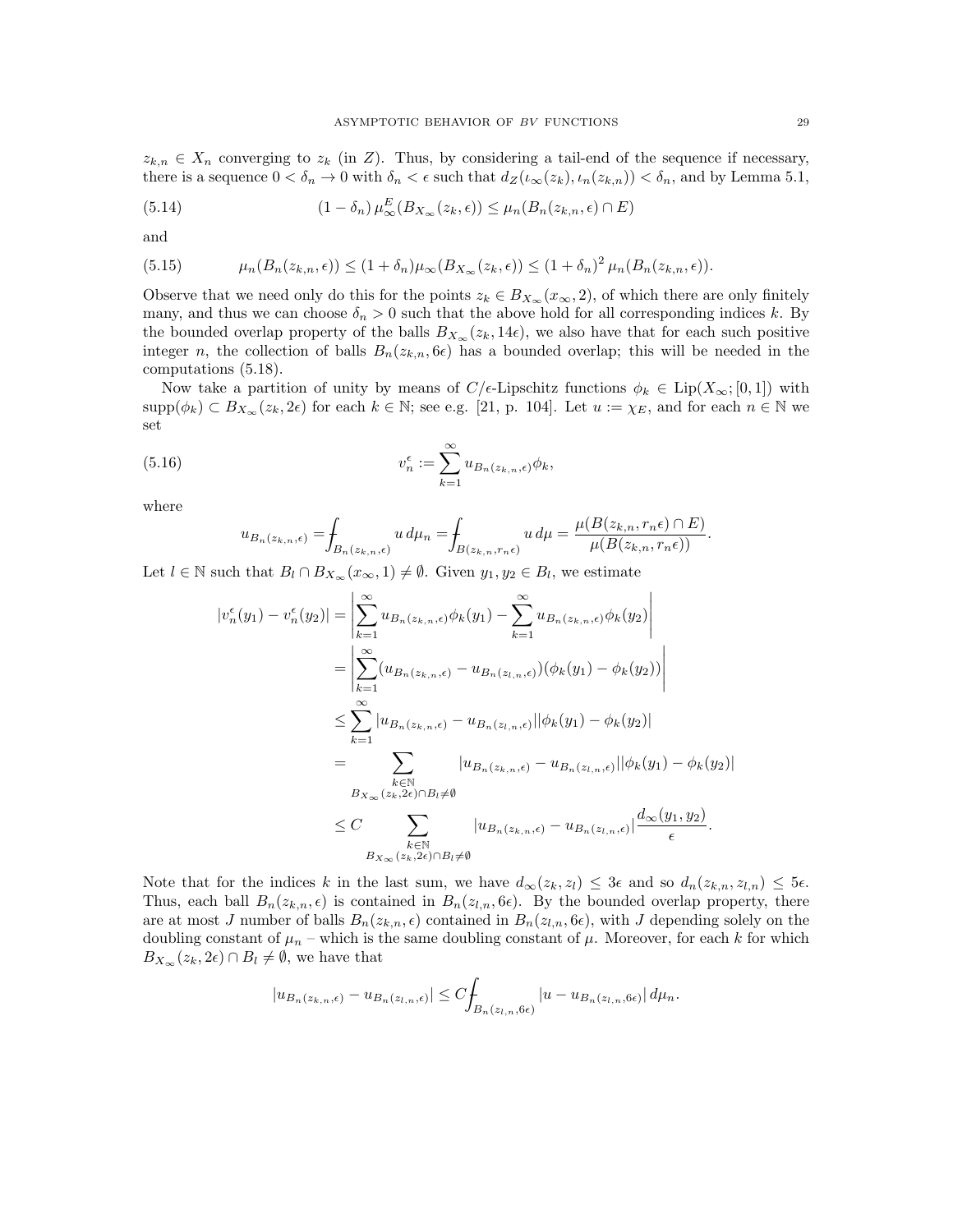$z_{k,n} \in X_n$  converging to  $z_k$  (in Z). Thus, by considering a tail-end of the sequence if necessary, there is a sequence  $0 < \delta_n \to 0$  with  $\delta_n < \epsilon$  such that  $d_Z(\iota_{\infty}(z_k), \iota_n(z_{k,n})) < \delta_n$ , and by Lemma 5.1,

(5.14) 
$$
(1 - \delta_n) \mu_{\infty}^{E}(B_{X_{\infty}}(z_k, \epsilon)) \leq \mu_n(B_n(z_{k,n}, \epsilon) \cap E)
$$

and

(5.15) 
$$
\mu_n(B_n(z_{k,n}, \epsilon)) \le (1+\delta_n)\mu_\infty(B_{X_\infty}(z_k, \epsilon)) \le (1+\delta_n)^2 \mu_n(B_n(z_{k,n}, \epsilon)).
$$

Observe that we need only do this for the points  $z_k \in B_{X_\infty}(x_\infty, 2)$ , of which there are only finitely many, and thus we can choose  $\delta_n > 0$  such that the above hold for all corresponding indices k. By the bounded overlap property of the balls  $B_{X_\infty}(z_k, 14\epsilon)$ , we also have that for each such positive integer n, the collection of balls  $B_n(z_{k,n}, 6\epsilon)$  has a bounded overlap; this will be needed in the computations (5.18).

Now take a partition of unity by means of  $C/\epsilon$ -Lipschitz functions  $\phi_k \in \text{Lip}(X_\infty; [0,1])$  with  $\text{supp}(\phi_k) \subset B_{X_\infty}(z_k, 2\epsilon)$  for each  $k \in \mathbb{N}$ ; see e.g. [21, p. 104]. Let  $u := \chi_E$ , and for each  $n \in \mathbb{N}$  we set

(5.16) 
$$
v_n^{\epsilon} := \sum_{k=1}^{\infty} u_{B_n(z_{k,n}, \epsilon)} \phi_k,
$$

where

$$
u_{B_n(z_{k,n},\epsilon)} = \oint_{B_n(z_{k,n},\epsilon)} u \, d\mu_n = \oint_{B(z_{k,n},r_n\epsilon)} u \, d\mu = \frac{\mu(B(z_{k,n},r_n\epsilon) \cap E)}{\mu(B(z_{k,n},r_n\epsilon))}.
$$

Let  $l \in \mathbb{N}$  such that  $B_l \cap B_{X_\infty}(x_\infty, 1) \neq \emptyset$ . Given  $y_1, y_2 \in B_l$ , we estimate

$$
|v_n^{\epsilon}(y_1) - v_n^{\epsilon}(y_2)| = \left| \sum_{k=1}^{\infty} u_{B_n(z_{k,n},\epsilon)} \phi_k(y_1) - \sum_{k=1}^{\infty} u_{B_n(z_{k,n},\epsilon)} \phi_k(y_2) \right|
$$
  
\n
$$
= \left| \sum_{k=1}^{\infty} (u_{B_n(z_{k,n},\epsilon)} - u_{B_n(z_{l,n},\epsilon)}) (\phi_k(y_1) - \phi_k(y_2)) \right|
$$
  
\n
$$
\leq \sum_{k=1}^{\infty} |u_{B_n(z_{k,n},\epsilon)} - u_{B_n(z_{l,n},\epsilon)}| |\phi_k(y_1) - \phi_k(y_2)|
$$
  
\n
$$
= \sum_{\substack{k \in \mathbb{N} \\ B_{X_{\infty}}(z_k,2\epsilon) \cap B_l \neq \emptyset}} |u_{B_n(z_{k,n},\epsilon)} - u_{B_n(z_{l,n},\epsilon)}| |\phi_k(y_1) - \phi_k(y_2)|
$$
  
\n
$$
\leq C \sum_{\substack{k \in \mathbb{N} \\ B_{X_{\infty}}(z_k,2\epsilon) \cap B_l \neq \emptyset}} |u_{B_n(z_{k,n},\epsilon)} - u_{B_n(z_{l,n},\epsilon)}| \frac{d_{\infty}(y_1, y_2)}{\epsilon}.
$$

Note that for the indices k in the last sum, we have  $d_{\infty}(z_k, z_l) \leq 3\epsilon$  and so  $d_n(z_{k,n}, z_{l,n}) \leq 5\epsilon$ . Thus, each ball  $B_n(z_{k,n}, \epsilon)$  is contained in  $B_n(z_{l,n}, 6\epsilon)$ . By the bounded overlap property, there are at most J number of balls  $B_n(z_{k,n}, \epsilon)$  contained in  $B_n(z_{l,n}, 6\epsilon)$ , with J depending solely on the doubling constant of  $\mu_n$  – which is the same doubling constant of  $\mu$ . Moreover, for each k for which  $B_{X_\infty}(z_k, 2\epsilon) \cap B_l \neq \emptyset$ , we have that

$$
|u_{B_n(z_{k,n},\epsilon)} - u_{B_n(z_{l,n},\epsilon)}| \leq C \int_{B_n(z_{l,n},\theta\epsilon)} |u - u_{B_n(z_{l,n},\theta\epsilon)}| \, d\mu_n.
$$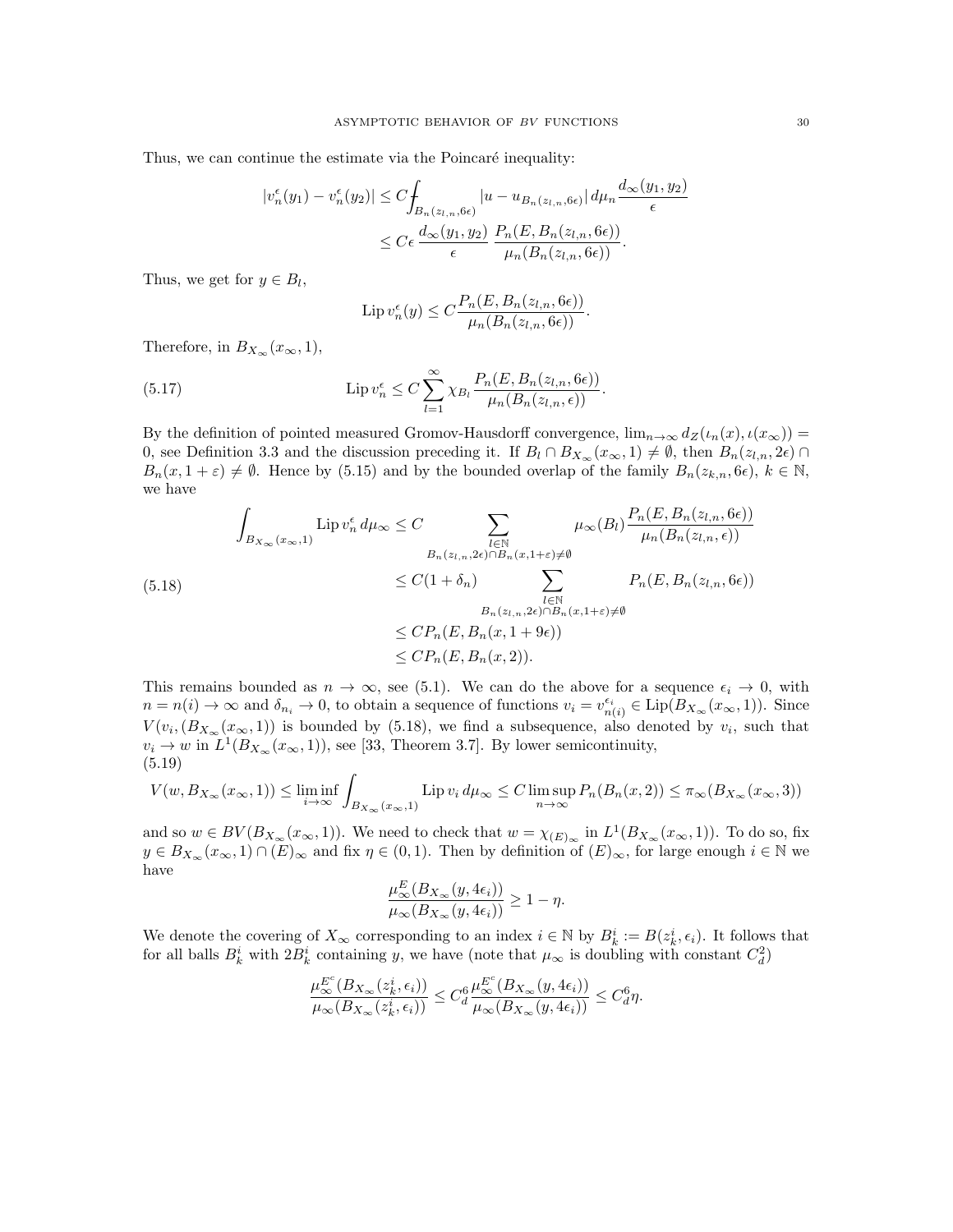Thus, we can continue the estimate via the Poincaré inequality:

$$
|v_n^{\epsilon}(y_1) - v_n^{\epsilon}(y_2)| \leq C \int_{B_n(z_{l,n}, 6\epsilon)} |u - u_{B_n(z_{l,n}, 6\epsilon)}| d\mu_n \frac{d_{\infty}(y_1, y_2)}{\epsilon}
$$
  

$$
\leq C \epsilon \frac{d_{\infty}(y_1, y_2)}{\epsilon} \frac{P_n(E, B_n(z_{l,n}, 6\epsilon))}{\mu_n(B_n(z_{l,n}, 6\epsilon))}.
$$

Thus, we get for  $y \in B_l$ ,

$$
\operatorname{Lip} v_n^{\epsilon}(y) \le C \frac{P_n(E, B_n(z_{l,n}, 6\epsilon))}{\mu_n(B_n(z_{l,n}, 6\epsilon))}.
$$

Therefore, in  $B_{X_\infty}(x_\infty, 1)$ ,

(5.17) 
$$
\operatorname{Lip} v_n^{\epsilon} \leq C \sum_{l=1}^{\infty} \chi_{B_l} \frac{P_n(E, B_n(z_{l,n}, 6\epsilon))}{\mu_n(B_n(z_{l,n}, \epsilon))}.
$$

By the definition of pointed measured Gromov-Hausdorff convergence,  $\lim_{n\to\infty} d_Z(\iota_n(x), \iota(x_\infty))$  = 0, see Definition 3.3 and the discussion preceding it. If  $B_l \cap B_{X_\infty}(x_\infty, 1) \neq \emptyset$ , then  $B_n(z_{l,n}, 2\epsilon) \cap$  $B_n(x, 1 + \varepsilon) \neq \emptyset$ . Hence by (5.15) and by the bounded overlap of the family  $B_n(z_{k,n}, 6\epsilon)$ ,  $k \in \mathbb{N}$ , we have

$$
\int_{B_{X_{\infty}}(x_{\infty},1)} \text{Lip } v_n^{\epsilon} d\mu_{\infty} \leq C \sum_{\substack{l \in \mathbb{N} \\ B_n(z_{l,n},2\epsilon) \cap B_n(x,1+\epsilon) \neq \emptyset}} \mu_{\infty}(B_l) \frac{P_n(E, B_n(z_{l,n}, 6\epsilon))}{\mu_n(B_n(z_{l,n}, \epsilon))}
$$
\n
$$
\leq C(1+\delta_n) \sum_{\substack{l \in \mathbb{N} \\ B_n(z_{l,n},2\epsilon) \cap B_n(x,1+\epsilon) \neq \emptyset}} P_n(E, B_n(z_{l,n}, 6\epsilon))
$$
\n
$$
\leq C P_n(E, B_n(x,1+9\epsilon))
$$
\n
$$
\leq C P_n(E, B_n(x,2)).
$$

This remains bounded as  $n \to \infty$ , see (5.1). We can do the above for a sequence  $\epsilon_i \to 0$ , with  $n = n(i) \to \infty$  and  $\delta_{n_i} \to 0$ , to obtain a sequence of functions  $v_i = v_{n(i)}^{\epsilon_i} \in \text{Lip}(B_{X_\infty}(x_\infty, 1)).$  Since  $V(v_i, (B_{X_{\infty}}(x_{\infty}, 1))$  is bounded by (5.18), we find a subsequence, also denoted by  $v_i$ , such that  $v_i \to w$  in  $L^1(B_{X_\infty}(x_\infty, 1))$ , see [33, Theorem 3.7]. By lower semicontinuity, (5.19)

$$
V(w, B_{X_{\infty}}(x_{\infty}, 1)) \le \liminf_{i \to \infty} \int_{B_{X_{\infty}}(x_{\infty}, 1)} \text{Lip } v_i \, d\mu_{\infty} \le C \limsup_{n \to \infty} P_n(B_n(x, 2)) \le \pi_{\infty}(B_{X_{\infty}}(x_{\infty}, 3))
$$

and so  $w \in BV(B_{X_{\infty}}(x_{\infty}, 1))$ . We need to check that  $w = \chi_{(E)_{\infty}}$  in  $L^1(B_{X_{\infty}}(x_{\infty}, 1))$ . To do so, fix  $y \in B_{X_\infty}(x_\infty, 1) \cap (E)_\infty$  and fix  $\eta \in (0, 1)$ . Then by definition of  $(E)_\infty$ , for large enough  $i \in \mathbb{N}$  we have

$$
\frac{\mu_{\infty}^{E}(B_{X_{\infty}}(y, 4\epsilon_i))}{\mu_{\infty}(B_{X_{\infty}}(y, 4\epsilon_i))} \ge 1 - \eta.
$$

We denote the covering of  $X_{\infty}$  corresponding to an index  $i \in \mathbb{N}$  by  $B_k^i := B(z_k^i, \epsilon_i)$ . It follows that for all balls  $B_k^i$  with  $2B_k^i$  containing y, we have (note that  $\mu_\infty$  is doubling with constant  $C_d^2$ )

$$
\frac{\mu_\infty^{E^c}(B_{X_\infty}(z_k^i,\epsilon_i))}{\mu_\infty(B_{X_\infty}(z_k^i,\epsilon_i))} \leq C_d^6 \frac{\mu_\infty^{E^c}(B_{X_\infty}(y,4\epsilon_i))}{\mu_\infty(B_{X_\infty}(y,4\epsilon_i))} \leq C_d^6 \eta.
$$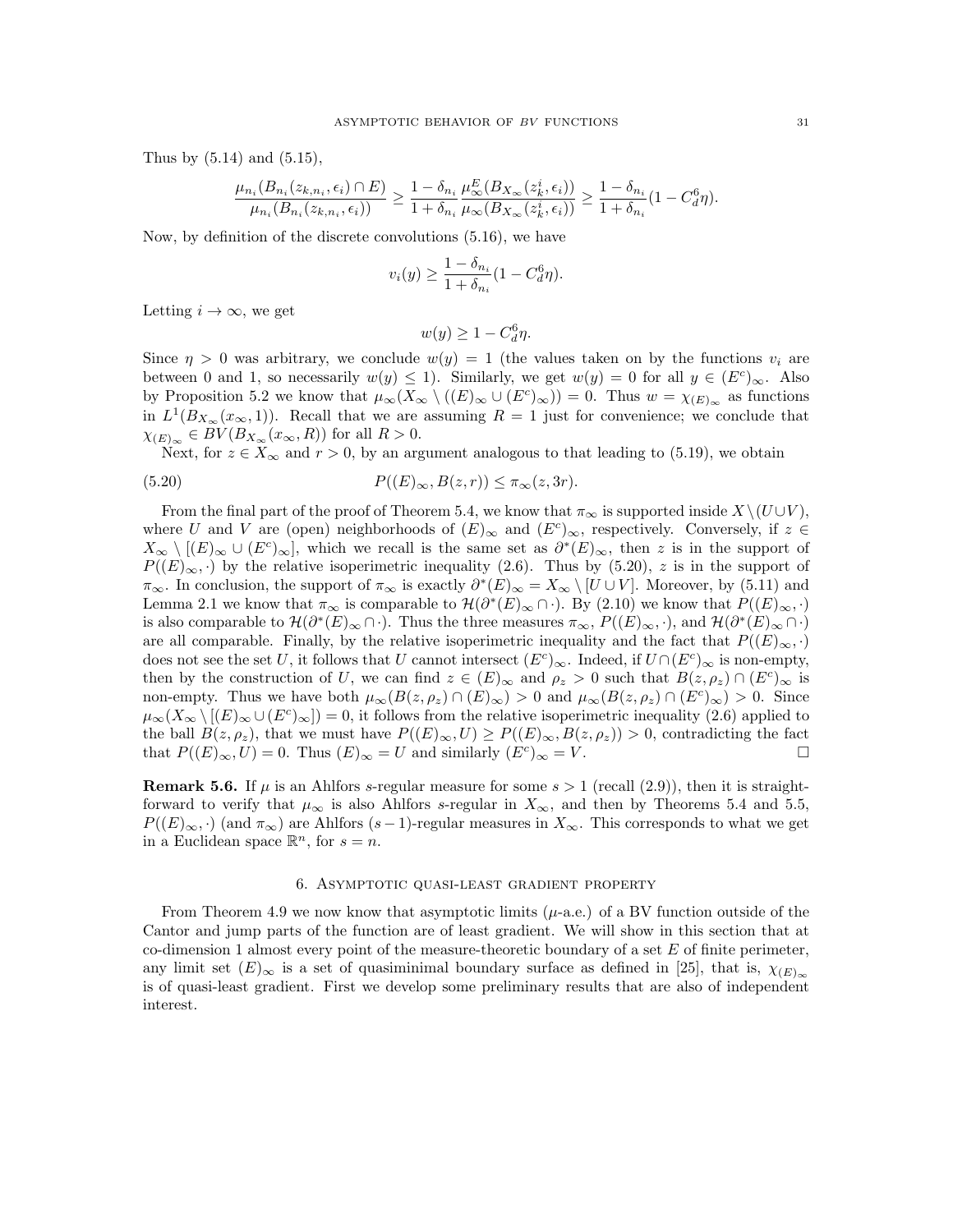Thus by (5.14) and (5.15),

$$
\frac{\mu_{n_i}(B_{n_i}(z_{k,n_i}, \epsilon_i) \cap E)}{\mu_{n_i}(B_{n_i}(z_{k,n_i}, \epsilon_i))} \ge \frac{1 - \delta_{n_i}}{1 + \delta_{n_i}} \frac{\mu_{\infty}^E(B_{X_{\infty}}(z_k^i, \epsilon_i))}{\mu_{\infty}(B_{X_{\infty}}(z_k^i, \epsilon_i))} \ge \frac{1 - \delta_{n_i}}{1 + \delta_{n_i}} (1 - C_d^6 \eta).
$$

Now, by definition of the discrete convolutions (5.16), we have

$$
v_i(y) \ge \frac{1 - \delta_{n_i}}{1 + \delta_{n_i}} (1 - C_d^6 \eta).
$$

Letting  $i \to \infty$ , we get

$$
w(y) \ge 1 - C_d^6 \eta.
$$

Since  $\eta > 0$  was arbitrary, we conclude  $w(y) = 1$  (the values taken on by the functions  $v_i$  are between 0 and 1, so necessarily  $w(y) \leq 1$ . Similarly, we get  $w(y) = 0$  for all  $y \in (E<sup>c</sup>)_{\infty}$ . Also by Proposition 5.2 we know that  $\mu_{\infty}(X_{\infty} \setminus ((E)_{\infty} \cup (E^c)_{\infty})) = 0$ . Thus  $w = \chi_{(E)_{\infty}}$  as functions in  $L^1(B_{X_\infty}(x_\infty, 1))$ . Recall that we are assuming  $R = 1$  just for convenience; we conclude that  $\chi_{(E)_{\infty}} \in BV(B_{X_{\infty}}(x_{\infty}, R))$  for all  $R > 0$ .

Next, for  $z \in X_\infty$  and  $r > 0$ , by an argument analogous to that leading to (5.19), we obtain

(5.20) 
$$
P((E)_{\infty}, B(z,r)) \leq \pi_{\infty}(z,3r).
$$

From the final part of the proof of Theorem 5.4, we know that  $\pi_{\infty}$  is supported inside  $X \setminus (U \cup V)$ , where U and V are (open) neighborhoods of  $(E)_{\infty}$  and  $(E^{c})_{\infty}$ , respectively. Conversely, if  $z \in$  $X_{\infty} \setminus [(E)_{\infty} \cup (E^{c})_{\infty}]$ , which we recall is the same set as  $\partial^{*}(E)_{\infty}$ , then z is in the support of  $P((E)_{\infty}, \cdot)$  by the relative isoperimetric inequality (2.6). Thus by (5.20), z is in the support of  $\pi_{\infty}$ . In conclusion, the support of  $\pi_{\infty}$  is exactly  $\partial^*(E)_{\infty} = X_{\infty} \setminus [U \cup V]$ . Moreover, by (5.11) and Lemma 2.1 we know that  $\pi_{\infty}$  is comparable to  $\mathcal{H}(\partial^*(E)_{\infty} \cap \cdot)$ . By (2.10) we know that  $P((E)_{\infty}, \cdot)$ is also comparable to  $\mathcal{H}(\partial^*(E)_{\infty} \cap \cdot)$ . Thus the three measures  $\pi_{\infty}$ ,  $P((E)_{\infty}, \cdot)$ , and  $\mathcal{H}(\partial^*(E)_{\infty} \cap \cdot)$ are all comparable. Finally, by the relative isoperimetric inequality and the fact that  $P((E)_{\infty}, \cdot)$ does not see the set U, it follows that U cannot intersect  $(E^c)_{\infty}$ . Indeed, if  $U \cap (E^c)_{\infty}$  is non-empty, then by the construction of U, we can find  $z \in (E)_{\infty}$  and  $\rho_z > 0$  such that  $B(z, \rho_z) \cap (E^c)_{\infty}$  is non-empty. Thus we have both  $\mu_{\infty}(B(z,\rho_z) \cap (E)_{\infty}) > 0$  and  $\mu_{\infty}(B(z,\rho_z) \cap (E^c)_{\infty}) > 0$ . Since  $\mu_\infty(X_\infty\setminus[(E)_\infty\cup(E^c)_\infty])=0$ , it follows from the relative isoperimetric inequality (2.6) applied to the ball  $B(z, \rho_z)$ , that we must have  $P((E)_{\infty}, U) \ge P((E)_{\infty}, B(z, \rho_z)) > 0$ , contradicting the fact that  $P((E)_{\infty}, U) = 0$ . Thus  $(E)_{\infty} = U$  and similarly  $(E^{c})_{\infty} = V$ .

**Remark 5.6.** If  $\mu$  is an Ahlfors s-regular measure for some  $s > 1$  (recall (2.9)), then it is straightforward to verify that  $\mu_{\infty}$  is also Ahlfors s-regular in  $X_{\infty}$ , and then by Theorems 5.4 and 5.5,  $P((E)_{\infty}, \cdot)$  (and  $\pi_{\infty}$ ) are Ahlfors (s – 1)-regular measures in  $X_{\infty}$ . This corresponds to what we get in a Euclidean space  $\mathbb{R}^n$ , for  $s = n$ .

### 6. Asymptotic quasi-least gradient property

From Theorem 4.9 we now know that asymptotic limits  $(\mu$ -a.e.) of a BV function outside of the Cantor and jump parts of the function are of least gradient. We will show in this section that at co-dimension 1 almost every point of the measure-theoretic boundary of a set  $E$  of finite perimeter, any limit set  $(E)_{\infty}$  is a set of quasiminimal boundary surface as defined in [25], that is,  $\chi_{(E)_{\infty}}$ is of quasi-least gradient. First we develop some preliminary results that are also of independent interest.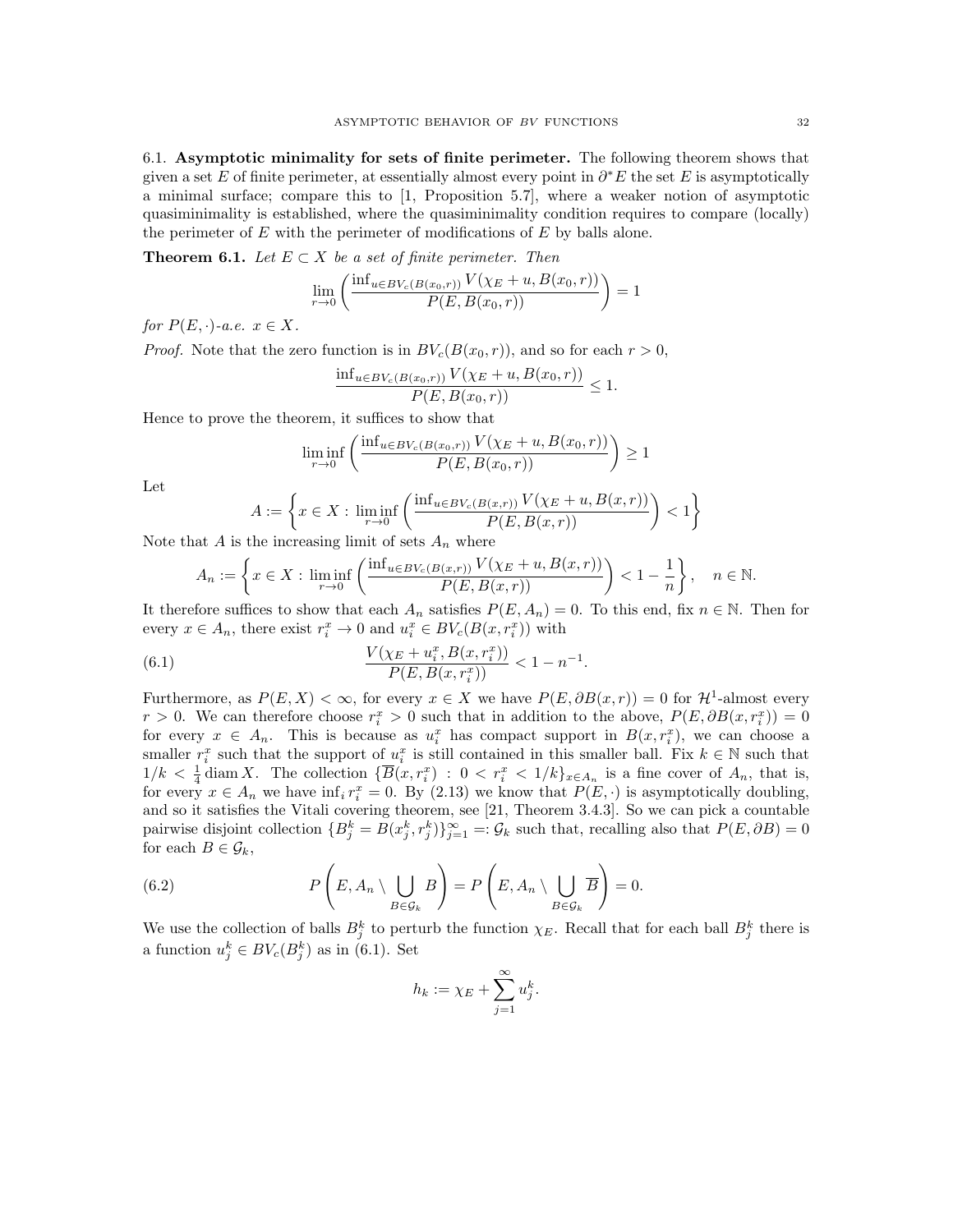6.1. Asymptotic minimality for sets of finite perimeter. The following theorem shows that given a set E of finite perimeter, at essentially almost every point in  $\partial^* E$  the set E is asymptotically a minimal surface; compare this to [1, Proposition 5.7], where a weaker notion of asymptotic quasiminimality is established, where the quasiminimality condition requires to compare (locally) the perimeter of  $E$  with the perimeter of modifications of  $E$  by balls alone.

**Theorem 6.1.** Let  $E \subset X$  be a set of finite perimeter. Then

$$
\lim_{r \to 0} \left( \frac{\inf_{u \in BV_c(B(x_0, r))} V(\chi_E + u, B(x_0, r))}{P(E, B(x_0, r))} \right) = 1
$$

for  $P(E, \cdot)$ -a.e.  $x \in X$ .

*Proof.* Note that the zero function is in  $BV_c(B(x_0, r))$ , and so for each  $r > 0$ ,

$$
\frac{\inf_{u \in BV_c(B(x_0,r))} V(\chi_E + u, B(x_0,r))}{P(E, B(x_0,r))} \le 1.
$$

Hence to prove the theorem, it suffices to show that

$$
\liminf_{r \to 0} \left( \frac{\inf_{u \in BV_c(B(x_0, r))} V(\chi_E + u, B(x_0, r))}{P(E, B(x_0, r))} \right) \ge 1
$$

Let

$$
A := \left\{ x \in X : \liminf_{r \to 0} \left( \frac{\inf_{u \in BV_c(B(x,r))} V(\chi_E + u, B(x,r))}{P(E, B(x,r))} \right) < 1 \right\}
$$

Note that  $A$  is the increasing limit of sets  $A_n$  where

$$
A_n := \left\{ x \in X : \liminf_{r \to 0} \left( \frac{\inf_{u \in BV_c(B(x,r))} V(\chi_E + u, B(x,r))}{P(E, B(x,r))} \right) < 1 - \frac{1}{n} \right\}, \quad n \in \mathbb{N}.
$$

It therefore suffices to show that each  $A_n$  satisfies  $P(E, A_n) = 0$ . To this end, fix  $n \in \mathbb{N}$ . Then for every  $x \in A_n$ , there exist  $r_i^x \to 0$  and  $u_i^x \in BV_c(B(x, r_i^x))$  with

(6.1) 
$$
\frac{V(\chi_E + u_i^x, B(x, r_i^x))}{P(E, B(x, r_i^x))} < 1 - n^{-1}.
$$

Furthermore, as  $P(E, X) < \infty$ , for every  $x \in X$  we have  $P(E, \partial B(x, r)) = 0$  for  $\mathcal{H}^1$ -almost every  $r > 0$ . We can therefore choose  $r_i^x > 0$  such that in addition to the above,  $P(E, \partial B(x, r_i^x)) = 0$ for every  $x \in A_n$ . This is because as  $u_i^x$  has compact support in  $B(x, r_i^x)$ , we can choose a smaller  $r_i^x$  such that the support of  $u_i^x$  is still contained in this smaller ball. Fix  $k \in \mathbb{N}$  such that  $1/k < \frac{1}{4}$  diam X. The collection  $\{\overline{B}(x,r_i^x) : 0 < r_i^x < 1/k\}_{x \in A_n}$  is a fine cover of  $A_n$ , that is, for every  $x \in A_n$  we have  $\inf_i r_i^x = 0$ . By (2.13) we know that  $P(E, \cdot)$  is asymptotically doubling, and so it satisfies the Vitali covering theorem, see [21, Theorem 3.4.3]. So we can pick a countable pairwise disjoint collection  ${B_j^k = B(x_j^k, r_j^k)}_{j=1}^{\infty} =: \mathcal{G}_k$  such that, recalling also that  $P(E, \partial B) = 0$ for each  $B \in \mathcal{G}_k$ ,

(6.2) 
$$
P\left(E, A_n \setminus \bigcup_{B \in \mathcal{G}_k} B\right) = P\left(E, A_n \setminus \bigcup_{B \in \mathcal{G}_k} \overline{B}\right) = 0.
$$

We use the collection of balls  $B_j^k$  to perturb the function  $\chi_E$ . Recall that for each ball  $B_j^k$  there is a function  $u_j^k \in BV_c(B_j^k)$  as in (6.1). Set

$$
h_k := \chi_E + \sum_{j=1}^\infty u_j^k.
$$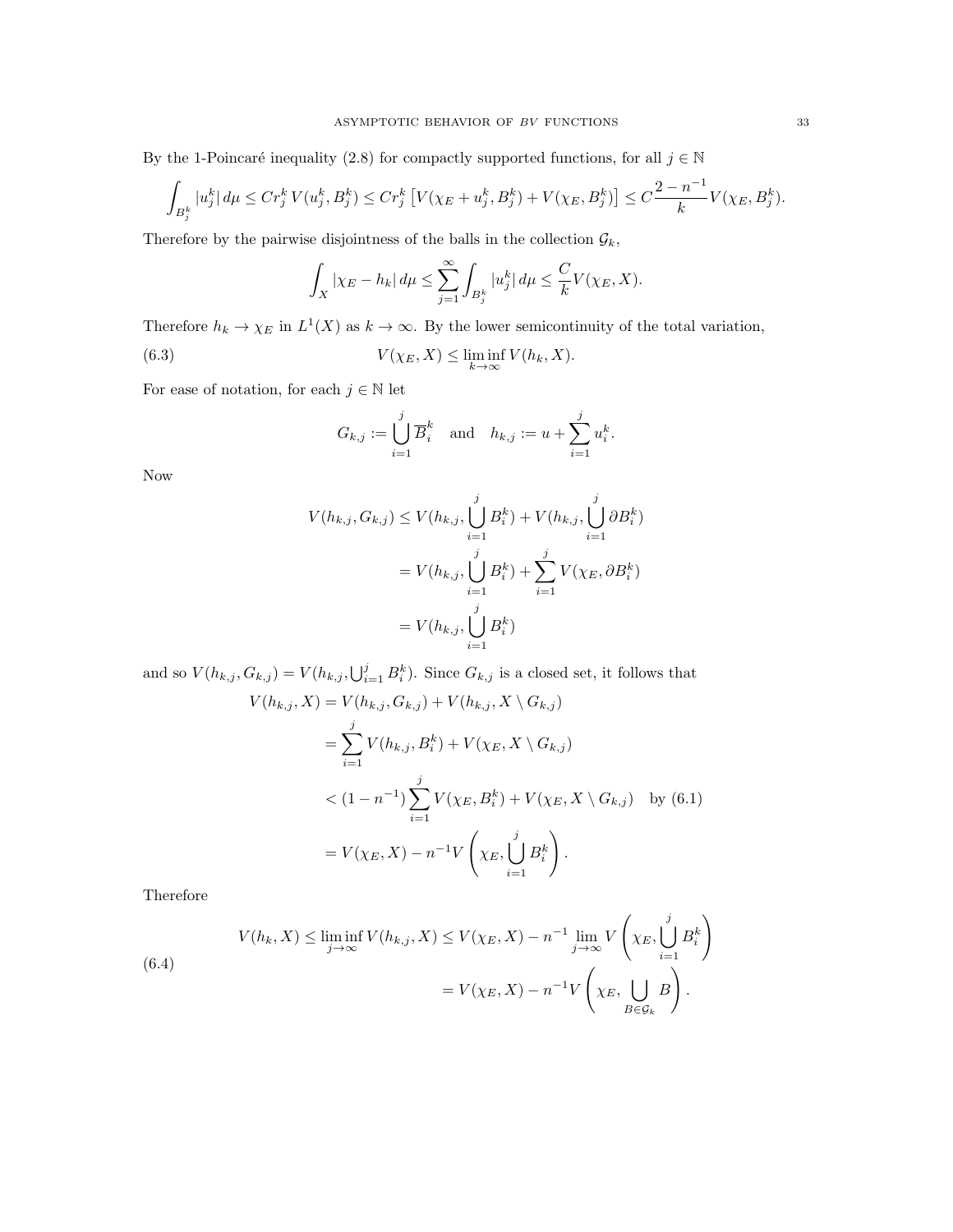By the 1-Poincaré inequality (2.8) for compactly supported functions, for all  $j \in \mathbb{N}$ 

$$
\int_{B_j^k} |u_j^k| d\mu \le Cr_j^k V(u_j^k, B_j^k) \le Cr_j^k \left[ V(\chi_E + u_j^k, B_j^k) + V(\chi_E, B_j^k) \right] \le C \frac{2 - n^{-1}}{k} V(\chi_E, B_j^k).
$$

Therefore by the pairwise disjointness of the balls in the collection  $\mathcal{G}_k$ ,

$$
\int_X |\chi_E - h_k| \, d\mu \le \sum_{j=1}^\infty \int_{B_j^k} |u_j^k| \, d\mu \le \frac{C}{k} V(\chi_E, X).
$$

Therefore  $h_k \to \chi_E$  in  $L^1(X)$  as  $k \to \infty$ . By the lower semicontinuity of the total variation,

(6.3) 
$$
V(\chi_E, X) \leq \liminf_{k \to \infty} V(h_k, X).
$$

For ease of notation, for each  $j \in \mathbb{N}$  let

$$
G_{k,j} := \bigcup_{i=1}^j \overline{B}_i^k \quad \text{and} \quad h_{k,j} := u + \sum_{i=1}^j u_i^k.
$$

Now

$$
V(h_{k,j}, G_{k,j}) \le V(h_{k,j}, \bigcup_{i=1}^{j} B_i^k) + V(h_{k,j}, \bigcup_{i=1}^{j} \partial B_i^k)
$$
  
=  $V(h_{k,j}, \bigcup_{i=1}^{j} B_i^k) + \sum_{i=1}^{j} V(\chi_E, \partial B_i^k)$   
=  $V(h_{k,j}, \bigcup_{i=1}^{j} B_i^k)$ 

and so  $V(h_{k,j}, G_{k,j}) = V(h_{k,j}, \bigcup_{i=1}^{j} B_i^k)$ . Since  $G_{k,j}$  is a closed set, it follows that

$$
V(h_{k,j}, X) = V(h_{k,j}, G_{k,j}) + V(h_{k,j}, X \setminus G_{k,j})
$$
  
=  $\sum_{i=1}^{j} V(h_{k,j}, B_i^k) + V(\chi_E, X \setminus G_{k,j})$   
<  $(1 - n^{-1}) \sum_{i=1}^{j} V(\chi_E, B_i^k) + V(\chi_E, X \setminus G_{k,j})$  by (6.1)  
=  $V(\chi_E, X) - n^{-1} V\left(\chi_E, \bigcup_{i=1}^{j} B_i^k\right).$ 

Therefore

(6.4) 
$$
V(h_k, X) \le \liminf_{j \to \infty} V(h_{k,j}, X) \le V(\chi_E, X) - n^{-1} \lim_{j \to \infty} V\left(\chi_E, \bigcup_{i=1}^j B_i^k\right)
$$

$$
= V(\chi_E, X) - n^{-1} V\left(\chi_E, \bigcup_{B \in \mathcal{G}_k} B\right).
$$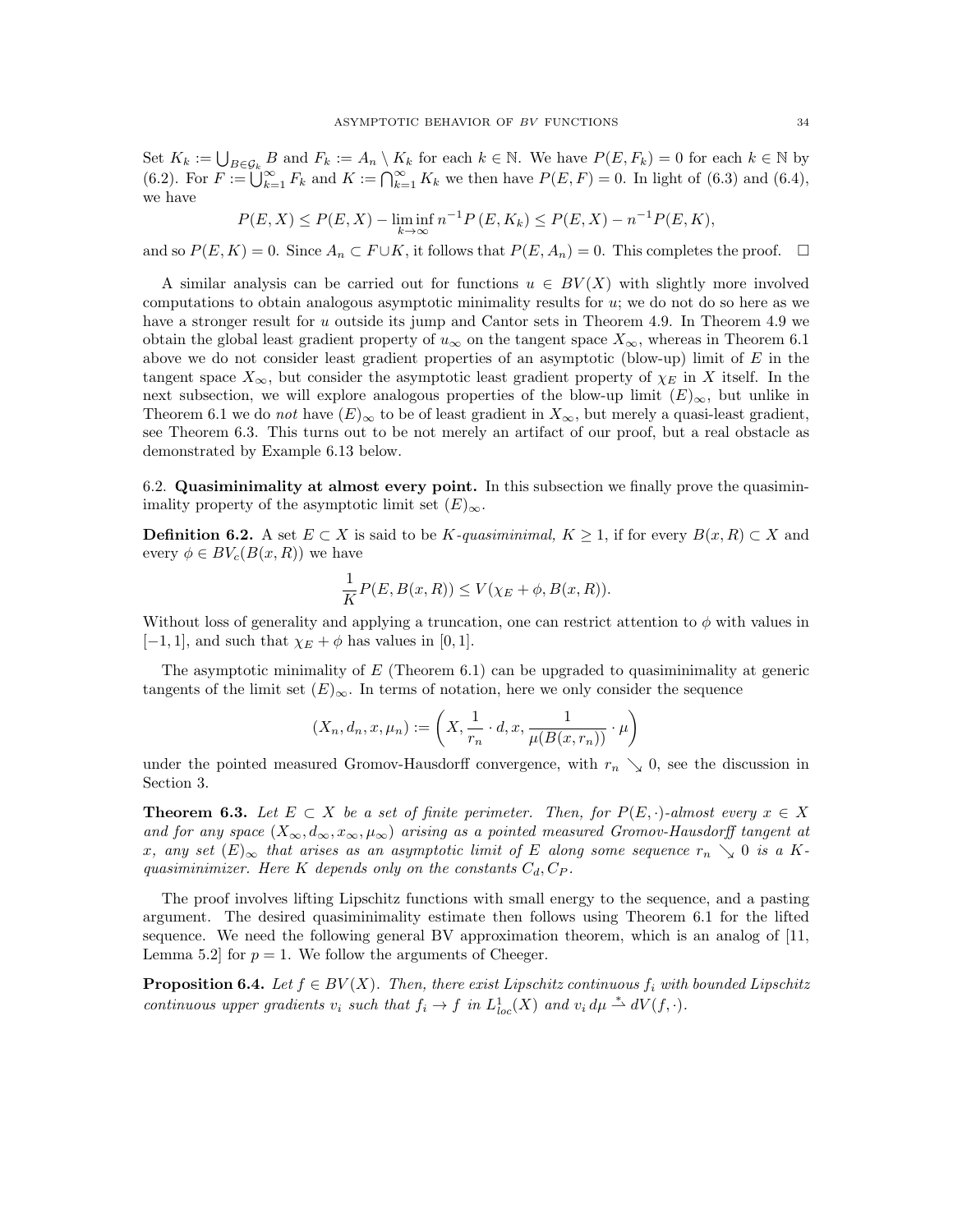Set  $K_k := \bigcup_{B \in \mathcal{G}_k} B$  and  $F_k := A_n \setminus K_k$  for each  $k \in \mathbb{N}$ . We have  $P(E, F_k) = 0$  for each  $k \in \mathbb{N}$  by (6.2). For  $F := \bigcup_{k=1}^{\infty} F_k$  and  $K := \bigcap_{k=1}^{\infty} K_k$  we then have  $P(E, F) = 0$ . In light of (6.3) and (6.4), we have

$$
P(E, X) \le P(E, X) - \liminf_{k \to \infty} n^{-1} P(E, K_k) \le P(E, X) - n^{-1} P(E, K),
$$

and so  $P(E, K) = 0$ . Since  $A_n \subset F \cup K$ , it follows that  $P(E, A_n) = 0$ . This completes the proof.  $\Box$ 

A similar analysis can be carried out for functions  $u \in BV(X)$  with slightly more involved computations to obtain analogous asymptotic minimality results for u; we do not do so here as we have a stronger result for u outside its jump and Cantor sets in Theorem 4.9. In Theorem 4.9 we obtain the global least gradient property of  $u_{\infty}$  on the tangent space  $X_{\infty}$ , whereas in Theorem 6.1 above we do not consider least gradient properties of an asymptotic (blow-up) limit of  $E$  in the tangent space  $X_{\infty}$ , but consider the asymptotic least gradient property of  $\chi_E$  in X itself. In the next subsection, we will explore analogous properties of the blow-up limit  $(E)_{\infty}$ , but unlike in Theorem 6.1 we do not have  $(E)_{\infty}$  to be of least gradient in  $X_{\infty}$ , but merely a quasi-least gradient, see Theorem 6.3. This turns out to be not merely an artifact of our proof, but a real obstacle as demonstrated by Example 6.13 below.

6.2. Quasiminimality at almost every point. In this subsection we finally prove the quasiminimality property of the asymptotic limit set  $(E)_{\infty}$ .

**Definition 6.2.** A set  $E \subset X$  is said to be K-quasiminimal,  $K \geq 1$ , if for every  $B(x, R) \subset X$  and every  $\phi \in BV_c(B(x,R))$  we have

$$
\frac{1}{K}P(E, B(x, R)) \le V(\chi_E + \phi, B(x, R)).
$$

Without loss of generality and applying a truncation, one can restrict attention to  $\phi$  with values in  $[-1, 1]$ , and such that  $\chi_E + \phi$  has values in [0, 1].

The asymptotic minimality of  $E$  (Theorem 6.1) can be upgraded to quasiminimality at generic tangents of the limit set  $(E)_{\infty}$ . In terms of notation, here we only consider the sequence

$$
(X_n, d_n, x, \mu_n) := \left(X, \frac{1}{r_n} \cdot d, x, \frac{1}{\mu(B(x, r_n))} \cdot \mu\right)
$$

under the pointed measured Gromov-Hausdorff convergence, with  $r_n \searrow 0$ , see the discussion in Section 3.

**Theorem 6.3.** Let  $E \subset X$  be a set of finite perimeter. Then, for  $P(E, \cdot)$ -almost every  $x \in X$ and for any space  $(X_\infty, d_\infty, x_\infty, \mu_\infty)$  arising as a pointed measured Gromov-Hausdorff tangent at x, any set  $(E)_{\infty}$  that arises as an asymptotic limit of E along some sequence  $r_n \searrow 0$  is a Kquasiminimizer. Here K depends only on the constants  $C_d$ ,  $C_P$ .

The proof involves lifting Lipschitz functions with small energy to the sequence, and a pasting argument. The desired quasiminimality estimate then follows using Theorem 6.1 for the lifted sequence. We need the following general BV approximation theorem, which is an analog of [11, Lemma 5.2 for  $p = 1$ . We follow the arguments of Cheeger.

**Proposition 6.4.** Let  $f \in BV(X)$ . Then, there exist Lipschitz continuous  $f_i$  with bounded Lipschitz continuous upper gradients  $v_i$  such that  $f_i \to f$  in  $L^1_{loc}(X)$  and  $v_i d\mu \stackrel{*}{\rightharpoonup} dV(f, \cdot)$ .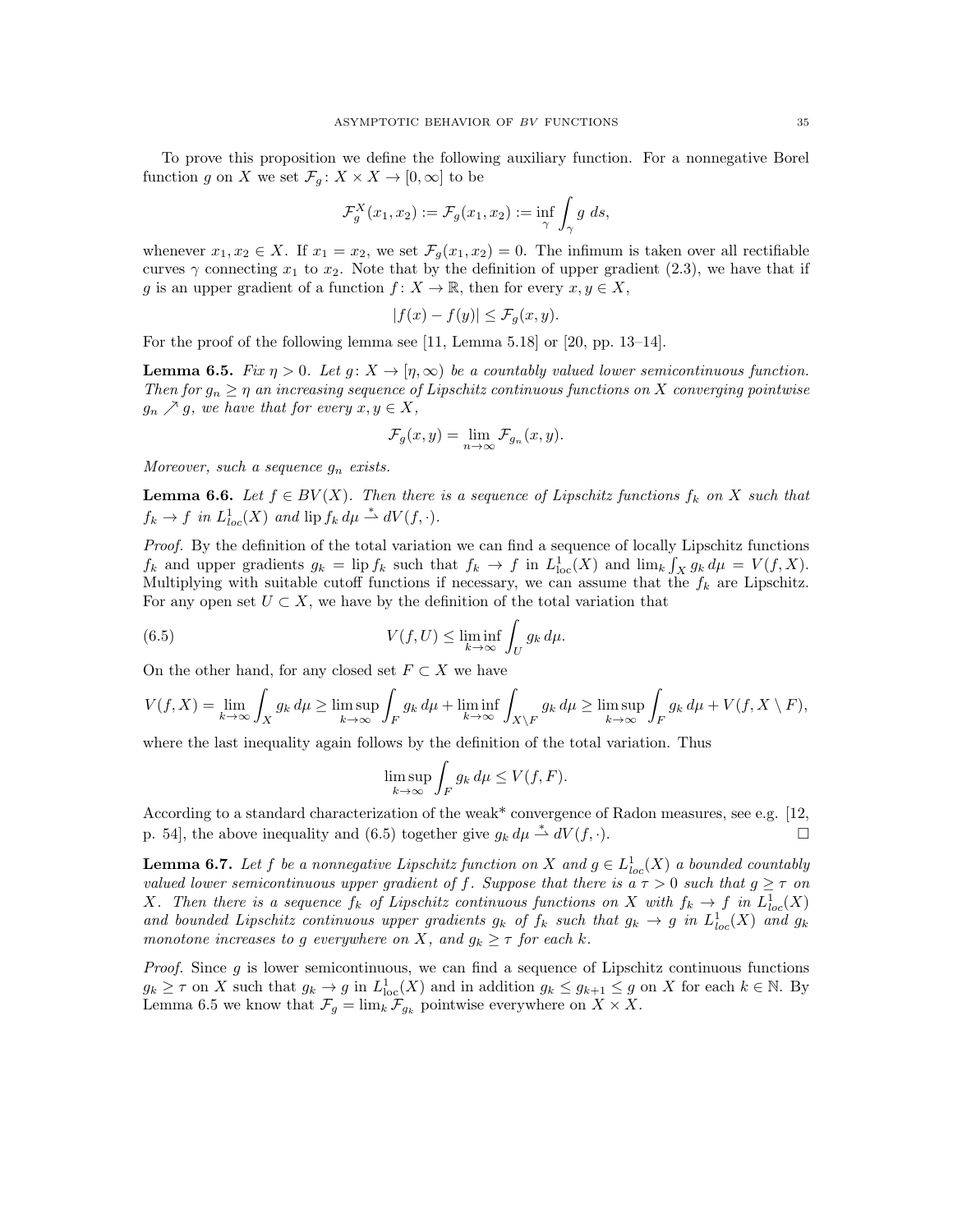To prove this proposition we define the following auxiliary function. For a nonnegative Borel function  $g$  on  $X$  we set  $\mathcal{F}_g\colon X\times X\to [0,\infty]$  to be

$$
\mathcal{F}_g^X(x_1, x_2) := \mathcal{F}_g(x_1, x_2) := \inf_{\gamma} \int_{\gamma} g \, ds,
$$

whenever  $x_1, x_2 \in X$ . If  $x_1 = x_2$ , we set  $\mathcal{F}_g(x_1, x_2) = 0$ . The infimum is taken over all rectifiable curves  $\gamma$  connecting  $x_1$  to  $x_2$ . Note that by the definition of upper gradient (2.3), we have that if g is an upper gradient of a function  $f: X \to \mathbb{R}$ , then for every  $x, y \in X$ ,

$$
|f(x) - f(y)| \le \mathcal{F}_g(x, y).
$$

For the proof of the following lemma see [11, Lemma 5.18] or [20, pp. 13–14].

**Lemma 6.5.** Fix  $\eta > 0$ . Let  $g: X \to [\eta, \infty)$  be a countably valued lower semicontinuous function. Then for  $g_n \geq \eta$  an increasing sequence of Lipschitz continuous functions on X converging pointwise  $g_n \nearrow g$ , we have that for every  $x, y \in X$ ,

$$
\mathcal{F}_g(x,y) = \lim_{n \to \infty} \mathcal{F}_{g_n}(x,y).
$$

Moreover, such a sequence  $q_n$  exists.

**Lemma 6.6.** Let  $f \in BV(X)$ . Then there is a sequence of Lipschitz functions  $f_k$  on X such that  $f_k \to f$  in  $L^1_{loc}(X)$  and  $\text{lip } f_k d\mu \stackrel{*}{\rightharpoonup} dV(f, \cdot).$ 

Proof. By the definition of the total variation we can find a sequence of locally Lipschitz functions  $f_k$  and upper gradients  $g_k = \text{lip } f_k$  such that  $f_k \to f$  in  $L^1_{\text{loc}}(X)$  and  $\lim_k \int_X g_k d\mu = V(f, X)$ . Multiplying with suitable cutoff functions if necessary, we can assume that the  $f_k$  are Lipschitz. For any open set  $U \subset X$ , we have by the definition of the total variation that

(6.5) 
$$
V(f, U) \leq \liminf_{k \to \infty} \int_U g_k d\mu.
$$

On the other hand, for any closed set  $F \subset X$  we have

$$
V(f, X) = \lim_{k \to \infty} \int_X g_k d\mu \ge \limsup_{k \to \infty} \int_F g_k d\mu + \liminf_{k \to \infty} \int_{X \setminus F} g_k d\mu \ge \limsup_{k \to \infty} \int_F g_k d\mu + V(f, X \setminus F),
$$

where the last inequality again follows by the definition of the total variation. Thus

$$
\limsup_{k \to \infty} \int_F g_k \, d\mu \le V(f, F).
$$

According to a standard characterization of the weak\* convergence of Radon measures, see e.g. [12, p. 54], the above inequality and (6.5) together give  $g_k d\mu \stackrel{*}{\rightharpoonup} dV(f, \cdot)$ .

**Lemma 6.7.** Let f be a nonnegative Lipschitz function on X and  $g \in L^1_{loc}(X)$  a bounded countably valued lower semicontinuous upper gradient of f. Suppose that there is a  $\tau > 0$  such that  $g \geq \tau$  on X. Then there is a sequence  $f_k$  of Lipschitz continuous functions on X with  $f_k \to f$  in  $L^1_{loc}(X)$ and bounded Lipschitz continuous upper gradients  $g_k$  of  $f_k$  such that  $g_k \to g$  in  $L^1_{loc}(X)$  and  $g_k$ monotone increases to g everywhere on X, and  $g_k \geq \tau$  for each k.

*Proof.* Since  $g$  is lower semicontinuous, we can find a sequence of Lipschitz continuous functions  $g_k \geq \tau$  on X such that  $g_k \to g$  in  $L^1_{loc}(X)$  and in addition  $g_k \leq g_{k+1} \leq g$  on X for each  $k \in \mathbb{N}$ . By Lemma 6.5 we know that  $\mathcal{F}_g = \lim_k \mathcal{F}_{g_k}$  pointwise everywhere on  $X \times X$ .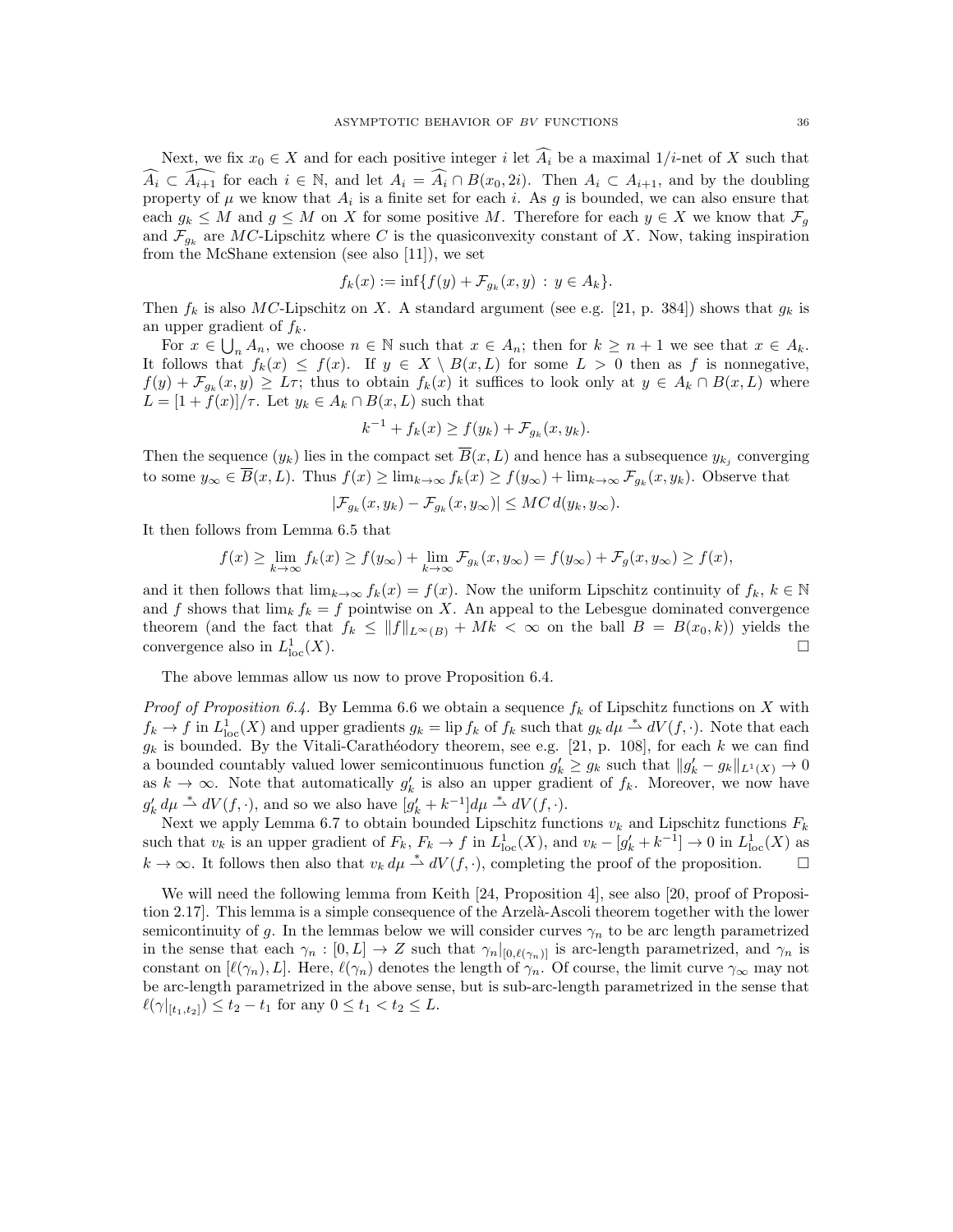Next, we fix  $x_0 \in X$  and for each positive integer i let  $\widehat{A_i}$  be a maximal  $1/i$ -net of X such that  $\widehat{A_i} \subset \widehat{A_{i+1}}$  for each  $i \in \mathbb{N}$ , and let  $A_i = \widehat{A_i} \cap B(x_0, 2i)$ . Then  $A_i \subset A_{i+1}$ , and by the doubling property of  $\mu$  we know that  $A_i$  is a finite set for each i. As g is bounded, we can also ensure that each  $g_k \leq M$  and  $g \leq M$  on X for some positive M. Therefore for each  $y \in X$  we know that  $\mathcal{F}_q$ and  $\mathcal{F}_{g_k}$  are MC-Lipschitz where C is the quasiconvexity constant of X. Now, taking inspiration from the McShane extension (see also [11]), we set

$$
f_k(x) := \inf\{f(y) + \mathcal{F}_{g_k}(x, y) : y \in A_k\}.
$$

Then  $f_k$  is also MC-Lipschitz on X. A standard argument (see e.g. [21, p. 384]) shows that  $g_k$  is an upper gradient of  $f_k$ .

For  $x \in \bigcup_n A_n$ , we choose  $n \in \mathbb{N}$  such that  $x \in A_n$ ; then for  $k \geq n+1$  we see that  $x \in A_k$ . It follows that  $f_k(x) \leq f(x)$ . If  $y \in X \setminus B(x,L)$  for some  $L > 0$  then as f is nonnegative,  $f(y) + \mathcal{F}_{g_k}(x, y) \geq L\tau$ ; thus to obtain  $f_k(x)$  it suffices to look only at  $y \in A_k \cap B(x, L)$  where  $L = [1 + f(x)]/\tau$ . Let  $y_k \in A_k \cap B(x, L)$  such that

$$
k^{-1} + f_k(x) \ge f(y_k) + \mathcal{F}_{g_k}(x, y_k).
$$

Then the sequence  $(y_k)$  lies in the compact set  $B(x, L)$  and hence has a subsequence  $y_{k_j}$  converging to some  $y_\infty \in \overline{B}(x,L)$ . Thus  $f(x) \ge \lim_{k \to \infty} f_k(x) \ge f(y_\infty) + \lim_{k \to \infty} \mathcal{F}_{g_k}(x, y_k)$ . Observe that

$$
|\mathcal{F}_{g_k}(x,y_k) - \mathcal{F}_{g_k}(x,y_\infty)| \leq MC d(y_k, y_\infty).
$$

It then follows from Lemma 6.5 that

$$
f(x) \ge \lim_{k \to \infty} f_k(x) \ge f(y_\infty) + \lim_{k \to \infty} \mathcal{F}_{g_k}(x, y_\infty) = f(y_\infty) + \mathcal{F}_g(x, y_\infty) \ge f(x),
$$

and it then follows that  $\lim_{k\to\infty} f_k(x) = f(x)$ . Now the uniform Lipschitz continuity of  $f_k, k \in \mathbb{N}$ and f shows that  $\lim_k f_k = f$  pointwise on X. An appeal to the Lebesgue dominated convergence theorem (and the fact that  $f_k \leq ||f||_{L^{\infty}(B)} + Mk < \infty$  on the ball  $B = B(x_0, k)$ ) yields the convergence also in  $L^1_{\text{I}_0}$  $\frac{1}{\log(X)}$ .

The above lemmas allow us now to prove Proposition 6.4.

*Proof of Proposition 6.4.* By Lemma 6.6 we obtain a sequence  $f_k$  of Lipschitz functions on X with  $f_k \to f$  in  $L^1_{loc}(X)$  and upper gradients  $g_k = \text{lip } f_k$  of  $f_k$  such that  $g_k d\mu \stackrel{*}{\rightharpoonup} dV(f, \cdot)$ . Note that each  $g_k$  is bounded. By the Vitali-Carathéodory theorem, see e.g. [21, p. 108], for each k we can find a bounded countably valued lower semicontinuous function  $g'_k \ge g_k$  such that  $||g'_k - g_k||_{L^1(X)} \to 0$ as  $k \to \infty$ . Note that automatically  $g'_k$  is also an upper gradient of  $f_k$ . Moreover, we now have  $g'_k d\mu \stackrel{*}{\rightharpoonup} dV(f, \cdot)$ , and so we also have  $[g'_k + k^{-1}] d\mu \stackrel{*}{\rightharpoonup} dV(f, \cdot)$ .

Next we apply Lemma 6.7 to obtain bounded Lipschitz functions  $v_k$  and Lipschitz functions  $F_k$ such that  $v_k$  is an upper gradient of  $F_k$ ,  $F_k \to f$  in  $L^1_{loc}(X)$ , and  $v_k - [g'_k + k^{-1}] \to 0$  in  $L^1_{loc}(X)$  as  $k \to \infty$ . It follows then also that  $v_k d\mu \stackrel{*}{\rightharpoonup} dV(f,\cdot)$ , completing the proof of the proposition.

We will need the following lemma from Keith [24, Proposition 4], see also [20, proof of Proposition 2.17. This lemma is a simple consequence of the Arzelà-Ascoli theorem together with the lower semicontinuity of g. In the lemmas below we will consider curves  $\gamma_n$  to be arc length parametrized in the sense that each  $\gamma_n : [0, L] \to Z$  such that  $\gamma_n|_{[0, \ell(\gamma_n)]}$  is arc-length parametrized, and  $\gamma_n$  is constant on  $[\ell(\gamma_n), L]$ . Here,  $\ell(\gamma_n)$  denotes the length of  $\gamma_n$ . Of course, the limit curve  $\gamma_\infty$  may not be arc-length parametrized in the above sense, but is sub-arc-length parametrized in the sense that  $\ell(\gamma|_{[t_1,t_2]}) \leq t_2 - t_1$  for any  $0 \leq t_1 < t_2 \leq L$ .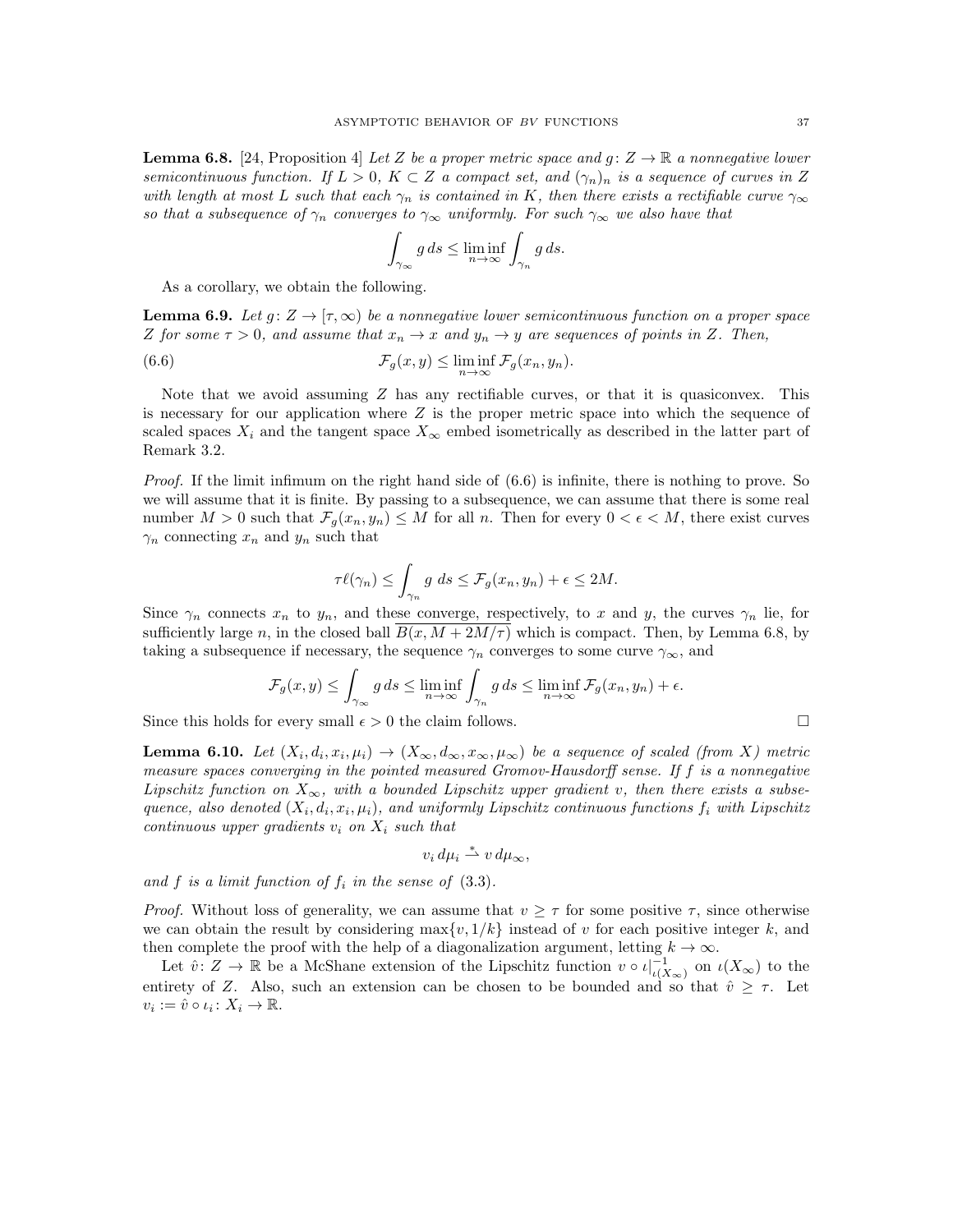**Lemma 6.8.** [24, Proposition 4] Let Z be a proper metric space and  $g: Z \to \mathbb{R}$  a nonnegative lower semicontinuous function. If  $L > 0$ ,  $K \subset Z$  a compact set, and  $(\gamma_n)_n$  is a sequence of curves in Z with length at most L such that each  $\gamma_n$  is contained in K, then there exists a rectifiable curve  $\gamma_\infty$ so that a subsequence of  $\gamma_n$  converges to  $\gamma_\infty$  uniformly. For such  $\gamma_\infty$  we also have that

$$
\int_{\gamma_{\infty}} g ds \le \liminf_{n \to \infty} \int_{\gamma_n} g ds.
$$

As a corollary, we obtain the following.

**Lemma 6.9.** Let  $g: Z \to [\tau, \infty)$  be a nonnegative lower semicontinuous function on a proper space Z for some  $\tau > 0$ , and assume that  $x_n \to x$  and  $y_n \to y$  are sequences of points in Z. Then,

(6.6) 
$$
\mathcal{F}_g(x,y) \leq \liminf_{n \to \infty} \mathcal{F}_g(x_n,y_n).
$$

Note that we avoid assuming  $Z$  has any rectifiable curves, or that it is quasiconvex. This is necessary for our application where  $Z$  is the proper metric space into which the sequence of scaled spaces  $X_i$  and the tangent space  $X_\infty$  embed isometrically as described in the latter part of Remark 3.2.

Proof. If the limit infimum on the right hand side of (6.6) is infinite, there is nothing to prove. So we will assume that it is finite. By passing to a subsequence, we can assume that there is some real number  $M > 0$  such that  $\mathcal{F}_g(x_n, y_n) \leq M$  for all n. Then for every  $0 < \epsilon < M$ , there exist curves  $\gamma_n$  connecting  $x_n$  and  $y_n$  such that

$$
\tau \ell(\gamma_n) \le \int_{\gamma_n} g \ ds \le \mathcal{F}_g(x_n, y_n) + \epsilon \le 2M.
$$

Since  $\gamma_n$  connects  $x_n$  to  $y_n$ , and these converge, respectively, to x and y, the curves  $\gamma_n$  lie, for sufficiently large n, in the closed ball  $B(x, M + 2M/\tau)$  which is compact. Then, by Lemma 6.8, by taking a subsequence if necessary, the sequence  $\gamma_n$  converges to some curve  $\gamma_\infty$ , and

$$
\mathcal{F}_g(x,y) \le \int_{\gamma_\infty} g \, ds \le \liminf_{n \to \infty} \int_{\gamma_n} g \, ds \le \liminf_{n \to \infty} \mathcal{F}_g(x_n, y_n) + \epsilon.
$$

Since this holds for every small  $\epsilon > 0$  the claim follows.

**Lemma 6.10.** Let  $(X_i, d_i, x_i, \mu_i) \to (X_\infty, d_\infty, x_\infty, \mu_\infty)$  be a sequence of scaled (from X) metric measure spaces converging in the pointed measured Gromov-Hausdorff sense. If f is a nonnegative Lipschitz function on  $X_{\infty}$ , with a bounded Lipschitz upper gradient v, then there exists a subsequence, also denoted  $(X_i, d_i, x_i, \mu_i)$ , and uniformly Lipschitz continuous functions  $f_i$  with Lipschitz continuous upper gradients  $v_i$  on  $X_i$  such that

$$
v_i d\mu_i \stackrel{*}{\rightharpoonup} v d\mu_\infty,
$$

and f is a limit function of  $f_i$  in the sense of  $(3.3)$ .

*Proof.* Without loss of generality, we can assume that  $v \geq \tau$  for some positive  $\tau$ , since otherwise we can obtain the result by considering  $\max\{v, 1/k\}$  instead of v for each positive integer k, and then complete the proof with the help of a diagonalization argument, letting  $k \to \infty$ .

Let  $\hat{v} \colon Z \to \mathbb{R}$  be a McShane extension of the Lipschitz function  $v \circ \iota|_{\iota(X_{\infty})}^{-1}$  on  $\iota(X_{\infty})$  to the entirety of Z. Also, such an extension can be chosen to be bounded and so that  $\hat{v} \geq \tau$ . Let  $v_i := \hat{v} \circ \iota_i \colon X_i \to \mathbb{R}.$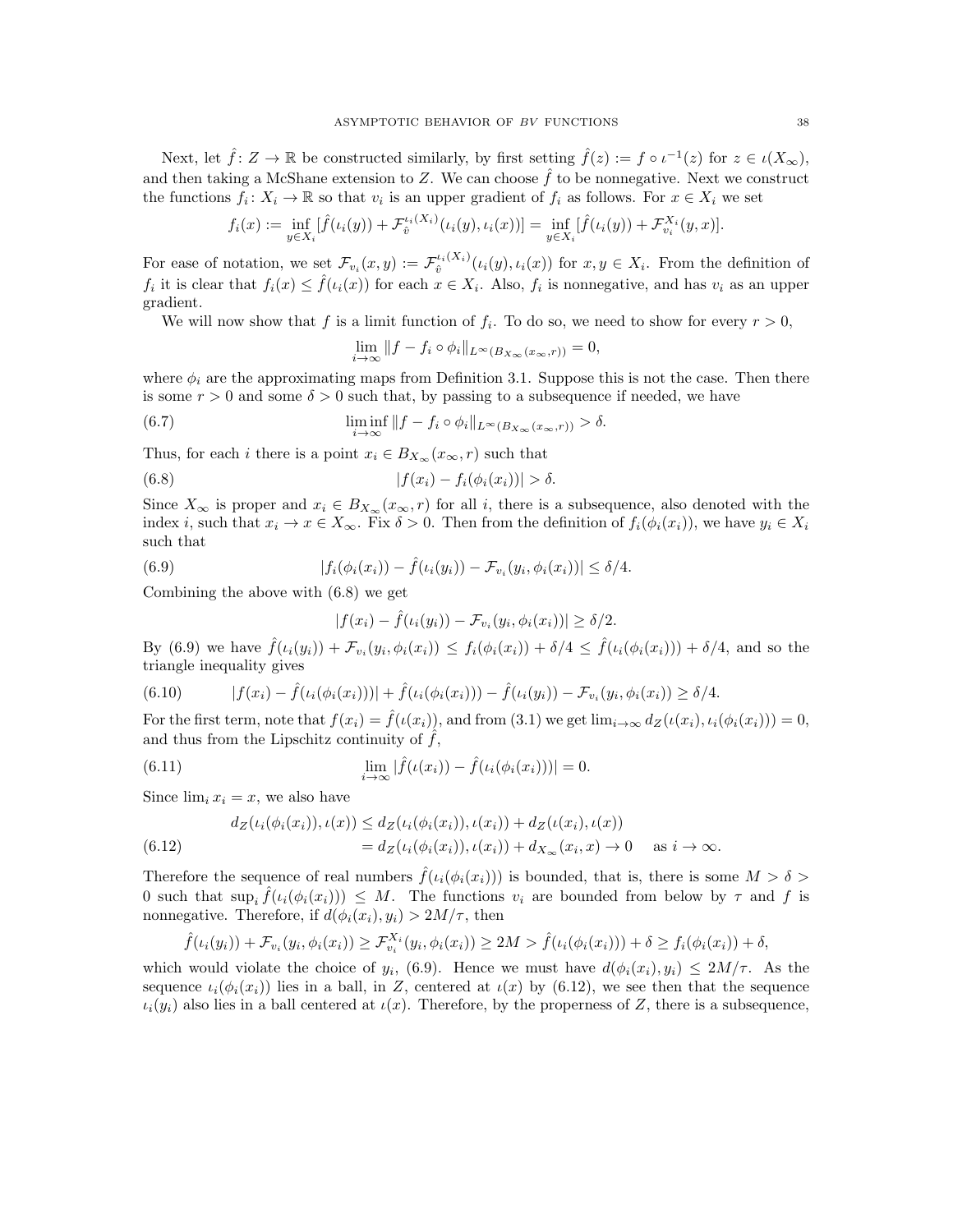Next, let  $\hat{f} \colon Z \to \mathbb{R}$  be constructed similarly, by first setting  $\hat{f}(z) := f \circ \iota^{-1}(z)$  for  $z \in \iota(X_{\infty})$ , and then taking a McShane extension to Z. We can choose  $\hat{f}$  to be nonnegative. Next we construct the functions  $f_i: X_i \to \mathbb{R}$  so that  $v_i$  is an upper gradient of  $f_i$  as follows. For  $x \in X_i$  we set

$$
f_i(x) := \inf_{y \in X_i} [\hat{f}(\iota_i(y)) + \mathcal{F}_{\hat{v}}^{\iota_i(X_i)}(\iota_i(y), \iota_i(x))] = \inf_{y \in X_i} [\hat{f}(\iota_i(y)) + \mathcal{F}_{v_i}^{X_i}(y, x)].
$$

For ease of notation, we set  $\mathcal{F}_{v_i}(x,y) := \mathcal{F}_{\hat{v}}^{\iota_i(X_i)}(\iota_i(y),\iota_i(x))$  for  $x, y \in X_i$ . From the definition of  $f_i$  it is clear that  $f_i(x) \leq \hat{f}(\iota_i(x))$  for each  $x \in X_i$ . Also,  $f_i$  is nonnegative, and has  $v_i$  as an upper gradient.

We will now show that f is a limit function of  $f_i$ . To do so, we need to show for every  $r > 0$ ,

$$
\lim_{i \to \infty} ||f - f_i \circ \phi_i||_{L^{\infty}(B_{X_{\infty}}(x_{\infty}, r))} = 0,
$$

where  $\phi_i$  are the approximating maps from Definition 3.1. Suppose this is not the case. Then there is some  $r > 0$  and some  $\delta > 0$  such that, by passing to a subsequence if needed, we have

(6.7) 
$$
\liminf_{i \to \infty} ||f - f_i \circ \phi_i||_{L^{\infty}(B_{X_{\infty}}(x_{\infty}, r))} > \delta.
$$

Thus, for each *i* there is a point  $x_i \in B_{X_\infty}(x_\infty, r)$  such that

(6.8) 
$$
|f(x_i) - f_i(\phi_i(x_i))| > \delta.
$$

Since  $X_{\infty}$  is proper and  $x_i \in B_{X_{\infty}}(x_{\infty}, r)$  for all i, there is a subsequence, also denoted with the index i, such that  $x_i \to x \in X_\infty$ . Fix  $\delta > 0$ . Then from the definition of  $f_i(\phi_i(x_i))$ , we have  $y_i \in X_i$ such that

(6.9) 
$$
|f_i(\phi_i(x_i)) - \hat{f}(\iota_i(y_i)) - \mathcal{F}_{v_i}(y_i, \phi_i(x_i))| \leq \delta/4.
$$

Combining the above with (6.8) we get

$$
|f(x_i) - \hat{f}(\iota_i(y_i)) - \mathcal{F}_{\nu_i}(y_i, \phi_i(x_i))| \ge \delta/2.
$$

By (6.9) we have  $\hat{f}(i_i(y_i)) + \mathcal{F}_{v_i}(y_i, \phi_i(x_i)) \leq f_i(\phi_i(x_i)) + \delta/4 \leq \hat{f}(i_i(\phi_i(x_i))) + \delta/4$ , and so the triangle inequality gives

$$
(6.10) \t |f(x_i) - \hat{f}(\iota_i(\phi_i(x_i)))| + \hat{f}(\iota_i(\phi_i(x_i))) - \hat{f}(\iota_i(y_i)) - \mathcal{F}_{v_i}(y_i, \phi_i(x_i)) \ge \delta/4.
$$

For the first term, note that  $f(x_i) = \hat{f}(\iota(x_i))$ , and from (3.1) we get  $\lim_{i\to\infty} d_Z(\iota(x_i), \iota_i(\phi_i(x_i))) = 0$ , and thus from the Lipschitz continuity of  $\hat{f}$ ,

(6.11) 
$$
\lim_{i \to \infty} |\hat{f}(\iota(x_i)) - \hat{f}(\iota_i(\phi_i(x_i)))| = 0.
$$

Since  $\lim_i x_i = x$ , we also have

(6.12) 
$$
d_Z(\iota_i(\phi_i(x_i)), \iota(x)) \le d_Z(\iota_i(\phi_i(x_i)), \iota(x_i)) + d_Z(\iota(x_i), \iota(x)) = d_Z(\iota_i(\phi_i(x_i)), \iota(x_i)) + d_{X_{\infty}}(x_i, x) \to 0 \quad \text{as } i \to \infty.
$$

Therefore the sequence of real numbers  $\hat{f}(\iota_i(\phi_i(x_i)))$  is bounded, that is, there is some  $M > \delta$ 0 such that  $\sup_i \hat{f}(\iota_i(\phi_i(x_i))) \leq M$ . The functions  $v_i$  are bounded from below by  $\tau$  and  $f$  is nonnegative. Therefore, if  $d(\phi_i(x_i), y_i) > 2M/\tau$ , then

$$
\hat{f}(\iota_i(y_i)) + \mathcal{F}_{v_i}(y_i, \phi_i(x_i)) \ge \mathcal{F}_{v_i}^{X_i}(y_i, \phi_i(x_i)) \ge 2M > \hat{f}(\iota_i(\phi_i(x_i))) + \delta \ge f_i(\phi_i(x_i)) + \delta,
$$

which would violate the choice of  $y_i$ , (6.9). Hence we must have  $d(\phi_i(x_i), y_i) \leq 2M/\tau$ . As the sequence  $i_i(\phi_i(x_i))$  lies in a ball, in Z, centered at  $i(x)$  by (6.12), we see then that the sequence  $\iota_i(y_i)$  also lies in a ball centered at  $\iota(x)$ . Therefore, by the properness of Z, there is a subsequence,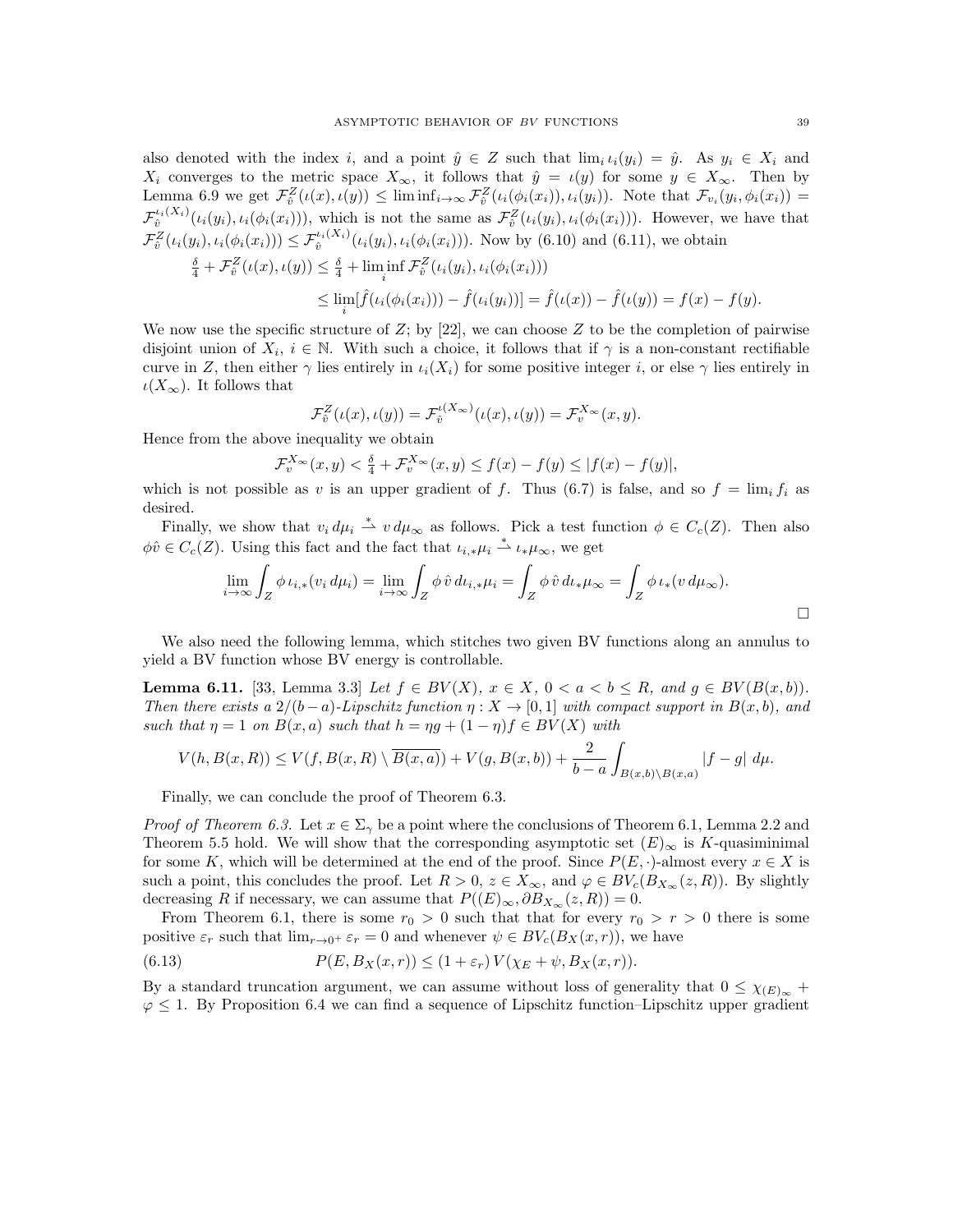also denoted with the index i, and a point  $\hat{y} \in Z$  such that  $\lim_{i} i_i(y_i) = \hat{y}$ . As  $y_i \in X_i$  and  $X_i$  converges to the metric space  $X_{\infty}$ , it follows that  $\hat{y} = \iota(y)$  for some  $y \in X_{\infty}$ . Then by Lemma 6.9 we get  $\mathcal{F}_{\hat{v}}^Z(\iota(x), \iota(y)) \leq \liminf_{i \to \infty} \mathcal{F}_{\hat{v}}^Z(\iota_i(\phi_i(x_i)), \iota_i(y_i)).$  Note that  $\mathcal{F}_{v_i}(y_i, \phi_i(x_i)) =$  $\mathcal{F}_{\hat{v}}^{i_i(X_i)}(\iota_i(y_i), \iota_i(\phi_i(x_i))),$  which is not the same as  $\mathcal{F}_{\hat{v}}^Z(\iota_i(y_i), \iota_i(\phi_i(x_i))).$  However, we have that  $\mathcal{F}_{\hat{v}}^Z(\iota_i(y_i), \iota_i(\phi_i(x_i))) \leq \mathcal{F}_{\hat{v}}^{\iota_i(X_i)}(\iota_i(y_i), \iota_i(\phi_i(x_i))).$  Now by (6.10) and (6.11), we obtain  $\frac{\delta}{4} + \mathcal{F}_{\hat{v}}^Z(\iota(x), \iota(y)) \leq \frac{\delta}{4} + \liminf_{i} \mathcal{F}_{\hat{v}}^Z(\iota_i(y_i), \iota_i(\phi_i(x_i)))$  $\leq \lim_{i} [\hat{f}(\iota_i(\phi_i(x_i))) - \hat{f}(\iota_i(y_i))] = \hat{f}(\iota(x)) - \hat{f}(\iota(y)) = f(x) - f(y).$ 

We now use the specific structure of  $Z$ ; by [22], we can choose  $Z$  to be the completion of pairwise disjoint union of  $X_i$ ,  $i \in \mathbb{N}$ . With such a choice, it follows that if  $\gamma$  is a non-constant rectifiable curve in Z, then either  $\gamma$  lies entirely in  $\iota_i(X_i)$  for some positive integer i, or else  $\gamma$  lies entirely in  $\iota(X_\infty)$ . It follows that

$$
\mathcal{F}_{\hat{v}}^Z(\iota(x), \iota(y)) = \mathcal{F}_{\hat{v}}^{\iota(X_{\infty})}(\iota(x), \iota(y)) = \mathcal{F}_{v}^{X_{\infty}}(x, y).
$$

Hence from the above inequality we obtain

$$
\mathcal{F}_v^{X_\infty}(x,y) < \frac{\delta}{4} + \mathcal{F}_v^{X_\infty}(x,y) \le f(x) - f(y) \le |f(x) - f(y)|,
$$

which is not possible as v is an upper gradient of f. Thus (6.7) is false, and so  $f = \lim_i f_i$  as desired.

Finally, we show that  $v_i d\mu_i \stackrel{*}{\rightharpoonup} v d\mu_\infty$  as follows. Pick a test function  $\phi \in C_c(Z)$ . Then also  $\phi\hat{v} \in C_c(Z)$ . Using this fact and the fact that  $\iota_{i,*}\mu_i \stackrel{*}{\rightharpoonup} \iota_{*}\mu_{\infty}$ , we get

$$
\lim_{i \to \infty} \int_Z \phi \, \iota_{i,*} (v_i \, d\mu_i) = \lim_{i \to \infty} \int_Z \phi \, \hat{v} \, d\iota_{i,*} \mu_i = \int_Z \phi \, \hat{v} \, d\iota_{*} \mu_{\infty} = \int_Z \phi \, \iota_{*} (v \, d\mu_{\infty}).
$$

We also need the following lemma, which stitches two given BV functions along an annulus to yield a BV function whose BV energy is controllable.

**Lemma 6.11.** [33, Lemma 3.3] Let  $f \in BV(X)$ ,  $x \in X$ ,  $0 < a < b \le R$ , and  $g \in BV(B(x, b))$ . Then there exists a  $2/(b-a)$ -Lipschitz function  $\eta: X \to [0,1]$  with compact support in  $B(x, b)$ , and such that  $\eta = 1$  on  $B(x, a)$  such that  $h = \eta g + (1 - \eta)f \in BV(X)$  with

$$
V(h, B(x, R)) \le V(f, B(x, R) \setminus \overline{B(x, a)}) + V(g, B(x, b)) + \frac{2}{b-a} \int_{B(x, b) \setminus B(x, a)} |f - g| d\mu.
$$

Finally, we can conclude the proof of Theorem 6.3.

*Proof of Theorem 6.3.* Let  $x \in \Sigma_{\gamma}$  be a point where the conclusions of Theorem 6.1, Lemma 2.2 and Theorem 5.5 hold. We will show that the corresponding asymptotic set  $(E)_{\infty}$  is K-quasiminimal for some K, which will be determined at the end of the proof. Since  $P(E, \cdot)$ -almost every  $x \in X$  is such a point, this concludes the proof. Let  $R > 0$ ,  $z \in X_{\infty}$ , and  $\varphi \in BV_c(B_{X_{\infty}}(z,R))$ . By slightly decreasing R if necessary, we can assume that  $P((E)_{\infty}, \partial B_{X_{\infty}}(z, R)) = 0$ .

From Theorem 6.1, there is some  $r_0 > 0$  such that that for every  $r_0 > r > 0$  there is some positive  $\varepsilon_r$  such that  $\lim_{r\to 0^+} \varepsilon_r = 0$  and whenever  $\psi \in BV_c(B_X(x,r))$ , we have

(6.13) 
$$
P(E, B_X(x,r)) \leq (1+\varepsilon_r) V(\chi_E + \psi, B_X(x,r)).
$$

By a standard truncation argument, we can assume without loss of generality that  $0 \leq \chi_{(E)_{\infty}} +$  $\varphi \leq 1$ . By Proposition 6.4 we can find a sequence of Lipschitz function–Lipschitz upper gradient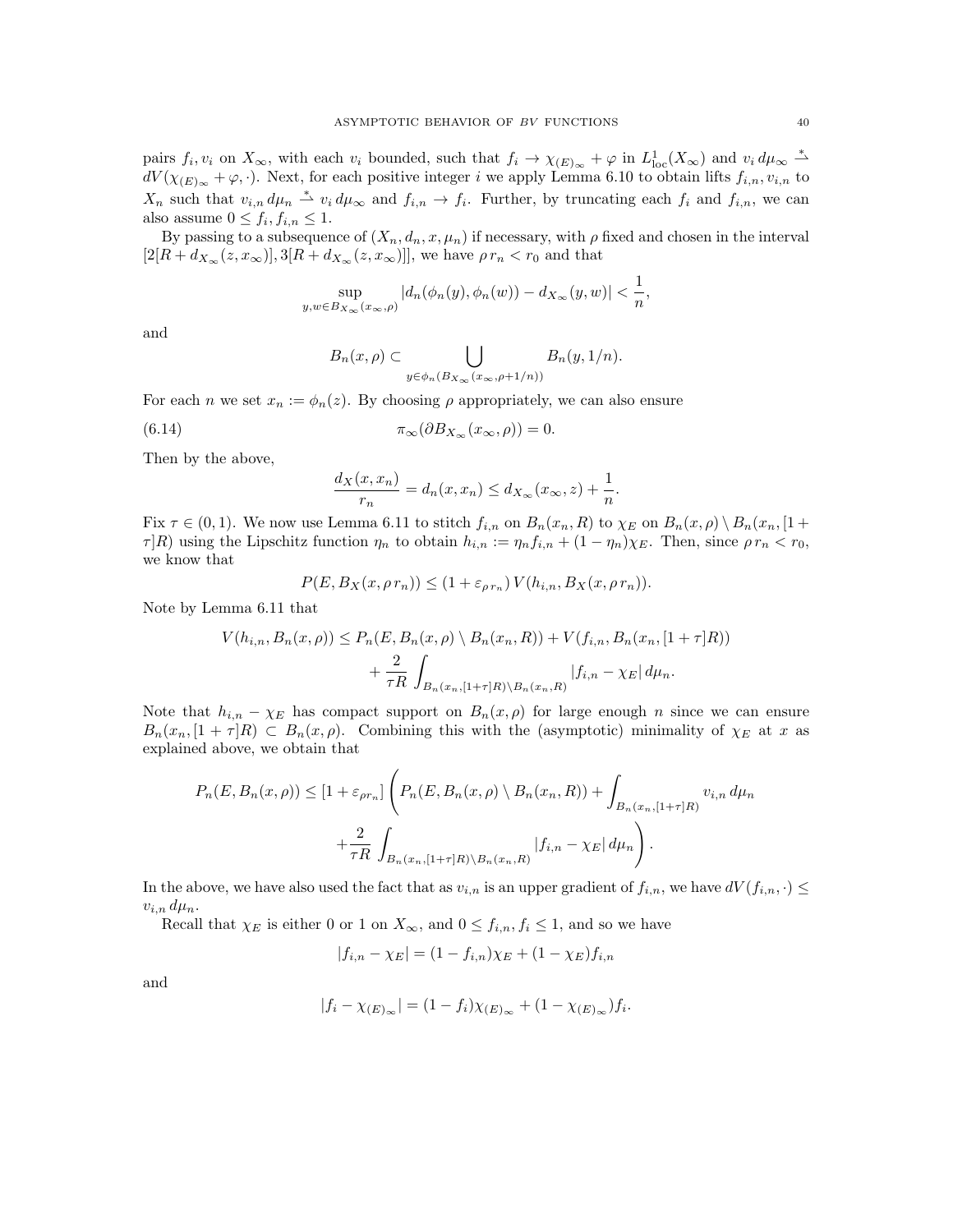pairs  $f_i, v_i$  on  $X_\infty$ , with each  $v_i$  bounded, such that  $f_i \to \chi_{(E)_{\infty}} + \varphi$  in  $L^1_{loc}(X_\infty)$  and  $v_i d\mu_\infty \stackrel{*}{\rightharpoonup}$  $dV(\chi_{(E)_{\infty}} + \varphi, \cdot)$ . Next, for each positive integer i we apply Lemma 6.10 to obtain lifts  $f_{i,n}, v_{i,n}$  to  $X_n$  such that  $v_{i,n} d\mu_n \stackrel{*}{\rightharpoonup} v_i d\mu_\infty$  and  $f_{i,n} \to f_i$ . Further, by truncating each  $f_i$  and  $f_{i,n}$ , we can also assume  $0 \leq f_i, f_{i,n} \leq 1$ .

By passing to a subsequence of  $(X_n, d_n, x, \mu_n)$  if necessary, with  $\rho$  fixed and chosen in the interval  $[2[R + d_{X_{\infty}}(z, x_{\infty})], 3[R + d_{X_{\infty}}(z, x_{\infty})]]$ , we have  $\rho r_n < r_0$  and that

$$
\sup_{y,w\in B_{X_{\infty}}(x_{\infty},\rho)}|d_{n}(\phi_{n}(y),\phi_{n}(w))-d_{X_{\infty}}(y,w)|<\frac{1}{n},
$$

and

$$
B_n(x,\rho) \subset \bigcup_{y \in \phi_n(B_{X_\infty}(x_\infty,\rho+1/n))} B_n(y,1/n).
$$

For each n we set  $x_n := \phi_n(z)$ . By choosing  $\rho$  appropriately, we can also ensure

(6.14) 
$$
\pi_{\infty}(\partial B_{X_{\infty}}(x_{\infty}, \rho)) = 0.
$$

Then by the above,

$$
\frac{d_X(x, x_n)}{r_n} = d_n(x, x_n) \le d_{X_\infty}(x_\infty, z) + \frac{1}{n}.
$$

Fix  $\tau \in (0,1)$ . We now use Lemma 6.11 to stitch  $f_{i,n}$  on  $B_n(x_n, R)$  to  $\chi_E$  on  $B_n(x, \rho) \setminus B_n(x_n, [1 +$  $\tau |R|$ ) using the Lipschitz function  $\eta_n$  to obtain  $h_{i,n} := \eta_n f_{i,n} + (1 - \eta_n)\chi_E$ . Then, since  $\rho r_n < r_0$ , we know that

$$
P(E, B_X(x, \rho r_n)) \le (1 + \varepsilon_{\rho r_n}) V(h_{i,n}, B_X(x, \rho r_n)).
$$

Note by Lemma 6.11 that

$$
V(h_{i,n}, B_n(x,\rho)) \le P_n(E, B_n(x,\rho) \setminus B_n(x_n, R)) + V(f_{i,n}, B_n(x_n, [1 + \tau]R)) + \frac{2}{\tau R} \int_{B_n(x_n, [1 + \tau]R) \setminus B_n(x_n, R)} |f_{i,n} - \chi_E| d\mu_n.
$$

Note that  $h_{i,n} - \chi_E$  has compact support on  $B_n(x, \rho)$  for large enough n since we can ensure  $B_n(x_n, [1 + \tau]R) \subset B_n(x, \rho)$ . Combining this with the (asymptotic) minimality of  $\chi_E$  at x as explained above, we obtain that

$$
P_n(E, B_n(x, \rho)) \le [1 + \varepsilon_{\rho r_n}] \left( P_n(E, B_n(x, \rho) \setminus B_n(x_n, R)) + \int_{B_n(x_n, [1+\tau]R)} v_{i,n} d\mu_n + \frac{2}{\tau R} \int_{B_n(x_n, [1+\tau]R) \setminus B_n(x_n, R)} |f_{i,n} - \chi_E| d\mu_n \right).
$$

In the above, we have also used the fact that as  $v_{i,n}$  is an upper gradient of  $f_{i,n}$ , we have  $dV(f_{i,n},\cdot) \leq d$  $v_{i,n}$   $d\mu_n$ .

Recall that  $\chi_E$  is either 0 or 1 on  $X_\infty$ , and  $0 \leq f_{i,n}, f_i \leq 1$ , and so we have

$$
|f_{i,n} - \chi_E| = (1 - f_{i,n})\chi_E + (1 - \chi_E)f_{i,n}
$$

and

$$
|f_i - \chi_{(E)\infty}| = (1 - f_i)\chi_{(E)\infty} + (1 - \chi_{(E)\infty})f_i.
$$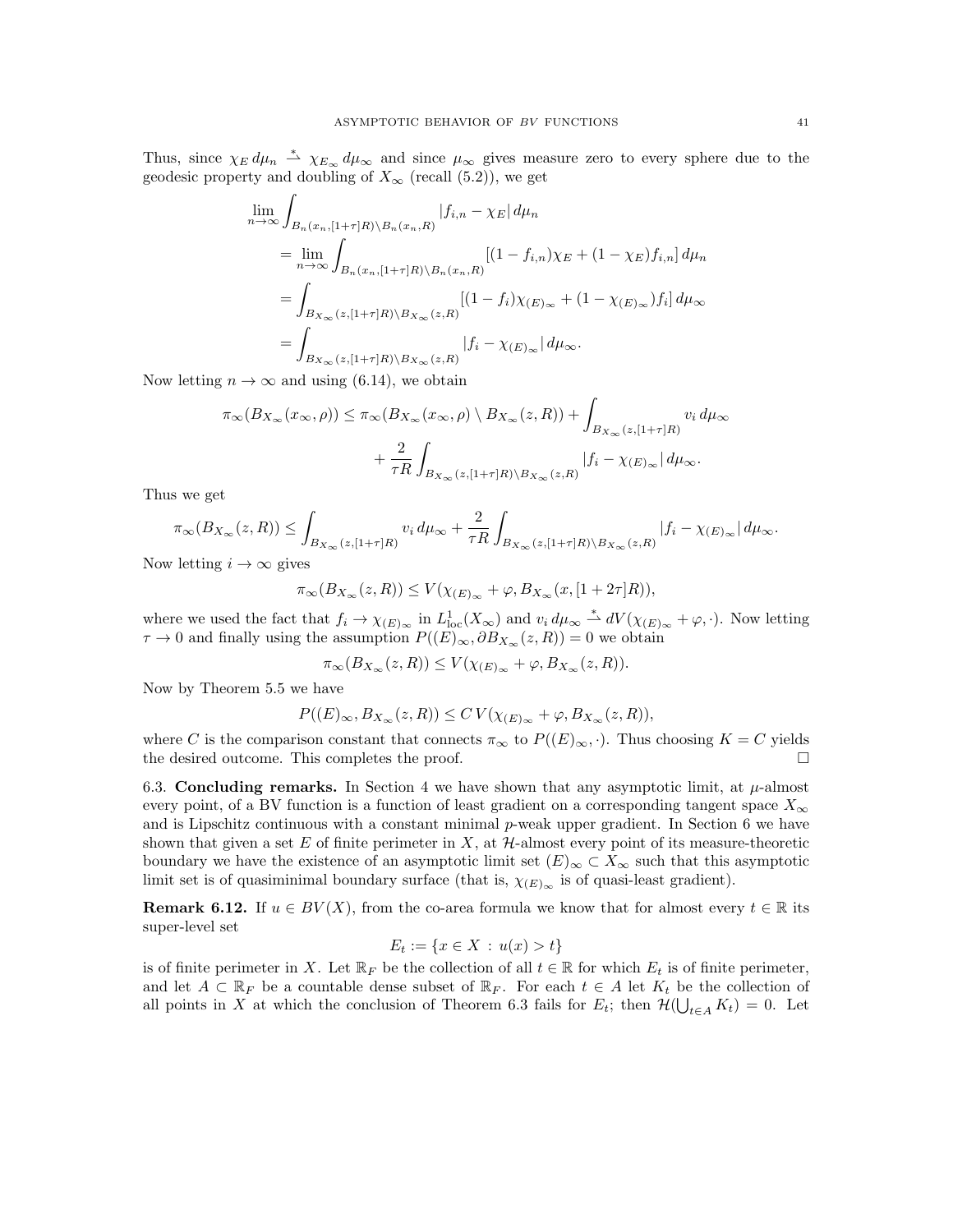Thus, since  $\chi_E d\mu_n \stackrel{*}{\rightharpoonup} \chi_{E_\infty} d\mu_\infty$  and since  $\mu_\infty$  gives measure zero to every sphere due to the geodesic property and doubling of  $X_{\infty}$  (recall (5.2)), we get

$$
\lim_{n \to \infty} \int_{B_n(x_n, [1+\tau]R) \backslash B_n(x_n, R)} |f_{i,n} - \chi_E| d\mu_n
$$
\n
$$
= \lim_{n \to \infty} \int_{B_n(x_n, [1+\tau]R) \backslash B_n(x_n, R)} [(1 - f_{i,n})\chi_E + (1 - \chi_E) f_{i,n}] d\mu_n
$$
\n
$$
= \int_{B_{X_{\infty}}(z, [1+\tau]R) \backslash B_{X_{\infty}}(z,R)} [(1 - f_i)\chi_{(E)_{\infty}} + (1 - \chi_{(E)_{\infty}}) f_i] d\mu_{\infty}
$$
\n
$$
= \int_{B_{X_{\infty}}(z, [1+\tau]R) \backslash B_{X_{\infty}}(z,R)} |f_i - \chi_{(E)_{\infty}}| d\mu_{\infty}.
$$

Now letting  $n \to \infty$  and using (6.14), we obtain

$$
\pi_{\infty}(B_{X_{\infty}}(x_{\infty}, \rho)) \leq \pi_{\infty}(B_{X_{\infty}}(x_{\infty}, \rho) \setminus B_{X_{\infty}}(z, R)) + \int_{B_{X_{\infty}}(z, [1+\tau]R)} v_i d\mu_{\infty} + \frac{2}{\tau R} \int_{B_{X_{\infty}}(z, [1+\tau]R) \setminus B_{X_{\infty}}(z, R)} |f_i - \chi_{(E)_{\infty}}| d\mu_{\infty}.
$$

Thus we get

$$
\pi_{\infty}(B_{X_{\infty}}(z,R)) \leq \int_{B_{X_{\infty}}(z,[1+\tau]R)} v_i d\mu_{\infty} + \frac{2}{\tau R} \int_{B_{X_{\infty}}(z,[1+\tau]R) \backslash B_{X_{\infty}}(z,R)} |f_i - \chi_{(E)_{\infty}}| d\mu_{\infty}.
$$

Now letting  $i \to \infty$  gives

$$
\pi_{\infty}(B_{X_{\infty}}(z,R)) \le V(\chi_{(E)_{\infty}} + \varphi, B_{X_{\infty}}(x,[1+2\tau]R)),
$$

where we used the fact that  $f_i \to \chi_{(E)_{\infty}}$  in  $L^1_{loc}(X_{\infty})$  and  $v_i d\mu_{\infty} \stackrel{*}{\rightharpoonup} dV(\chi_{(E)_{\infty}} + \varphi, \cdot)$ . Now letting  $\tau \to 0$  and finally using the assumption  $P((E)_{\infty}, \partial B_{X_{\infty}}(z, R)) = 0$  we obtain

$$
\pi_{\infty}(B_{X_{\infty}}(z,R)) \le V(\chi_{(E)_{\infty}} + \varphi, B_{X_{\infty}}(z,R)).
$$

Now by Theorem 5.5 we have

$$
P((E)_{\infty}, B_{X_{\infty}}(z, R)) \leq C V(\chi_{(E)_{\infty}} + \varphi, B_{X_{\infty}}(z, R)),
$$

where C is the comparison constant that connects  $\pi_{\infty}$  to  $P((E)_{\infty}, \cdot)$ . Thus choosing  $K = C$  yields the desired outcome. This completes the proof.

6.3. Concluding remarks. In Section 4 we have shown that any asymptotic limit, at  $\mu$ -almost every point, of a BV function is a function of least gradient on a corresponding tangent space  $X_{\infty}$ and is Lipschitz continuous with a constant minimal  $p$ -weak upper gradient. In Section 6 we have shown that given a set  $E$  of finite perimeter in  $X$ , at  $H$ -almost every point of its measure-theoretic boundary we have the existence of an asymptotic limit set  $(E)_{\infty} \subset X_{\infty}$  such that this asymptotic limit set is of quasiminimal boundary surface (that is,  $\chi_{(E)_{\infty}}$  is of quasi-least gradient).

**Remark 6.12.** If  $u \in BV(X)$ , from the co-area formula we know that for almost every  $t \in \mathbb{R}$  its super-level set

$$
E_t := \{ x \in X : u(x) > t \}
$$

is of finite perimeter in X. Let  $\mathbb{R}_F$  be the collection of all  $t \in \mathbb{R}$  for which  $E_t$  is of finite perimeter, and let  $A \subset \mathbb{R}_F$  be a countable dense subset of  $\mathbb{R}_F$ . For each  $t \in A$  let  $K_t$  be the collection of all points in X at which the conclusion of Theorem 6.3 fails for  $E_t$ ; then  $\mathcal{H}(\bigcup_{t\in A} K_t) = 0$ . Let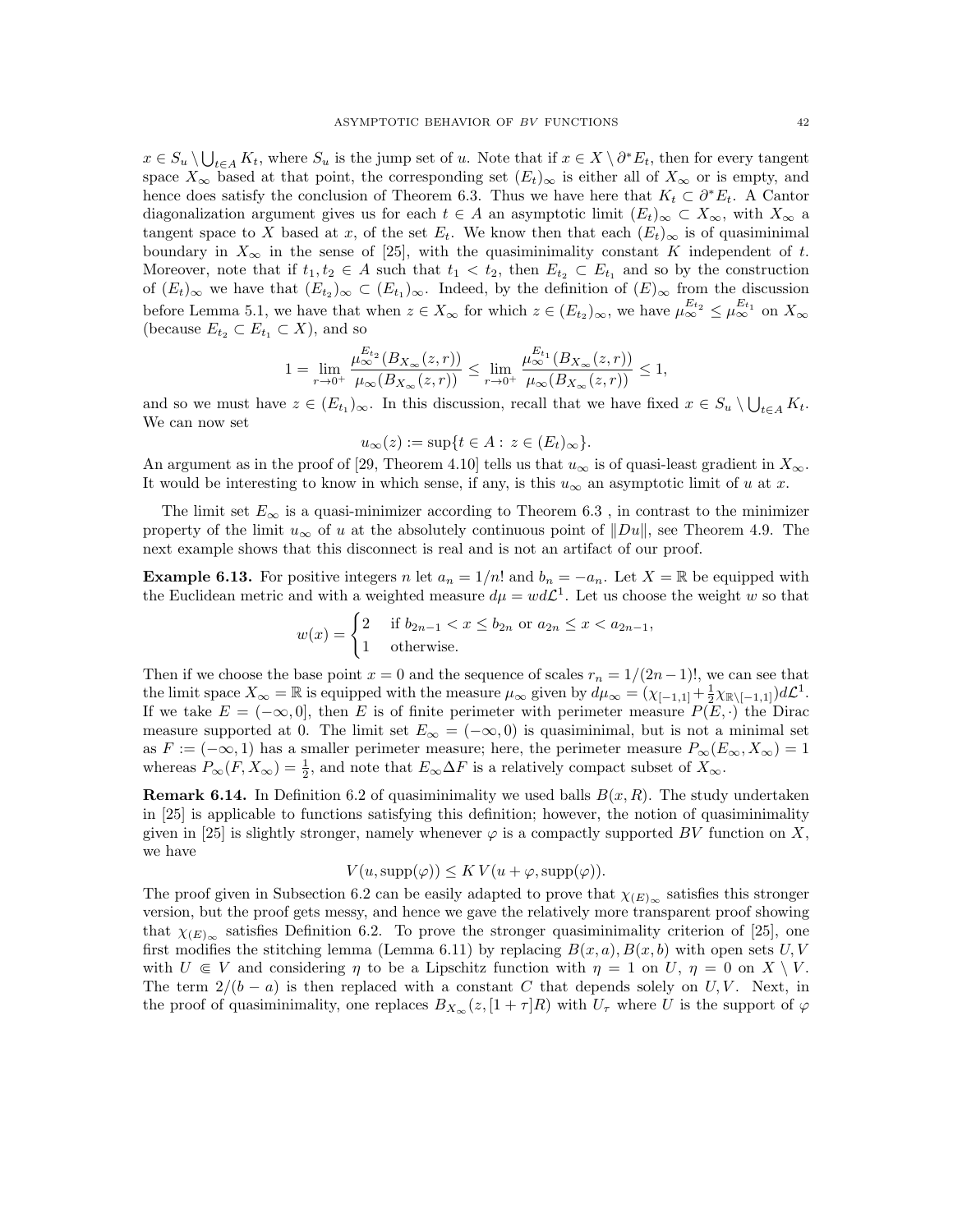$x \in S_u \setminus \bigcup_{t \in A} K_t$ , where  $S_u$  is the jump set of u. Note that if  $x \in X \setminus \partial^* E_t$ , then for every tangent space  $X_{\infty}$  based at that point, the corresponding set  $(E_t)_{\infty}$  is either all of  $X_{\infty}$  or is empty, and hence does satisfy the conclusion of Theorem 6.3. Thus we have here that  $K_t \subset \partial^* E_t$ . A Cantor diagonalization argument gives us for each  $t \in A$  an asymptotic limit  $(E_t)_{\infty} \subset X_{\infty}$ , with  $X_{\infty}$  a tangent space to X based at x, of the set  $E_t$ . We know then that each  $(E_t)_{\infty}$  is of quasiminimal boundary in  $X_{\infty}$  in the sense of [25], with the quasiminimality constant K independent of t. Moreover, note that if  $t_1, t_2 \in A$  such that  $t_1 < t_2$ , then  $E_{t_2} \subset E_{t_1}$  and so by the construction of  $(E_t)_{\infty}$  we have that  $(E_{t_2})_{\infty} \subset (E_{t_1})_{\infty}$ . Indeed, by the definition of  $(E)_{\infty}$  from the discussion before Lemma 5.1, we have that when  $z \in X_\infty$  for which  $z \in (E_{t_2})_\infty$ , we have  $\mu_\infty^{E_{t_2}} \le \mu_\infty^{E_{t_1}}$  on  $X_\infty$ (because  $E_{t_2} \subset E_{t_1} \subset X$ ), and so

$$
1 = \lim_{r \to 0^+} \frac{\mu_{\infty}^{E_{t_2}}(B_{X_{\infty}}(z, r))}{\mu_{\infty}(B_{X_{\infty}}(z, r))} \le \lim_{r \to 0^+} \frac{\mu_{\infty}^{E_{t_1}}(B_{X_{\infty}}(z, r))}{\mu_{\infty}(B_{X_{\infty}}(z, r))} \le 1,
$$

and so we must have  $z \in (E_{t_1})_\infty$ . In this discussion, recall that we have fixed  $x \in S_u \setminus \bigcup_{t \in A} K_t$ . We can now set

$$
u_{\infty}(z) := \sup\{t \in A : z \in (E_t)_{\infty}\}.
$$

An argument as in the proof of [29, Theorem 4.10] tells us that  $u_{\infty}$  is of quasi-least gradient in  $X_{\infty}$ . It would be interesting to know in which sense, if any, is this  $u_{\infty}$  an asymptotic limit of u at x.

The limit set  $E_{\infty}$  is a quasi-minimizer according to Theorem 6.3, in contrast to the minimizer property of the limit  $u_{\infty}$  of u at the absolutely continuous point of  $\|Du\|$ , see Theorem 4.9. The next example shows that this disconnect is real and is not an artifact of our proof.

**Example 6.13.** For positive integers n let  $a_n = 1/n!$  and  $b_n = -a_n$ . Let  $X = \mathbb{R}$  be equipped with the Euclidean metric and with a weighted measure  $d\mu = w d\mathcal{L}^1$ . Let us choose the weight w so that

$$
w(x) = \begin{cases} 2 & \text{if } b_{2n-1} < x \le b_{2n} \text{ or } a_{2n} \le x < a_{2n-1}, \\ 1 & \text{otherwise.} \end{cases}
$$

Then if we choose the base point  $x = 0$  and the sequence of scales  $r_n = 1/(2n-1)!$ , we can see that the limit space  $X_{\infty} = \mathbb{R}$  is equipped with the measure  $\mu_{\infty}$  given by  $d\mu_{\infty} = (\chi_{[-1,1]} + \frac{1}{2}\chi_{\mathbb{R}\setminus[-1,1]})d\mathcal{L}^1$ . If we take  $E = (-\infty, 0]$ , then E is of finite perimeter with perimeter measure  $P(E, \cdot)$  the Dirac measure supported at 0. The limit set  $E_{\infty} = (-\infty, 0)$  is quasiminimal, but is not a minimal set as  $F := (-\infty, 1)$  has a smaller perimeter measure; here, the perimeter measure  $P_\infty(E_\infty, X_\infty) = 1$ whereas  $P_{\infty}(F, X_{\infty}) = \frac{1}{2}$ , and note that  $E_{\infty} \Delta F$  is a relatively compact subset of  $X_{\infty}$ .

**Remark 6.14.** In Definition 6.2 of quasiminimality we used balls  $B(x, R)$ . The study undertaken in [25] is applicable to functions satisfying this definition; however, the notion of quasiminimality given in [25] is slightly stronger, namely whenever  $\varphi$  is a compactly supported BV function on X, we have

$$
V(u, \text{supp}(\varphi)) \leq KV(u+\varphi, \text{supp}(\varphi)).
$$

The proof given in Subsection 6.2 can be easily adapted to prove that  $\chi_{(E)_{\infty}}$  satisfies this stronger version, but the proof gets messy, and hence we gave the relatively more transparent proof showing that  $\chi_{(E)_{\infty}}$  satisfies Definition 6.2. To prove the stronger quasiminimality criterion of [25], one first modifies the stitching lemma (Lemma 6.11) by replacing  $B(x, a)$ ,  $B(x, b)$  with open sets U, V with  $U \in V$  and considering  $\eta$  to be a Lipschitz function with  $\eta = 1$  on  $U, \eta = 0$  on  $X \setminus V$ . The term  $2/(b - a)$  is then replaced with a constant C that depends solely on U, V. Next, in the proof of quasiminimality, one replaces  $B_{X_\infty}(z, [1+\tau]R)$  with  $U_\tau$  where U is the support of  $\varphi$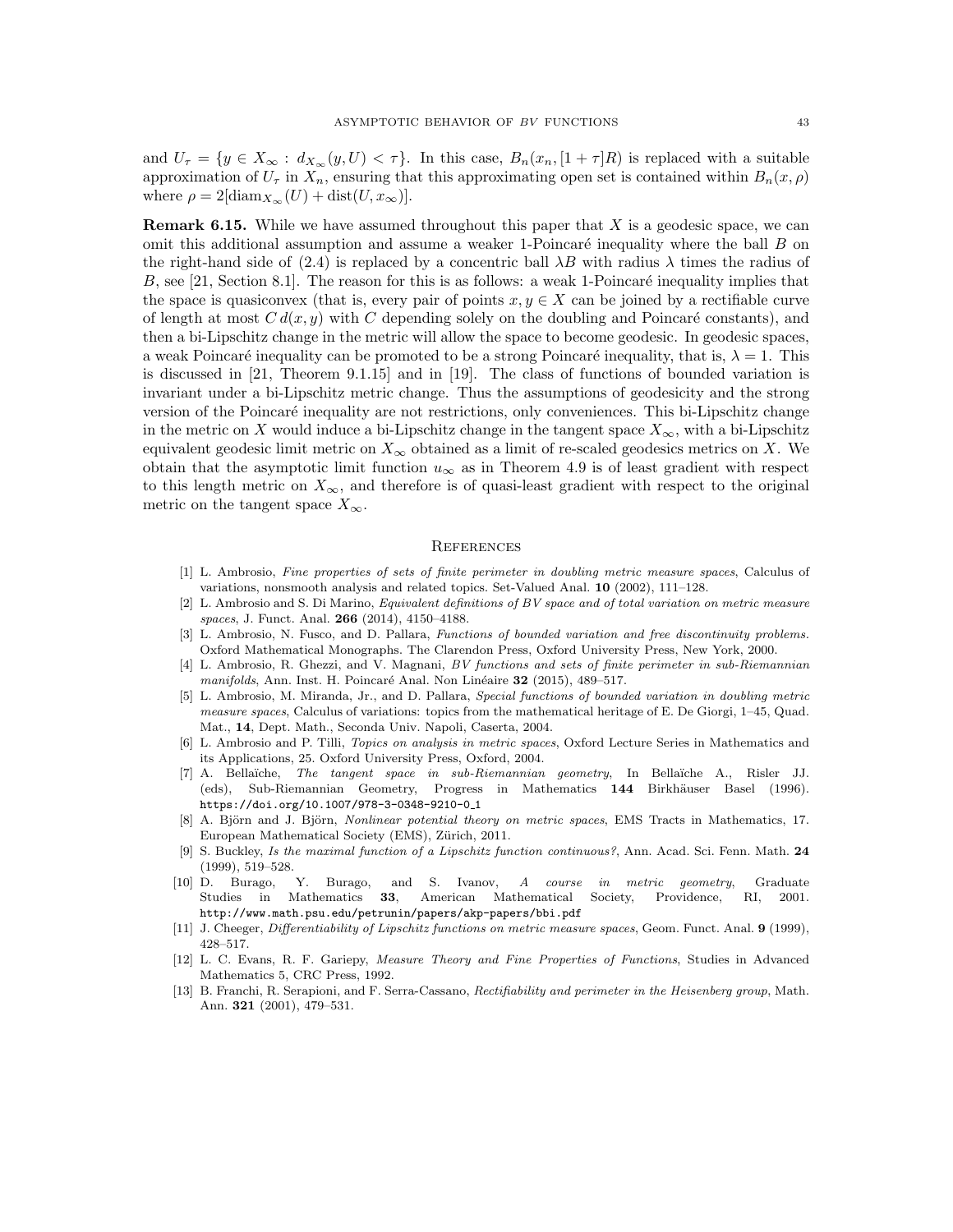and  $U_{\tau} = \{y \in X_{\infty} : d_{X_{\infty}}(y, U) < \tau\}.$  In this case,  $B_n(x_n, [1 + \tau]R)$  is replaced with a suitable approximation of  $U_{\tau}$  in  $X_n$ , ensuring that this approximating open set is contained within  $B_n(x, \rho)$ where  $\rho = 2[\text{diam}_{X_{\infty}}(U) + \text{dist}(U, x_{\infty})].$ 

**Remark 6.15.** While we have assumed throughout this paper that  $X$  is a geodesic space, we can omit this additional assumption and assume a weaker 1-Poincaré inequality where the ball  $B$  on the right-hand side of (2.4) is replaced by a concentric ball  $\lambda B$  with radius  $\lambda$  times the radius of  $B$ , see [21, Section 8.1]. The reason for this is as follows: a weak 1-Poincaré inequality implies that the space is quasiconvex (that is, every pair of points  $x, y \in X$  can be joined by a rectifiable curve of length at most  $C d(x, y)$  with C depending solely on the doubling and Poincaré constants), and then a bi-Lipschitz change in the metric will allow the space to become geodesic. In geodesic spaces, a weak Poincaré inequality can be promoted to be a strong Poincaré inequality, that is,  $\lambda = 1$ . This is discussed in [21, Theorem 9.1.15] and in [19]. The class of functions of bounded variation is invariant under a bi-Lipschitz metric change. Thus the assumptions of geodesicity and the strong version of the Poincaré inequality are not restrictions, only conveniences. This bi-Lipschitz change in the metric on X would induce a bi-Lipschitz change in the tangent space  $X_{\infty}$ , with a bi-Lipschitz equivalent geodesic limit metric on  $X_{\infty}$  obtained as a limit of re-scaled geodesics metrics on X. We obtain that the asymptotic limit function  $u_{\infty}$  as in Theorem 4.9 is of least gradient with respect to this length metric on  $X_{\infty}$ , and therefore is of quasi-least gradient with respect to the original metric on the tangent space  $X_{\infty}$ .

#### **REFERENCES**

- [1] L. Ambrosio, Fine properties of sets of finite perimeter in doubling metric measure spaces, Calculus of variations, nonsmooth analysis and related topics. Set-Valued Anal. 10 (2002), 111–128.
- [2] L. Ambrosio and S. Di Marino, Equivalent definitions of BV space and of total variation on metric measure spaces, J. Funct. Anal. 266 (2014), 4150–4188.
- [3] L. Ambrosio, N. Fusco, and D. Pallara, Functions of bounded variation and free discontinuity problems. Oxford Mathematical Monographs. The Clarendon Press, Oxford University Press, New York, 2000.
- [4] L. Ambrosio, R. Ghezzi, and V. Magnani, BV functions and sets of finite perimeter in sub-Riemannian  $manifolds$ , Ann. Inst. H. Poincaré Anal. Non Linéaire  $32$  (2015), 489–517.
- [5] L. Ambrosio, M. Miranda, Jr., and D. Pallara, Special functions of bounded variation in doubling metric measure spaces, Calculus of variations: topics from the mathematical heritage of E. De Giorgi, 1–45, Quad. Mat., 14, Dept. Math., Seconda Univ. Napoli, Caserta, 2004.
- [6] L. Ambrosio and P. Tilli, Topics on analysis in metric spaces, Oxford Lecture Series in Mathematics and its Applications, 25. Oxford University Press, Oxford, 2004.
- [7] A. Bella¨ıche, The tangent space in sub-Riemannian geometry, In Bella¨ıche A., Risler JJ. (eds), Sub-Riemannian Geometry, Progress in Mathematics 144 Birkhäuser Basel (1996). https://doi.org/10.1007/978-3-0348-9210-0\_1
- A. Björn and J. Björn, Nonlinear potential theory on metric spaces, EMS Tracts in Mathematics, 17. European Mathematical Society (EMS), Zürich, 2011.
- [9] S. Buckley, Is the maximal function of a Lipschitz function continuous?, Ann. Acad. Sci. Fenn. Math. 24 (1999), 519–528.
- [10] D. Burago, Y. Burago, and S. Ivanov, A course in metric geometry, Graduate Studies in Mathematics 33, American Mathematical Society, Providence, RI, 2001. http://www.math.psu.edu/petrunin/papers/akp-papers/bbi.pdf
- [11] J. Cheeger, Differentiability of Lipschitz functions on metric measure spaces, Geom. Funct. Anal. 9 (1999), 428–517.
- [12] L. C. Evans, R. F. Gariepy, Measure Theory and Fine Properties of Functions, Studies in Advanced Mathematics 5, CRC Press, 1992.
- [13] B. Franchi, R. Serapioni, and F. Serra-Cassano, Rectifiability and perimeter in the Heisenberg group, Math. Ann. 321 (2001), 479–531.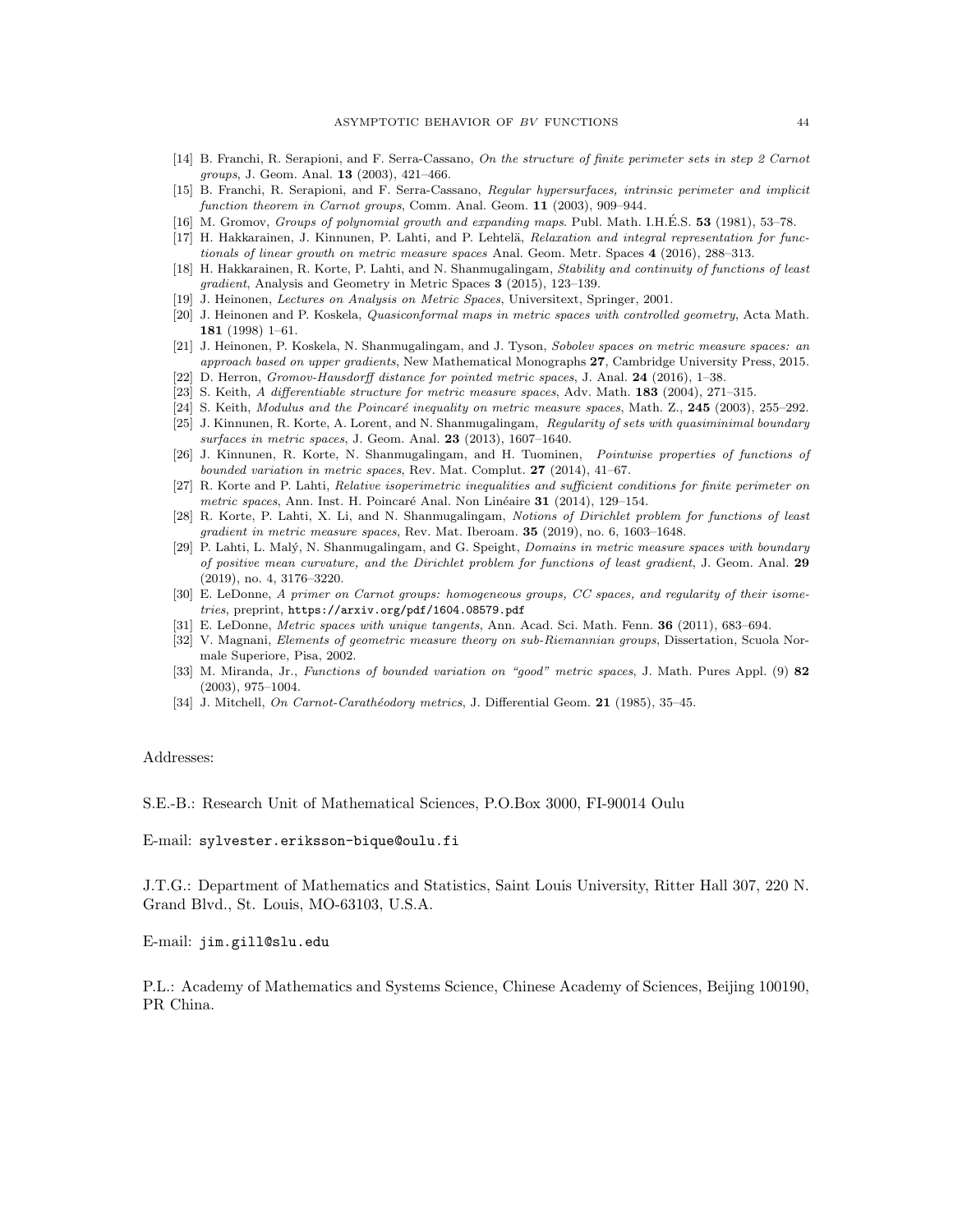- [14] B. Franchi, R. Serapioni, and F. Serra-Cassano, On the structure of finite perimeter sets in step 2 Carnot groups, J. Geom. Anal. 13 (2003), 421–466.
- [15] B. Franchi, R. Serapioni, and F. Serra-Cassano, Regular hypersurfaces, intrinsic perimeter and implicit function theorem in Carnot groups, Comm. Anal. Geom. 11 (2003), 909-944.
- [16] M. Gromov, Groups of polynomial growth and expanding maps. Publ. Math. I.H.E.S.  $53$  (1981), 53–78.
- [17] H. Hakkarainen, J. Kinnunen, P. Lahti, and P. Lehtelä, Relaxation and integral representation for functionals of linear growth on metric measure spaces Anal. Geom. Metr. Spaces 4 (2016), 288–313.
- [18] H. Hakkarainen, R. Korte, P. Lahti, and N. Shanmugalingam, Stability and continuity of functions of least gradient, Analysis and Geometry in Metric Spaces 3 (2015), 123–139.
- [19] J. Heinonen, Lectures on Analysis on Metric Spaces, Universitext, Springer, 2001.
- [20] J. Heinonen and P. Koskela, Quasiconformal maps in metric spaces with controlled geometry, Acta Math. 181 (1998) 1–61.
- [21] J. Heinonen, P. Koskela, N. Shanmugalingam, and J. Tyson, Sobolev spaces on metric measure spaces: an approach based on upper gradients, New Mathematical Monographs 27, Cambridge University Press, 2015.
- [22] D. Herron, Gromov-Hausdorff distance for pointed metric spaces, J. Anal. 24 (2016), 1–38.
- [23] S. Keith, A differentiable structure for metric measure spaces, Adv. Math. 183 (2004), 271–315.
- [24] S. Keith, Modulus and the Poincaré inequality on metric measure spaces, Math. Z., 245 (2003), 255–292.
- [25] J. Kinnunen, R. Korte, A. Lorent, and N. Shanmugalingam, Regularity of sets with quasiminimal boundary surfaces in metric spaces, J. Geom. Anal. 23 (2013), 1607–1640.
- [26] J. Kinnunen, R. Korte, N. Shanmugalingam, and H. Tuominen, Pointwise properties of functions of bounded variation in metric spaces, Rev. Mat. Complut. 27 (2014), 41–67.
- [27] R. Korte and P. Lahti, Relative isoperimetric inequalities and sufficient conditions for finite perimeter on metric spaces, Ann. Inst. H. Poincaré Anal. Non Linéaire  $31$  (2014), 129–154.
- [28] R. Korte, P. Lahti, X. Li, and N. Shanmugalingam, Notions of Dirichlet problem for functions of least gradient in metric measure spaces, Rev. Mat. Iberoam. 35 (2019), no. 6, 1603–1648.
- [29] P. Lahti, L. Malý, N. Shanmugalingam, and G. Speight, *Domains in metric measure spaces with boundary* of positive mean curvature, and the Dirichlet problem for functions of least gradient, J. Geom. Anal. 29 (2019), no. 4, 3176–3220.
- [30] E. LeDonne, A primer on Carnot groups: homogeneous groups, CC spaces, and regularity of their isometries, preprint, https://arxiv.org/pdf/1604.08579.pdf
- [31] E. LeDonne, Metric spaces with unique tangents, Ann. Acad. Sci. Math. Fenn. 36 (2011), 683–694.
- [32] V. Magnani, Elements of geometric measure theory on sub-Riemannian groups, Dissertation, Scuola Normale Superiore, Pisa, 2002.
- [33] M. Miranda, Jr., Functions of bounded variation on "good" metric spaces, J. Math. Pures Appl. (9) 82 (2003), 975–1004.
- [34] J. Mitchell, On Carnot-Carathéodory metrics, J. Differential Geom. 21 (1985), 35–45.

#### Addresses:

S.E.-B.: Research Unit of Mathematical Sciences, P.O.Box 3000, FI-90014 Oulu

E-mail: sylvester.eriksson-bique@oulu.fi

J.T.G.: Department of Mathematics and Statistics, Saint Louis University, Ritter Hall 307, 220 N. Grand Blvd., St. Louis, MO-63103, U.S.A.

E-mail: jim.gill@slu.edu

P.L.: Academy of Mathematics and Systems Science, Chinese Academy of Sciences, Beijing 100190, PR China.